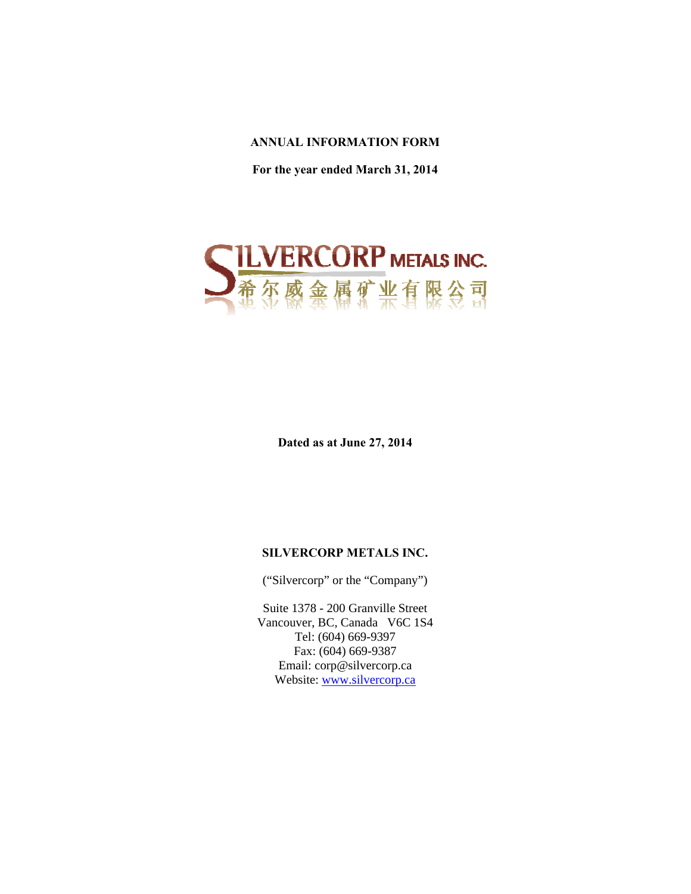### **ANNUAL INFORMATION FORM**

**For the year ended March 31, 2014** 



**Dated as at June 27, 2014** 

# **SILVERCORP METALS INC.**

("Silvercorp" or the "Company")

Suite 1378 - 200 Granville Street Vancouver, BC, Canada V6C 1S4 Tel: (604) 669-9397 Fax: (604) 669-9387 Email: corp@silvercorp.ca Website: www.silvercorp.ca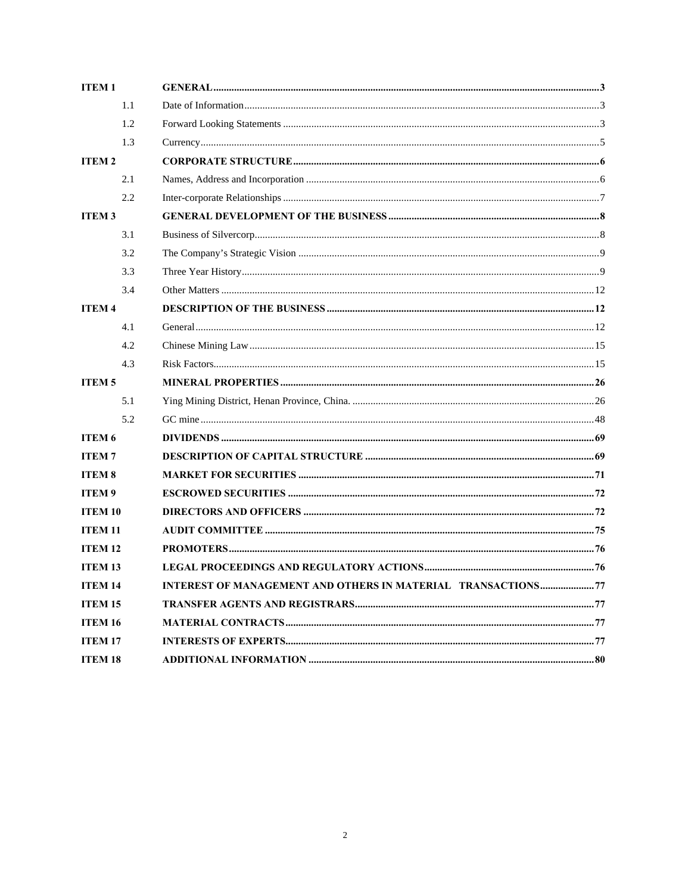| <b>ITEM1</b>   |                                                              |  |
|----------------|--------------------------------------------------------------|--|
| 1.1            |                                                              |  |
| 1.2.           |                                                              |  |
| 1.3            |                                                              |  |
| <b>ITEM2</b>   |                                                              |  |
| 2.1            |                                                              |  |
| 2.2            |                                                              |  |
| <b>ITEM3</b>   |                                                              |  |
| 3.1            |                                                              |  |
| 3.2            |                                                              |  |
| 3.3            |                                                              |  |
| 3.4            |                                                              |  |
| <b>ITEM4</b>   |                                                              |  |
| 4.1            |                                                              |  |
| 4.2            |                                                              |  |
| 4.3            |                                                              |  |
| <b>ITEM5</b>   |                                                              |  |
| 5.1            |                                                              |  |
| 5.2            |                                                              |  |
| <b>ITEM6</b>   |                                                              |  |
| <b>ITEM7</b>   |                                                              |  |
| <b>ITEM 8</b>  |                                                              |  |
| <b>ITEM9</b>   |                                                              |  |
| <b>ITEM 10</b> |                                                              |  |
| <b>ITEM 11</b> |                                                              |  |
| <b>ITEM 12</b> |                                                              |  |
| <b>ITEM 13</b> |                                                              |  |
| <b>ITEM 14</b> | INTEREST OF MANAGEMENT AND OTHERS IN MATERIAL TRANSACTIONS77 |  |
| <b>ITEM 15</b> |                                                              |  |
| <b>ITEM 16</b> |                                                              |  |
| <b>ITEM 17</b> |                                                              |  |
| <b>ITEM 18</b> |                                                              |  |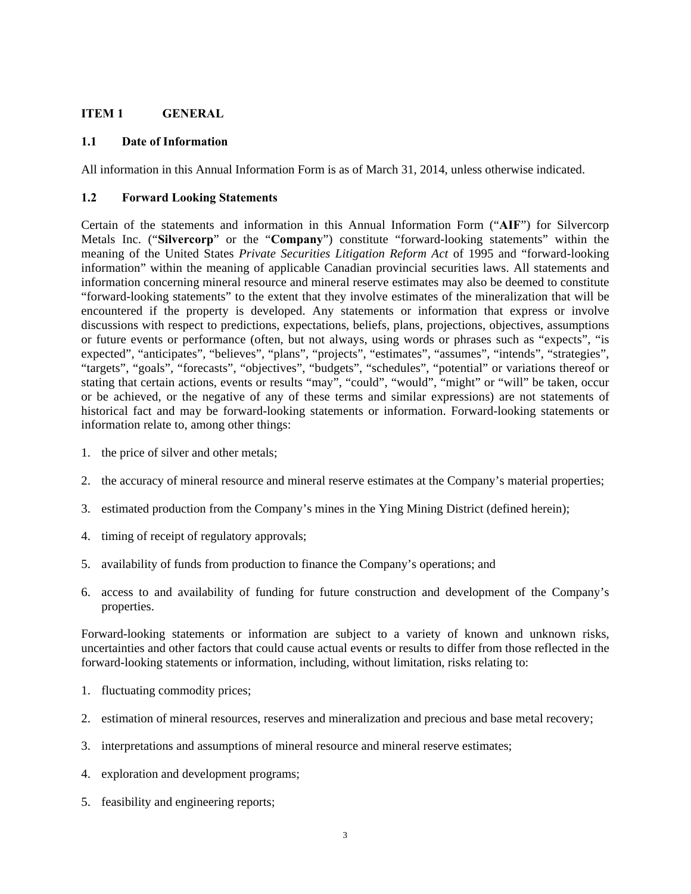## **ITEM 1 GENERAL**

## **1.1 Date of Information**

All information in this Annual Information Form is as of March 31, 2014, unless otherwise indicated.

## **1.2 Forward Looking Statements**

Certain of the statements and information in this Annual Information Form ("**AIF**") for Silvercorp Metals Inc. ("**Silvercorp**" or the "**Company**") constitute "forward-looking statements" within the meaning of the United States *Private Securities Litigation Reform Act* of 1995 and "forward-looking information" within the meaning of applicable Canadian provincial securities laws. All statements and information concerning mineral resource and mineral reserve estimates may also be deemed to constitute "forward-looking statements" to the extent that they involve estimates of the mineralization that will be encountered if the property is developed. Any statements or information that express or involve discussions with respect to predictions, expectations, beliefs, plans, projections, objectives, assumptions or future events or performance (often, but not always, using words or phrases such as "expects", "is expected", "anticipates", "believes", "plans", "projects", "estimates", "assumes", "intends", "strategies", "targets", "goals", "forecasts", "objectives", "budgets", "schedules", "potential" or variations thereof or stating that certain actions, events or results "may", "could", "would", "might" or "will" be taken, occur or be achieved, or the negative of any of these terms and similar expressions) are not statements of historical fact and may be forward-looking statements or information. Forward-looking statements or information relate to, among other things:

- 1. the price of silver and other metals;
- 2. the accuracy of mineral resource and mineral reserve estimates at the Company's material properties;
- 3. estimated production from the Company's mines in the Ying Mining District (defined herein);
- 4. timing of receipt of regulatory approvals;
- 5. availability of funds from production to finance the Company's operations; and
- 6. access to and availability of funding for future construction and development of the Company's properties.

Forward-looking statements or information are subject to a variety of known and unknown risks, uncertainties and other factors that could cause actual events or results to differ from those reflected in the forward-looking statements or information, including, without limitation, risks relating to:

- 1. fluctuating commodity prices;
- 2. estimation of mineral resources, reserves and mineralization and precious and base metal recovery;
- 3. interpretations and assumptions of mineral resource and mineral reserve estimates;
- 4. exploration and development programs;
- 5. feasibility and engineering reports;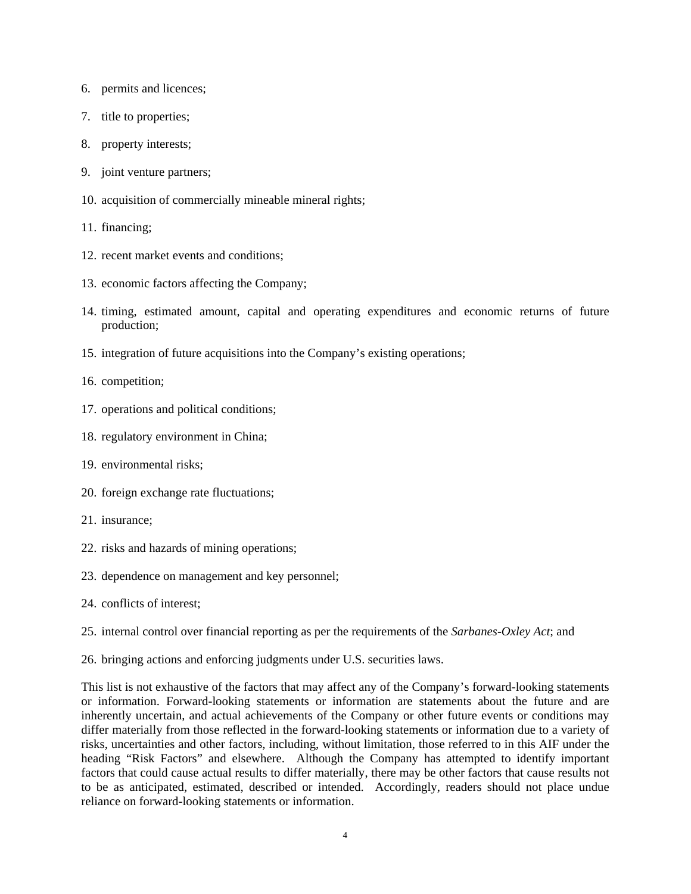- 6. permits and licences;
- 7. title to properties;
- 8. property interests;
- 9. joint venture partners;
- 10. acquisition of commercially mineable mineral rights;
- 11. financing;
- 12. recent market events and conditions;
- 13. economic factors affecting the Company;
- 14. timing, estimated amount, capital and operating expenditures and economic returns of future production;
- 15. integration of future acquisitions into the Company's existing operations;
- 16. competition;
- 17. operations and political conditions;
- 18. regulatory environment in China;
- 19. environmental risks;
- 20. foreign exchange rate fluctuations;
- 21. insurance;
- 22. risks and hazards of mining operations;
- 23. dependence on management and key personnel;
- 24. conflicts of interest;
- 25. internal control over financial reporting as per the requirements of the *Sarbanes-Oxley Act*; and
- 26. bringing actions and enforcing judgments under U.S. securities laws.

This list is not exhaustive of the factors that may affect any of the Company's forward-looking statements or information. Forward-looking statements or information are statements about the future and are inherently uncertain, and actual achievements of the Company or other future events or conditions may differ materially from those reflected in the forward-looking statements or information due to a variety of risks, uncertainties and other factors, including, without limitation, those referred to in this AIF under the heading "Risk Factors" and elsewhere. Although the Company has attempted to identify important factors that could cause actual results to differ materially, there may be other factors that cause results not to be as anticipated, estimated, described or intended. Accordingly, readers should not place undue reliance on forward-looking statements or information.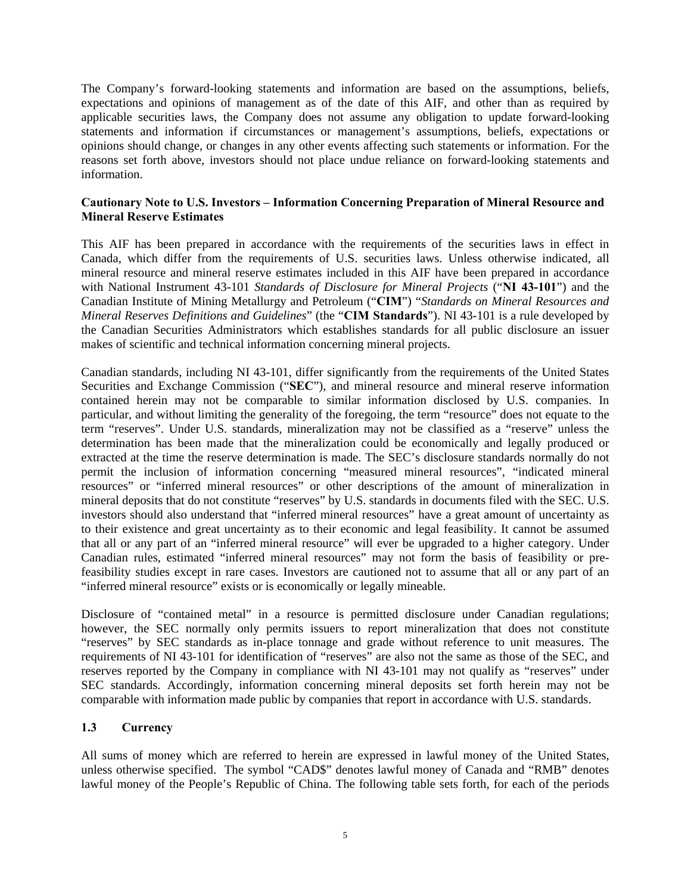The Company's forward-looking statements and information are based on the assumptions, beliefs, expectations and opinions of management as of the date of this AIF, and other than as required by applicable securities laws, the Company does not assume any obligation to update forward-looking statements and information if circumstances or management's assumptions, beliefs, expectations or opinions should change, or changes in any other events affecting such statements or information. For the reasons set forth above, investors should not place undue reliance on forward-looking statements and information.

## **Cautionary Note to U.S. Investors – Information Concerning Preparation of Mineral Resource and Mineral Reserve Estimates**

This AIF has been prepared in accordance with the requirements of the securities laws in effect in Canada, which differ from the requirements of U.S. securities laws. Unless otherwise indicated, all mineral resource and mineral reserve estimates included in this AIF have been prepared in accordance with National Instrument 43-101 *Standards of Disclosure for Mineral Projects* ("**NI 43-101**") and the Canadian Institute of Mining Metallurgy and Petroleum ("**CIM**") "*Standards on Mineral Resources and Mineral Reserves Definitions and Guidelines*" (the "**CIM Standards**"). NI 43-101 is a rule developed by the Canadian Securities Administrators which establishes standards for all public disclosure an issuer makes of scientific and technical information concerning mineral projects.

Canadian standards, including NI 43-101, differ significantly from the requirements of the United States Securities and Exchange Commission ("**SEC**"), and mineral resource and mineral reserve information contained herein may not be comparable to similar information disclosed by U.S. companies. In particular, and without limiting the generality of the foregoing, the term "resource" does not equate to the term "reserves". Under U.S. standards, mineralization may not be classified as a "reserve" unless the determination has been made that the mineralization could be economically and legally produced or extracted at the time the reserve determination is made. The SEC's disclosure standards normally do not permit the inclusion of information concerning "measured mineral resources", "indicated mineral resources" or "inferred mineral resources" or other descriptions of the amount of mineralization in mineral deposits that do not constitute "reserves" by U.S. standards in documents filed with the SEC. U.S. investors should also understand that "inferred mineral resources" have a great amount of uncertainty as to their existence and great uncertainty as to their economic and legal feasibility. It cannot be assumed that all or any part of an "inferred mineral resource" will ever be upgraded to a higher category. Under Canadian rules, estimated "inferred mineral resources" may not form the basis of feasibility or prefeasibility studies except in rare cases. Investors are cautioned not to assume that all or any part of an "inferred mineral resource" exists or is economically or legally mineable.

Disclosure of "contained metal" in a resource is permitted disclosure under Canadian regulations; however, the SEC normally only permits issuers to report mineralization that does not constitute "reserves" by SEC standards as in-place tonnage and grade without reference to unit measures. The requirements of NI 43-101 for identification of "reserves" are also not the same as those of the SEC, and reserves reported by the Company in compliance with NI 43-101 may not qualify as "reserves" under SEC standards. Accordingly, information concerning mineral deposits set forth herein may not be comparable with information made public by companies that report in accordance with U.S. standards.

## **1.3 Currency**

All sums of money which are referred to herein are expressed in lawful money of the United States, unless otherwise specified. The symbol "CAD\$" denotes lawful money of Canada and "RMB" denotes lawful money of the People's Republic of China. The following table sets forth, for each of the periods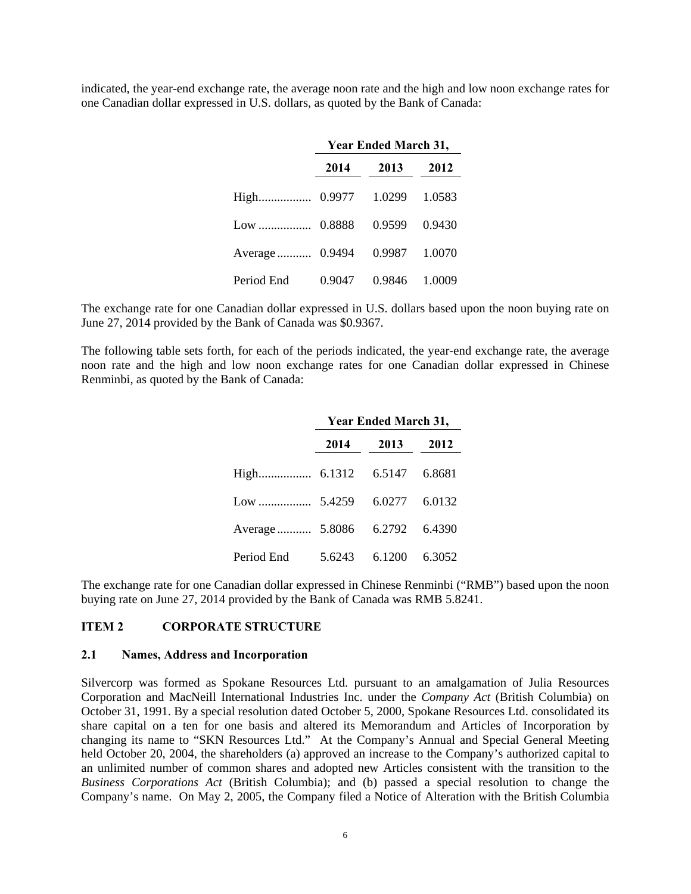indicated, the year-end exchange rate, the average noon rate and the high and low noon exchange rates for one Canadian dollar expressed in U.S. dollars, as quoted by the Bank of Canada:

|                    |        | <b>Year Ended March 31,</b> |        |
|--------------------|--------|-----------------------------|--------|
|                    | 2014   | 2013                        | 2012   |
| High 0.9977 1.0299 |        |                             | 1.0583 |
|                    |        | 0.9599                      | 0.9430 |
| Average  0.9494    |        | 0.9987 1.0070               |        |
| Period End         | 0.9047 | 0.9846                      | 1.0009 |

The exchange rate for one Canadian dollar expressed in U.S. dollars based upon the noon buying rate on June 27, 2014 provided by the Bank of Canada was \$0.9367.

The following table sets forth, for each of the periods indicated, the year-end exchange rate, the average noon rate and the high and low noon exchange rates for one Canadian dollar expressed in Chinese Renminbi, as quoted by the Bank of Canada:

|                              |      | <b>Year Ended March 31,</b> |        |  |  |  |
|------------------------------|------|-----------------------------|--------|--|--|--|
|                              | 2014 | 2013                        |        |  |  |  |
| High 6.1312 6.5147 6.8681    |      |                             |        |  |  |  |
|                              |      | 6.0277 6.0132               |        |  |  |  |
| Average 5.8086 6.2792 6.4390 |      |                             |        |  |  |  |
| Period End                   |      | 5.6243 6.1200               | 6.3052 |  |  |  |

The exchange rate for one Canadian dollar expressed in Chinese Renminbi ("RMB") based upon the noon buying rate on June 27, 2014 provided by the Bank of Canada was RMB 5.8241.

### **ITEM 2 CORPORATE STRUCTURE**

#### **2.1 Names, Address and Incorporation**

Silvercorp was formed as Spokane Resources Ltd. pursuant to an amalgamation of Julia Resources Corporation and MacNeill International Industries Inc. under the *Company Act* (British Columbia) on October 31, 1991. By a special resolution dated October 5, 2000, Spokane Resources Ltd. consolidated its share capital on a ten for one basis and altered its Memorandum and Articles of Incorporation by changing its name to "SKN Resources Ltd." At the Company's Annual and Special General Meeting held October 20, 2004, the shareholders (a) approved an increase to the Company's authorized capital to an unlimited number of common shares and adopted new Articles consistent with the transition to the *Business Corporations Act* (British Columbia); and (b) passed a special resolution to change the Company's name. On May 2, 2005, the Company filed a Notice of Alteration with the British Columbia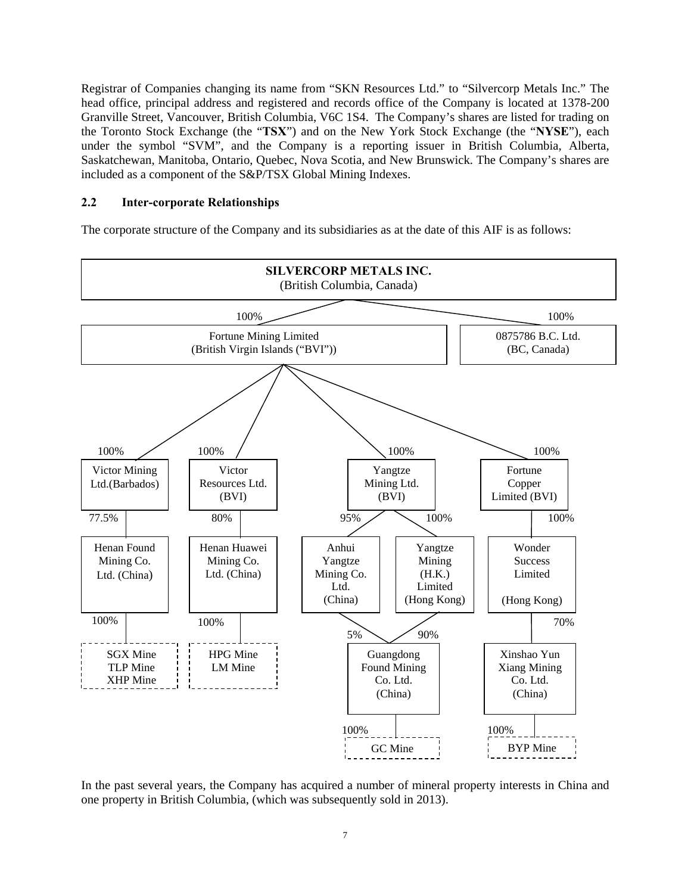Registrar of Companies changing its name from "SKN Resources Ltd." to "Silvercorp Metals Inc." The head office, principal address and registered and records office of the Company is located at 1378-200 Granville Street, Vancouver, British Columbia, V6C 1S4. The Company's shares are listed for trading on the Toronto Stock Exchange (the "**TSX**") and on the New York Stock Exchange (the "**NYSE**"), each under the symbol "SVM", and the Company is a reporting issuer in British Columbia, Alberta, Saskatchewan, Manitoba, Ontario, Quebec, Nova Scotia, and New Brunswick. The Company's shares are included as a component of the S&P/TSX Global Mining Indexes.

## **2.2 Inter-corporate Relationships**

The corporate structure of the Company and its subsidiaries as at the date of this AIF is as follows:



In the past several years, the Company has acquired a number of mineral property interests in China and one property in British Columbia, (which was subsequently sold in 2013).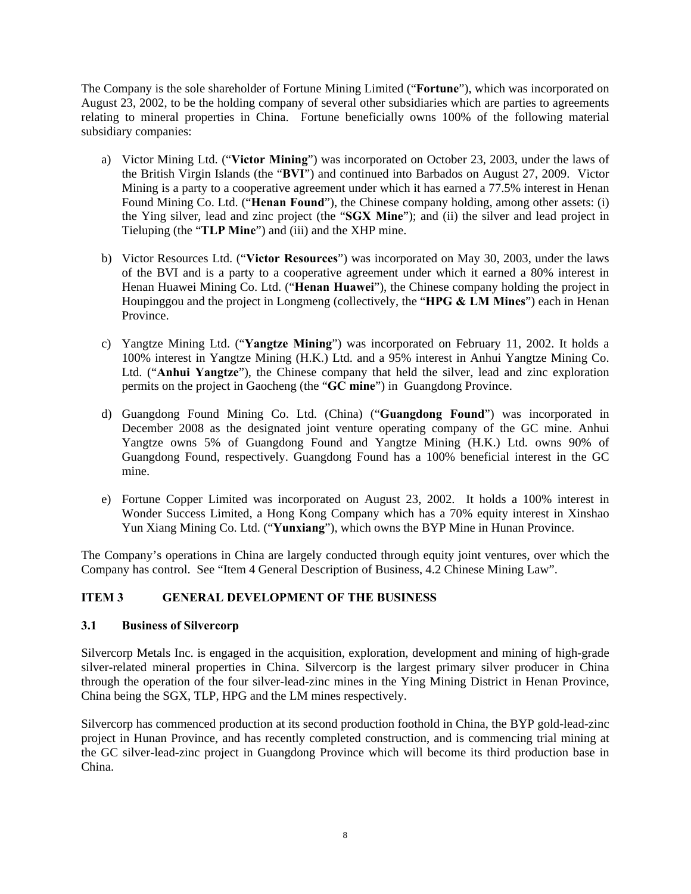The Company is the sole shareholder of Fortune Mining Limited ("**Fortune**"), which was incorporated on August 23, 2002, to be the holding company of several other subsidiaries which are parties to agreements relating to mineral properties in China. Fortune beneficially owns 100% of the following material subsidiary companies:

- a) Victor Mining Ltd. ("**Victor Mining**") was incorporated on October 23, 2003, under the laws of the British Virgin Islands (the "**BVI**") and continued into Barbados on August 27, 2009. Victor Mining is a party to a cooperative agreement under which it has earned a 77.5% interest in Henan Found Mining Co. Ltd. ("**Henan Found**"), the Chinese company holding, among other assets: (i) the Ying silver, lead and zinc project (the "**SGX Mine**"); and (ii) the silver and lead project in Tieluping (the "**TLP Mine**") and (iii) and the XHP mine.
- b) Victor Resources Ltd. ("**Victor Resources**") was incorporated on May 30, 2003, under the laws of the BVI and is a party to a cooperative agreement under which it earned a 80% interest in Henan Huawei Mining Co. Ltd. ("**Henan Huawei**"), the Chinese company holding the project in Houpinggou and the project in Longmeng (collectively, the "**HPG & LM Mines**") each in Henan Province.
- c) Yangtze Mining Ltd. ("**Yangtze Mining**") was incorporated on February 11, 2002. It holds a 100% interest in Yangtze Mining (H.K.) Ltd. and a 95% interest in Anhui Yangtze Mining Co. Ltd. ("**Anhui Yangtze**"), the Chinese company that held the silver, lead and zinc exploration permits on the project in Gaocheng (the "**GC mine**") in Guangdong Province.
- d) Guangdong Found Mining Co. Ltd. (China) ("**Guangdong Found**") was incorporated in December 2008 as the designated joint venture operating company of the GC mine. Anhui Yangtze owns 5% of Guangdong Found and Yangtze Mining (H.K.) Ltd. owns 90% of Guangdong Found, respectively. Guangdong Found has a 100% beneficial interest in the GC mine.
- e) Fortune Copper Limited was incorporated on August 23, 2002. It holds a 100% interest in Wonder Success Limited, a Hong Kong Company which has a 70% equity interest in Xinshao Yun Xiang Mining Co. Ltd. ("**Yunxiang**"), which owns the BYP Mine in Hunan Province.

The Company's operations in China are largely conducted through equity joint ventures, over which the Company has control. See "Item 4 General Description of Business, 4.2 Chinese Mining Law".

## **ITEM 3 GENERAL DEVELOPMENT OF THE BUSINESS**

## **3.1 Business of Silvercorp**

Silvercorp Metals Inc. is engaged in the acquisition, exploration, development and mining of high-grade silver-related mineral properties in China. Silvercorp is the largest primary silver producer in China through the operation of the four silver-lead-zinc mines in the Ying Mining District in Henan Province, China being the SGX, TLP, HPG and the LM mines respectively.

Silvercorp has commenced production at its second production foothold in China, the BYP gold-lead-zinc project in Hunan Province, and has recently completed construction, and is commencing trial mining at the GC silver-lead-zinc project in Guangdong Province which will become its third production base in China.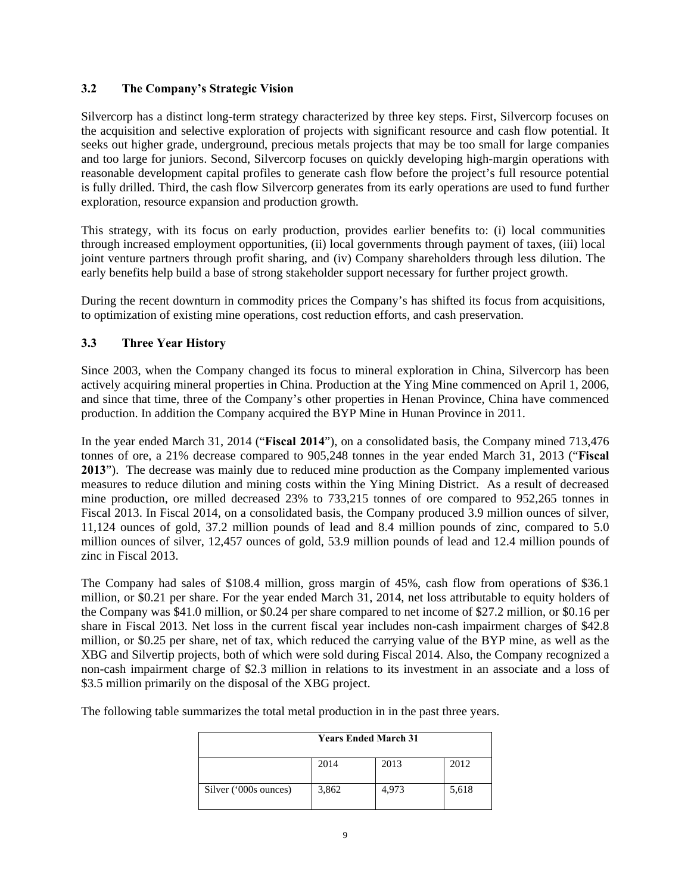# **3.2 The Company's Strategic Vision**

Silvercorp has a distinct long-term strategy characterized by three key steps. First, Silvercorp focuses on the acquisition and selective exploration of projects with significant resource and cash flow potential. It seeks out higher grade, underground, precious metals projects that may be too small for large companies and too large for juniors. Second, Silvercorp focuses on quickly developing high-margin operations with reasonable development capital profiles to generate cash flow before the project's full resource potential is fully drilled. Third, the cash flow Silvercorp generates from its early operations are used to fund further exploration, resource expansion and production growth.

This strategy, with its focus on early production, provides earlier benefits to: (i) local communities through increased employment opportunities, (ii) local governments through payment of taxes, (iii) local joint venture partners through profit sharing, and (iv) Company shareholders through less dilution. The early benefits help build a base of strong stakeholder support necessary for further project growth.

During the recent downturn in commodity prices the Company's has shifted its focus from acquisitions, to optimization of existing mine operations, cost reduction efforts, and cash preservation.

# **3.3 Three Year History**

Since 2003, when the Company changed its focus to mineral exploration in China, Silvercorp has been actively acquiring mineral properties in China. Production at the Ying Mine commenced on April 1, 2006, and since that time, three of the Company's other properties in Henan Province, China have commenced production. In addition the Company acquired the BYP Mine in Hunan Province in 2011.

In the year ended March 31, 2014 ("**Fiscal 2014**"), on a consolidated basis, the Company mined 713,476 tonnes of ore, a 21% decrease compared to 905,248 tonnes in the year ended March 31, 2013 ("**Fiscal 2013**"). The decrease was mainly due to reduced mine production as the Company implemented various measures to reduce dilution and mining costs within the Ying Mining District. As a result of decreased mine production, ore milled decreased 23% to 733,215 tonnes of ore compared to 952,265 tonnes in Fiscal 2013. In Fiscal 2014, on a consolidated basis, the Company produced 3.9 million ounces of silver, 11,124 ounces of gold, 37.2 million pounds of lead and 8.4 million pounds of zinc, compared to 5.0 million ounces of silver, 12,457 ounces of gold, 53.9 million pounds of lead and 12.4 million pounds of zinc in Fiscal 2013.

The Company had sales of \$108.4 million, gross margin of 45%, cash flow from operations of \$36.1 million, or \$0.21 per share. For the year ended March 31, 2014, net loss attributable to equity holders of the Company was \$41.0 million, or \$0.24 per share compared to net income of \$27.2 million, or \$0.16 per share in Fiscal 2013. Net loss in the current fiscal year includes non-cash impairment charges of \$42.8 million, or \$0.25 per share, net of tax, which reduced the carrying value of the BYP mine, as well as the XBG and Silvertip projects, both of which were sold during Fiscal 2014. Also, the Company recognized a non-cash impairment charge of \$2.3 million in relations to its investment in an associate and a loss of \$3.5 million primarily on the disposal of the XBG project.

The following table summarizes the total metal production in in the past three years.

|                       | <b>Years Ended March 31</b> |              |       |  |  |  |  |
|-----------------------|-----------------------------|--------------|-------|--|--|--|--|
|                       | 2014                        | 2013<br>2012 |       |  |  |  |  |
| Silver ('000s ounces) | 3,862                       | 4,973        | 5,618 |  |  |  |  |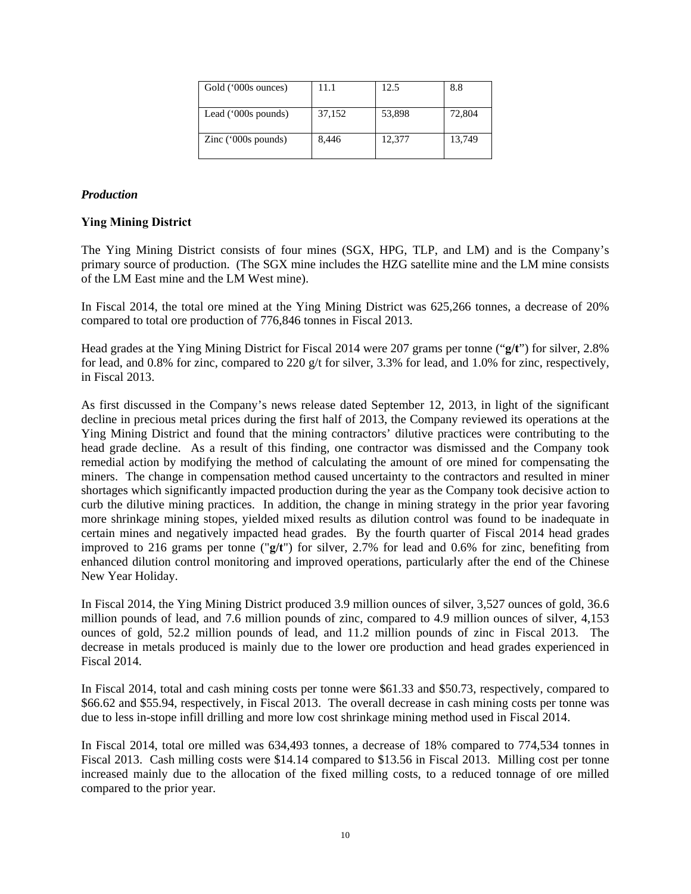| Gold ('000s ounces)   | 11.1   | 12.5   | 8.8    |
|-----------------------|--------|--------|--------|
| Lead $('000s pounds)$ | 37,152 | 53,898 | 72,804 |
| Zinc $(500s$ pounds)  | 8,446  | 12,377 | 13,749 |

### *Production*

### **Ying Mining District**

The Ying Mining District consists of four mines (SGX, HPG, TLP, and LM) and is the Company's primary source of production. (The SGX mine includes the HZG satellite mine and the LM mine consists of the LM East mine and the LM West mine).

In Fiscal 2014, the total ore mined at the Ying Mining District was 625,266 tonnes, a decrease of 20% compared to total ore production of 776,846 tonnes in Fiscal 2013.

Head grades at the Ying Mining District for Fiscal 2014 were 207 grams per tonne ("**g/t**") for silver, 2.8% for lead, and 0.8% for zinc, compared to 220 g/t for silver, 3.3% for lead, and 1.0% for zinc, respectively, in Fiscal 2013.

As first discussed in the Company's news release dated September 12, 2013, in light of the significant decline in precious metal prices during the first half of 2013, the Company reviewed its operations at the Ying Mining District and found that the mining contractors' dilutive practices were contributing to the head grade decline. As a result of this finding, one contractor was dismissed and the Company took remedial action by modifying the method of calculating the amount of ore mined for compensating the miners. The change in compensation method caused uncertainty to the contractors and resulted in miner shortages which significantly impacted production during the year as the Company took decisive action to curb the dilutive mining practices. In addition, the change in mining strategy in the prior year favoring more shrinkage mining stopes, yielded mixed results as dilution control was found to be inadequate in certain mines and negatively impacted head grades. By the fourth quarter of Fiscal 2014 head grades improved to 216 grams per tonne ("**g/t**") for silver, 2.7% for lead and 0.6% for zinc, benefiting from enhanced dilution control monitoring and improved operations, particularly after the end of the Chinese New Year Holiday.

In Fiscal 2014, the Ying Mining District produced 3.9 million ounces of silver, 3,527 ounces of gold, 36.6 million pounds of lead, and 7.6 million pounds of zinc, compared to 4.9 million ounces of silver, 4,153 ounces of gold, 52.2 million pounds of lead, and 11.2 million pounds of zinc in Fiscal 2013. The decrease in metals produced is mainly due to the lower ore production and head grades experienced in Fiscal 2014.

In Fiscal 2014, total and cash mining costs per tonne were \$61.33 and \$50.73, respectively, compared to \$66.62 and \$55.94, respectively, in Fiscal 2013. The overall decrease in cash mining costs per tonne was due to less in-stope infill drilling and more low cost shrinkage mining method used in Fiscal 2014.

In Fiscal 2014, total ore milled was 634,493 tonnes, a decrease of 18% compared to 774,534 tonnes in Fiscal 2013. Cash milling costs were \$14.14 compared to \$13.56 in Fiscal 2013. Milling cost per tonne increased mainly due to the allocation of the fixed milling costs, to a reduced tonnage of ore milled compared to the prior year.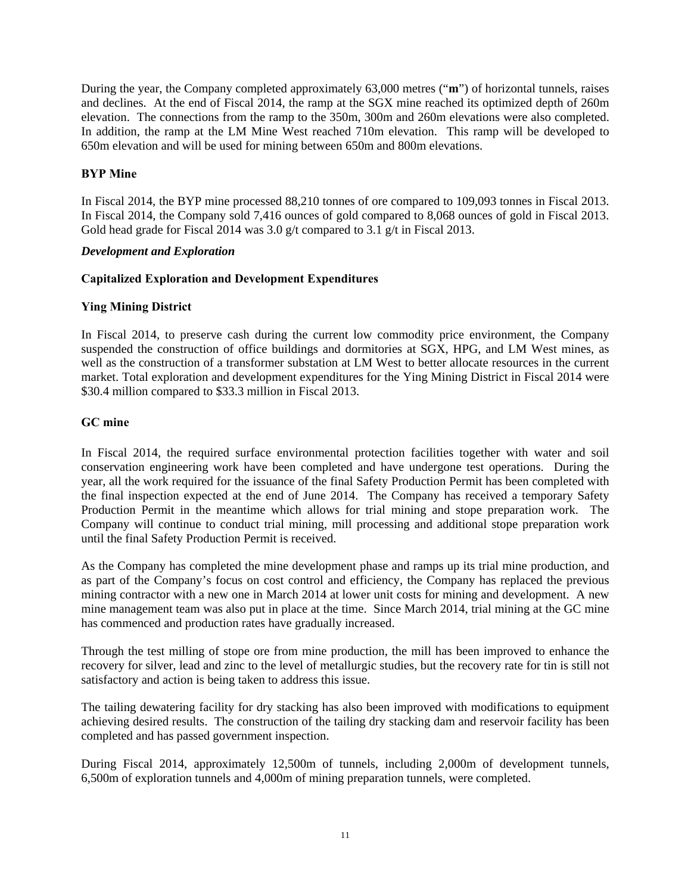During the year, the Company completed approximately 63,000 metres ("**m**") of horizontal tunnels, raises and declines. At the end of Fiscal 2014, the ramp at the SGX mine reached its optimized depth of 260m elevation. The connections from the ramp to the 350m, 300m and 260m elevations were also completed. In addition, the ramp at the LM Mine West reached 710m elevation. This ramp will be developed to 650m elevation and will be used for mining between 650m and 800m elevations.

# **BYP Mine**

In Fiscal 2014, the BYP mine processed 88,210 tonnes of ore compared to 109,093 tonnes in Fiscal 2013. In Fiscal 2014, the Company sold 7,416 ounces of gold compared to 8,068 ounces of gold in Fiscal 2013. Gold head grade for Fiscal 2014 was 3.0 g/t compared to 3.1 g/t in Fiscal 2013.

## *Development and Exploration*

# **Capitalized Exploration and Development Expenditures**

## **Ying Mining District**

In Fiscal 2014, to preserve cash during the current low commodity price environment, the Company suspended the construction of office buildings and dormitories at SGX, HPG, and LM West mines, as well as the construction of a transformer substation at LM West to better allocate resources in the current market. Total exploration and development expenditures for the Ying Mining District in Fiscal 2014 were \$30.4 million compared to \$33.3 million in Fiscal 2013.

## **GC mine**

In Fiscal 2014, the required surface environmental protection facilities together with water and soil conservation engineering work have been completed and have undergone test operations. During the year, all the work required for the issuance of the final Safety Production Permit has been completed with the final inspection expected at the end of June 2014. The Company has received a temporary Safety Production Permit in the meantime which allows for trial mining and stope preparation work. The Company will continue to conduct trial mining, mill processing and additional stope preparation work until the final Safety Production Permit is received.

As the Company has completed the mine development phase and ramps up its trial mine production, and as part of the Company's focus on cost control and efficiency, the Company has replaced the previous mining contractor with a new one in March 2014 at lower unit costs for mining and development. A new mine management team was also put in place at the time. Since March 2014, trial mining at the GC mine has commenced and production rates have gradually increased.

Through the test milling of stope ore from mine production, the mill has been improved to enhance the recovery for silver, lead and zinc to the level of metallurgic studies, but the recovery rate for tin is still not satisfactory and action is being taken to address this issue.

The tailing dewatering facility for dry stacking has also been improved with modifications to equipment achieving desired results. The construction of the tailing dry stacking dam and reservoir facility has been completed and has passed government inspection.

During Fiscal 2014, approximately 12,500m of tunnels, including 2,000m of development tunnels, 6,500m of exploration tunnels and 4,000m of mining preparation tunnels, were completed.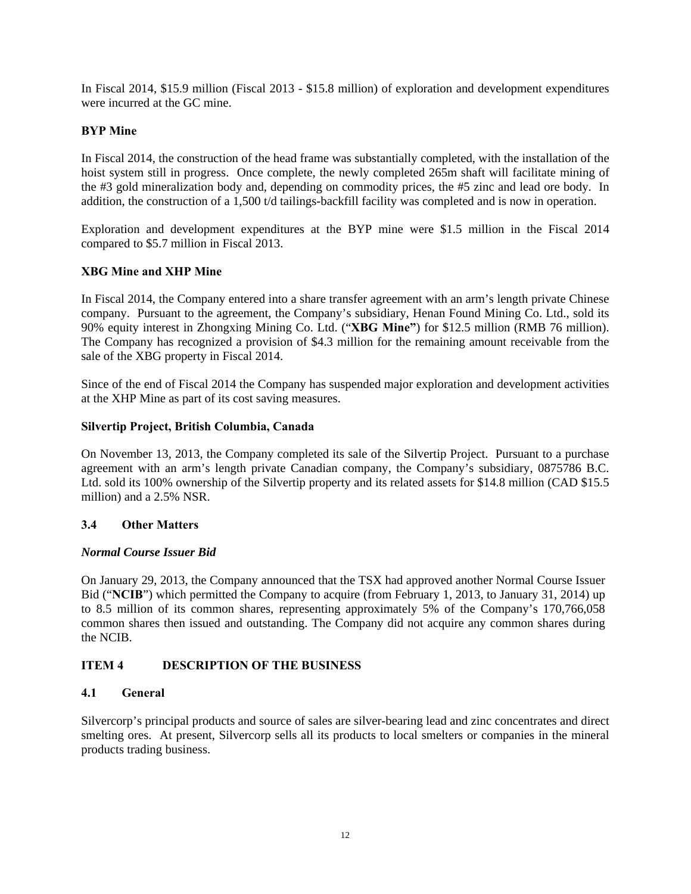In Fiscal 2014, \$15.9 million (Fiscal 2013 - \$15.8 million) of exploration and development expenditures were incurred at the GC mine.

## **BYP Mine**

In Fiscal 2014, the construction of the head frame was substantially completed, with the installation of the hoist system still in progress. Once complete, the newly completed 265m shaft will facilitate mining of the #3 gold mineralization body and, depending on commodity prices, the #5 zinc and lead ore body. In addition, the construction of a 1,500 t/d tailings-backfill facility was completed and is now in operation.

Exploration and development expenditures at the BYP mine were \$1.5 million in the Fiscal 2014 compared to \$5.7 million in Fiscal 2013.

## **XBG Mine and XHP Mine**

In Fiscal 2014, the Company entered into a share transfer agreement with an arm's length private Chinese company. Pursuant to the agreement, the Company's subsidiary, Henan Found Mining Co. Ltd., sold its 90% equity interest in Zhongxing Mining Co. Ltd. ("**XBG Mine"**) for \$12.5 million (RMB 76 million). The Company has recognized a provision of \$4.3 million for the remaining amount receivable from the sale of the XBG property in Fiscal 2014.

Since of the end of Fiscal 2014 the Company has suspended major exploration and development activities at the XHP Mine as part of its cost saving measures.

## **Silvertip Project, British Columbia, Canada**

On November 13, 2013, the Company completed its sale of the Silvertip Project. Pursuant to a purchase agreement with an arm's length private Canadian company, the Company's subsidiary, 0875786 B.C. Ltd. sold its 100% ownership of the Silvertip property and its related assets for \$14.8 million (CAD \$15.5) million) and a 2.5% NSR.

## **3.4 Other Matters**

## *Normal Course Issuer Bid*

On January 29, 2013, the Company announced that the TSX had approved another Normal Course Issuer Bid ("**NCIB**") which permitted the Company to acquire (from February 1, 2013, to January 31, 2014) up to 8.5 million of its common shares, representing approximately 5% of the Company's 170,766,058 common shares then issued and outstanding. The Company did not acquire any common shares during the NCIB.

## **ITEM 4 DESCRIPTION OF THE BUSINESS**

## **4.1 General**

Silvercorp's principal products and source of sales are silver-bearing lead and zinc concentrates and direct smelting ores. At present, Silvercorp sells all its products to local smelters or companies in the mineral products trading business.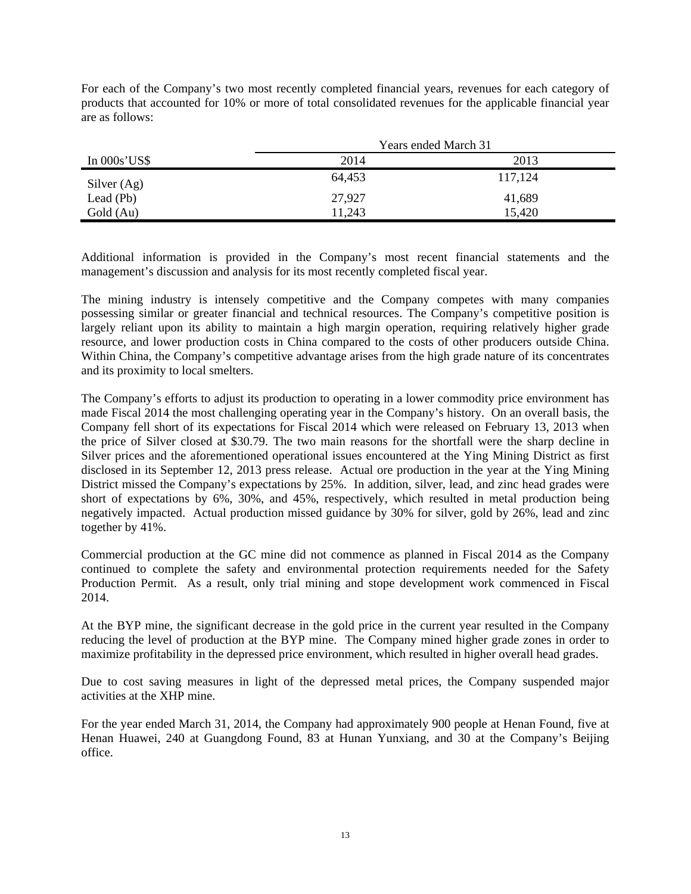For each of the Company's two most recently completed financial years, revenues for each category of products that accounted for 10% or more of total consolidated revenues for the applicable financial year are as follows:

|               |        | Years ended March 31 |
|---------------|--------|----------------------|
| In $000s'USS$ | 2014   | 2013                 |
| Silver $(Ag)$ | 64,453 | 117,124              |
| Lead (Pb)     | 27,927 | 41,689               |
| Gold (Au)     | 11,243 | 15,420               |

Additional information is provided in the Company's most recent financial statements and the management's discussion and analysis for its most recently completed fiscal year.

The mining industry is intensely competitive and the Company competes with many companies possessing similar or greater financial and technical resources. The Company's competitive position is largely reliant upon its ability to maintain a high margin operation, requiring relatively higher grade resource, and lower production costs in China compared to the costs of other producers outside China. Within China, the Company's competitive advantage arises from the high grade nature of its concentrates and its proximity to local smelters.

The Company's efforts to adjust its production to operating in a lower commodity price environment has made Fiscal 2014 the most challenging operating year in the Company's history. On an overall basis, the Company fell short of its expectations for Fiscal 2014 which were released on February 13, 2013 when the price of Silver closed at \$30.79. The two main reasons for the shortfall were the sharp decline in Silver prices and the aforementioned operational issues encountered at the Ying Mining District as first disclosed in its September 12, 2013 press release. Actual ore production in the year at the Ying Mining District missed the Company's expectations by 25%. In addition, silver, lead, and zinc head grades were short of expectations by 6%, 30%, and 45%, respectively, which resulted in metal production being negatively impacted. Actual production missed guidance by 30% for silver, gold by 26%, lead and zinc together by 41%.

Commercial production at the GC mine did not commence as planned in Fiscal 2014 as the Company continued to complete the safety and environmental protection requirements needed for the Safety Production Permit. As a result, only trial mining and stope development work commenced in Fiscal 2014.

At the BYP mine, the significant decrease in the gold price in the current year resulted in the Company reducing the level of production at the BYP mine. The Company mined higher grade zones in order to maximize profitability in the depressed price environment, which resulted in higher overall head grades.

Due to cost saving measures in light of the depressed metal prices, the Company suspended major activities at the XHP mine.

For the year ended March 31, 2014, the Company had approximately 900 people at Henan Found, five at Henan Huawei, 240 at Guangdong Found, 83 at Hunan Yunxiang, and 30 at the Company's Beijing office.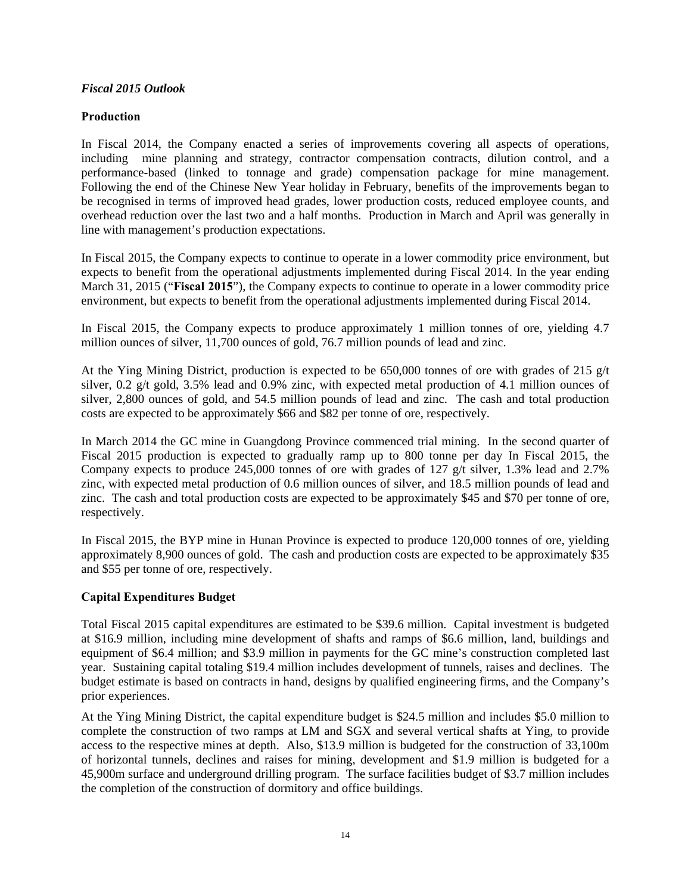## *Fiscal 2015 Outlook*

# **Production**

In Fiscal 2014, the Company enacted a series of improvements covering all aspects of operations, including mine planning and strategy, contractor compensation contracts, dilution control, and a performance-based (linked to tonnage and grade) compensation package for mine management. Following the end of the Chinese New Year holiday in February, benefits of the improvements began to be recognised in terms of improved head grades, lower production costs, reduced employee counts, and overhead reduction over the last two and a half months. Production in March and April was generally in line with management's production expectations.

In Fiscal 2015, the Company expects to continue to operate in a lower commodity price environment, but expects to benefit from the operational adjustments implemented during Fiscal 2014. In the year ending March 31, 2015 ("**Fiscal 2015**"), the Company expects to continue to operate in a lower commodity price environment, but expects to benefit from the operational adjustments implemented during Fiscal 2014.

In Fiscal 2015, the Company expects to produce approximately 1 million tonnes of ore, yielding 4.7 million ounces of silver, 11,700 ounces of gold, 76.7 million pounds of lead and zinc.

At the Ying Mining District, production is expected to be 650,000 tonnes of ore with grades of 215 g/t silver, 0.2 g/t gold, 3.5% lead and 0.9% zinc, with expected metal production of 4.1 million ounces of silver, 2,800 ounces of gold, and 54.5 million pounds of lead and zinc. The cash and total production costs are expected to be approximately \$66 and \$82 per tonne of ore, respectively.

In March 2014 the GC mine in Guangdong Province commenced trial mining. In the second quarter of Fiscal 2015 production is expected to gradually ramp up to 800 tonne per day In Fiscal 2015, the Company expects to produce 245,000 tonnes of ore with grades of 127 g/t silver, 1.3% lead and 2.7% zinc, with expected metal production of 0.6 million ounces of silver, and 18.5 million pounds of lead and zinc. The cash and total production costs are expected to be approximately \$45 and \$70 per tonne of ore, respectively.

In Fiscal 2015, the BYP mine in Hunan Province is expected to produce 120,000 tonnes of ore, yielding approximately 8,900 ounces of gold. The cash and production costs are expected to be approximately \$35 and \$55 per tonne of ore, respectively.

## **Capital Expenditures Budget**

Total Fiscal 2015 capital expenditures are estimated to be \$39.6 million. Capital investment is budgeted at \$16.9 million, including mine development of shafts and ramps of \$6.6 million, land, buildings and equipment of \$6.4 million; and \$3.9 million in payments for the GC mine's construction completed last year. Sustaining capital totaling \$19.4 million includes development of tunnels, raises and declines. The budget estimate is based on contracts in hand, designs by qualified engineering firms, and the Company's prior experiences.

At the Ying Mining District, the capital expenditure budget is \$24.5 million and includes \$5.0 million to complete the construction of two ramps at LM and SGX and several vertical shafts at Ying, to provide access to the respective mines at depth. Also, \$13.9 million is budgeted for the construction of 33,100m of horizontal tunnels, declines and raises for mining, development and \$1.9 million is budgeted for a 45,900m surface and underground drilling program. The surface facilities budget of \$3.7 million includes the completion of the construction of dormitory and office buildings.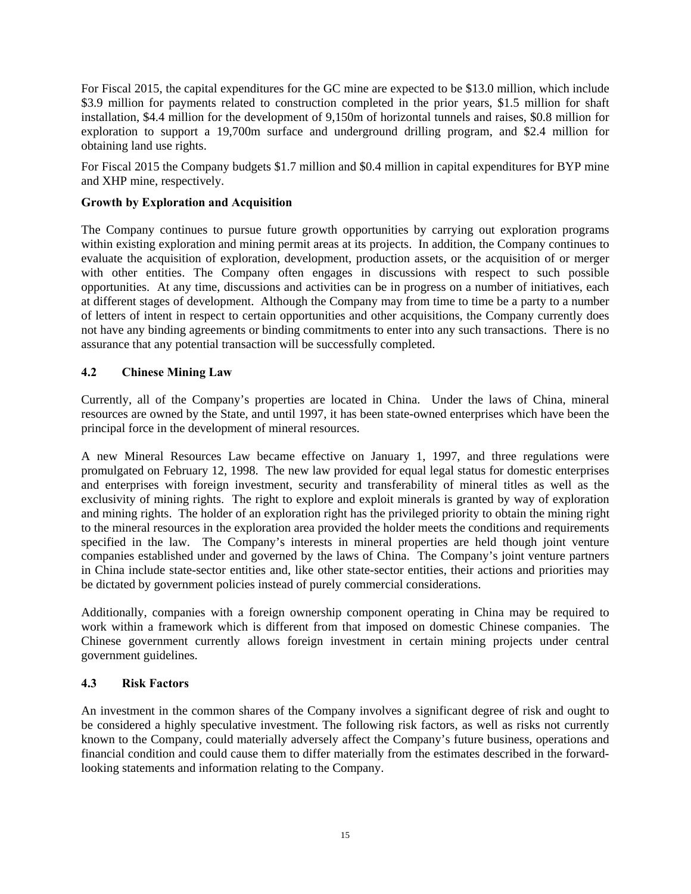For Fiscal 2015, the capital expenditures for the GC mine are expected to be \$13.0 million, which include \$3.9 million for payments related to construction completed in the prior years, \$1.5 million for shaft installation, \$4.4 million for the development of 9,150m of horizontal tunnels and raises, \$0.8 million for exploration to support a 19,700m surface and underground drilling program, and \$2.4 million for obtaining land use rights.

For Fiscal 2015 the Company budgets \$1.7 million and \$0.4 million in capital expenditures for BYP mine and XHP mine, respectively.

# **Growth by Exploration and Acquisition**

The Company continues to pursue future growth opportunities by carrying out exploration programs within existing exploration and mining permit areas at its projects. In addition, the Company continues to evaluate the acquisition of exploration, development, production assets, or the acquisition of or merger with other entities. The Company often engages in discussions with respect to such possible opportunities. At any time, discussions and activities can be in progress on a number of initiatives, each at different stages of development. Although the Company may from time to time be a party to a number of letters of intent in respect to certain opportunities and other acquisitions, the Company currently does not have any binding agreements or binding commitments to enter into any such transactions. There is no assurance that any potential transaction will be successfully completed.

# **4.2 Chinese Mining Law**

Currently, all of the Company's properties are located in China. Under the laws of China, mineral resources are owned by the State, and until 1997, it has been state-owned enterprises which have been the principal force in the development of mineral resources.

A new Mineral Resources Law became effective on January 1, 1997, and three regulations were promulgated on February 12, 1998. The new law provided for equal legal status for domestic enterprises and enterprises with foreign investment, security and transferability of mineral titles as well as the exclusivity of mining rights. The right to explore and exploit minerals is granted by way of exploration and mining rights. The holder of an exploration right has the privileged priority to obtain the mining right to the mineral resources in the exploration area provided the holder meets the conditions and requirements specified in the law. The Company's interests in mineral properties are held though joint venture companies established under and governed by the laws of China. The Company's joint venture partners in China include state-sector entities and, like other state-sector entities, their actions and priorities may be dictated by government policies instead of purely commercial considerations.

Additionally, companies with a foreign ownership component operating in China may be required to work within a framework which is different from that imposed on domestic Chinese companies. The Chinese government currently allows foreign investment in certain mining projects under central government guidelines.

## **4.3 Risk Factors**

An investment in the common shares of the Company involves a significant degree of risk and ought to be considered a highly speculative investment. The following risk factors, as well as risks not currently known to the Company, could materially adversely affect the Company's future business, operations and financial condition and could cause them to differ materially from the estimates described in the forwardlooking statements and information relating to the Company.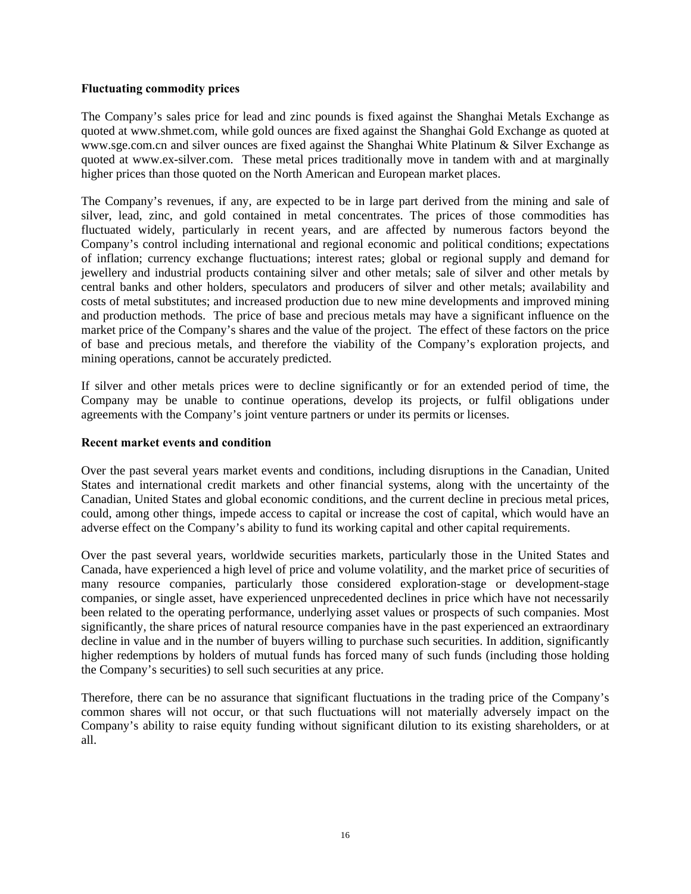### **Fluctuating commodity prices**

The Company's sales price for lead and zinc pounds is fixed against the Shanghai Metals Exchange as quoted at www.shmet.com, while gold ounces are fixed against the Shanghai Gold Exchange as quoted at www.sge.com.cn and silver ounces are fixed against the Shanghai White Platinum & Silver Exchange as quoted at www.ex-silver.com. These metal prices traditionally move in tandem with and at marginally higher prices than those quoted on the North American and European market places.

The Company's revenues, if any, are expected to be in large part derived from the mining and sale of silver, lead, zinc, and gold contained in metal concentrates. The prices of those commodities has fluctuated widely, particularly in recent years, and are affected by numerous factors beyond the Company's control including international and regional economic and political conditions; expectations of inflation; currency exchange fluctuations; interest rates; global or regional supply and demand for jewellery and industrial products containing silver and other metals; sale of silver and other metals by central banks and other holders, speculators and producers of silver and other metals; availability and costs of metal substitutes; and increased production due to new mine developments and improved mining and production methods. The price of base and precious metals may have a significant influence on the market price of the Company's shares and the value of the project. The effect of these factors on the price of base and precious metals, and therefore the viability of the Company's exploration projects, and mining operations, cannot be accurately predicted.

If silver and other metals prices were to decline significantly or for an extended period of time, the Company may be unable to continue operations, develop its projects, or fulfil obligations under agreements with the Company's joint venture partners or under its permits or licenses.

# **Recent market events and condition**

Over the past several years market events and conditions, including disruptions in the Canadian, United States and international credit markets and other financial systems, along with the uncertainty of the Canadian, United States and global economic conditions, and the current decline in precious metal prices, could, among other things, impede access to capital or increase the cost of capital, which would have an adverse effect on the Company's ability to fund its working capital and other capital requirements.

Over the past several years, worldwide securities markets, particularly those in the United States and Canada, have experienced a high level of price and volume volatility, and the market price of securities of many resource companies, particularly those considered exploration-stage or development-stage companies, or single asset, have experienced unprecedented declines in price which have not necessarily been related to the operating performance, underlying asset values or prospects of such companies. Most significantly, the share prices of natural resource companies have in the past experienced an extraordinary decline in value and in the number of buyers willing to purchase such securities. In addition, significantly higher redemptions by holders of mutual funds has forced many of such funds (including those holding the Company's securities) to sell such securities at any price.

Therefore, there can be no assurance that significant fluctuations in the trading price of the Company's common shares will not occur, or that such fluctuations will not materially adversely impact on the Company's ability to raise equity funding without significant dilution to its existing shareholders, or at all.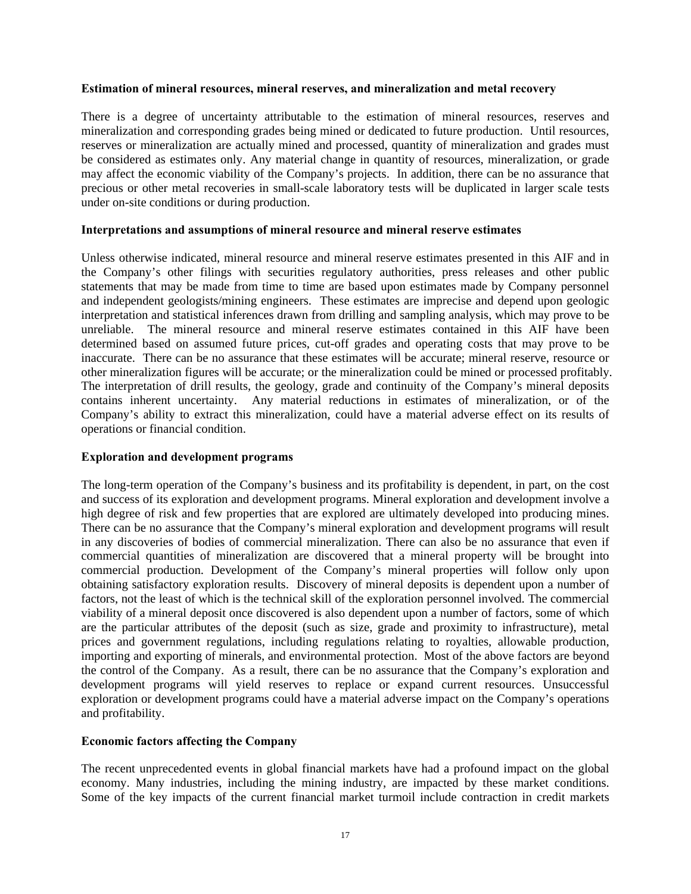#### **Estimation of mineral resources, mineral reserves, and mineralization and metal recovery**

There is a degree of uncertainty attributable to the estimation of mineral resources, reserves and mineralization and corresponding grades being mined or dedicated to future production. Until resources, reserves or mineralization are actually mined and processed, quantity of mineralization and grades must be considered as estimates only. Any material change in quantity of resources, mineralization, or grade may affect the economic viability of the Company's projects. In addition, there can be no assurance that precious or other metal recoveries in small-scale laboratory tests will be duplicated in larger scale tests under on-site conditions or during production.

#### **Interpretations and assumptions of mineral resource and mineral reserve estimates**

Unless otherwise indicated, mineral resource and mineral reserve estimates presented in this AIF and in the Company's other filings with securities regulatory authorities, press releases and other public statements that may be made from time to time are based upon estimates made by Company personnel and independent geologists/mining engineers. These estimates are imprecise and depend upon geologic interpretation and statistical inferences drawn from drilling and sampling analysis, which may prove to be unreliable. The mineral resource and mineral reserve estimates contained in this AIF have been determined based on assumed future prices, cut-off grades and operating costs that may prove to be inaccurate. There can be no assurance that these estimates will be accurate; mineral reserve, resource or other mineralization figures will be accurate; or the mineralization could be mined or processed profitably. The interpretation of drill results, the geology, grade and continuity of the Company's mineral deposits contains inherent uncertainty. Any material reductions in estimates of mineralization, or of the Company's ability to extract this mineralization, could have a material adverse effect on its results of operations or financial condition.

#### **Exploration and development programs**

The long-term operation of the Company's business and its profitability is dependent, in part, on the cost and success of its exploration and development programs. Mineral exploration and development involve a high degree of risk and few properties that are explored are ultimately developed into producing mines. There can be no assurance that the Company's mineral exploration and development programs will result in any discoveries of bodies of commercial mineralization. There can also be no assurance that even if commercial quantities of mineralization are discovered that a mineral property will be brought into commercial production. Development of the Company's mineral properties will follow only upon obtaining satisfactory exploration results. Discovery of mineral deposits is dependent upon a number of factors, not the least of which is the technical skill of the exploration personnel involved. The commercial viability of a mineral deposit once discovered is also dependent upon a number of factors, some of which are the particular attributes of the deposit (such as size, grade and proximity to infrastructure), metal prices and government regulations, including regulations relating to royalties, allowable production, importing and exporting of minerals, and environmental protection. Most of the above factors are beyond the control of the Company. As a result, there can be no assurance that the Company's exploration and development programs will yield reserves to replace or expand current resources. Unsuccessful exploration or development programs could have a material adverse impact on the Company's operations and profitability.

#### **Economic factors affecting the Company**

The recent unprecedented events in global financial markets have had a profound impact on the global economy. Many industries, including the mining industry, are impacted by these market conditions. Some of the key impacts of the current financial market turmoil include contraction in credit markets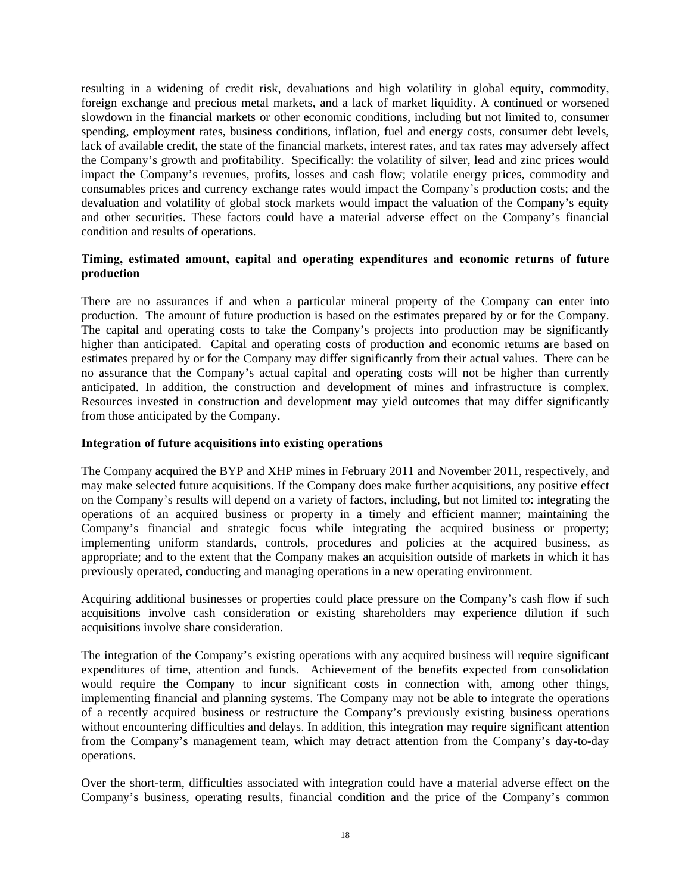resulting in a widening of credit risk, devaluations and high volatility in global equity, commodity, foreign exchange and precious metal markets, and a lack of market liquidity. A continued or worsened slowdown in the financial markets or other economic conditions, including but not limited to, consumer spending, employment rates, business conditions, inflation, fuel and energy costs, consumer debt levels, lack of available credit, the state of the financial markets, interest rates, and tax rates may adversely affect the Company's growth and profitability. Specifically: the volatility of silver, lead and zinc prices would impact the Company's revenues, profits, losses and cash flow; volatile energy prices, commodity and consumables prices and currency exchange rates would impact the Company's production costs; and the devaluation and volatility of global stock markets would impact the valuation of the Company's equity and other securities. These factors could have a material adverse effect on the Company's financial condition and results of operations.

### **Timing, estimated amount, capital and operating expenditures and economic returns of future production**

There are no assurances if and when a particular mineral property of the Company can enter into production. The amount of future production is based on the estimates prepared by or for the Company. The capital and operating costs to take the Company's projects into production may be significantly higher than anticipated. Capital and operating costs of production and economic returns are based on estimates prepared by or for the Company may differ significantly from their actual values. There can be no assurance that the Company's actual capital and operating costs will not be higher than currently anticipated. In addition, the construction and development of mines and infrastructure is complex. Resources invested in construction and development may yield outcomes that may differ significantly from those anticipated by the Company.

### **Integration of future acquisitions into existing operations**

The Company acquired the BYP and XHP mines in February 2011 and November 2011, respectively, and may make selected future acquisitions. If the Company does make further acquisitions, any positive effect on the Company's results will depend on a variety of factors, including, but not limited to: integrating the operations of an acquired business or property in a timely and efficient manner; maintaining the Company's financial and strategic focus while integrating the acquired business or property; implementing uniform standards, controls, procedures and policies at the acquired business, as appropriate; and to the extent that the Company makes an acquisition outside of markets in which it has previously operated, conducting and managing operations in a new operating environment.

Acquiring additional businesses or properties could place pressure on the Company's cash flow if such acquisitions involve cash consideration or existing shareholders may experience dilution if such acquisitions involve share consideration.

The integration of the Company's existing operations with any acquired business will require significant expenditures of time, attention and funds. Achievement of the benefits expected from consolidation would require the Company to incur significant costs in connection with, among other things, implementing financial and planning systems. The Company may not be able to integrate the operations of a recently acquired business or restructure the Company's previously existing business operations without encountering difficulties and delays. In addition, this integration may require significant attention from the Company's management team, which may detract attention from the Company's day-to-day operations.

Over the short-term, difficulties associated with integration could have a material adverse effect on the Company's business, operating results, financial condition and the price of the Company's common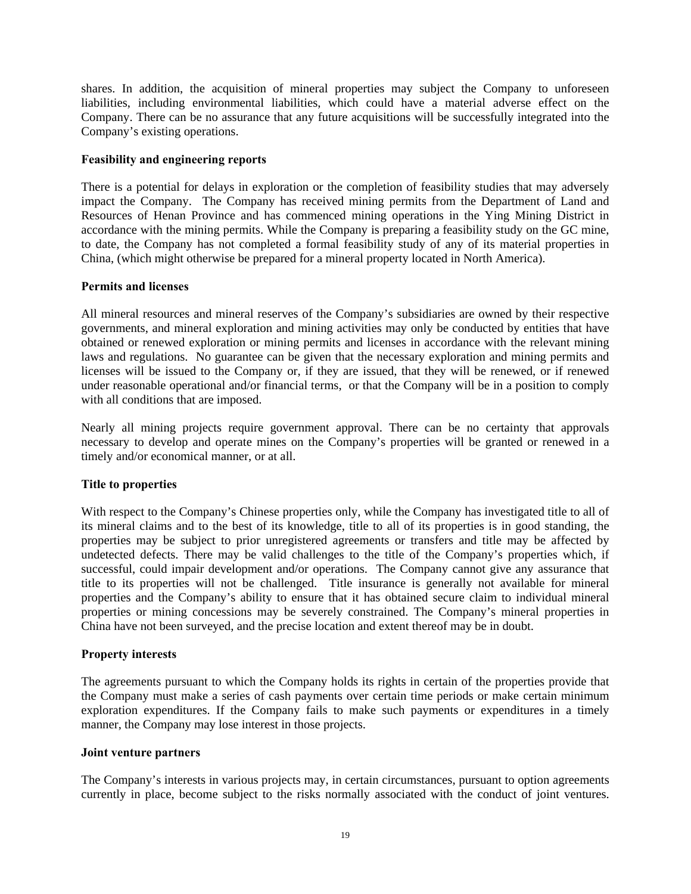shares. In addition, the acquisition of mineral properties may subject the Company to unforeseen liabilities, including environmental liabilities, which could have a material adverse effect on the Company. There can be no assurance that any future acquisitions will be successfully integrated into the Company's existing operations.

### **Feasibility and engineering reports**

There is a potential for delays in exploration or the completion of feasibility studies that may adversely impact the Company. The Company has received mining permits from the Department of Land and Resources of Henan Province and has commenced mining operations in the Ying Mining District in accordance with the mining permits. While the Company is preparing a feasibility study on the GC mine, to date, the Company has not completed a formal feasibility study of any of its material properties in China, (which might otherwise be prepared for a mineral property located in North America).

### **Permits and licenses**

All mineral resources and mineral reserves of the Company's subsidiaries are owned by their respective governments, and mineral exploration and mining activities may only be conducted by entities that have obtained or renewed exploration or mining permits and licenses in accordance with the relevant mining laws and regulations. No guarantee can be given that the necessary exploration and mining permits and licenses will be issued to the Company or, if they are issued, that they will be renewed, or if renewed under reasonable operational and/or financial terms, or that the Company will be in a position to comply with all conditions that are imposed.

Nearly all mining projects require government approval. There can be no certainty that approvals necessary to develop and operate mines on the Company's properties will be granted or renewed in a timely and/or economical manner, or at all.

## **Title to properties**

With respect to the Company's Chinese properties only, while the Company has investigated title to all of its mineral claims and to the best of its knowledge, title to all of its properties is in good standing, the properties may be subject to prior unregistered agreements or transfers and title may be affected by undetected defects. There may be valid challenges to the title of the Company's properties which, if successful, could impair development and/or operations. The Company cannot give any assurance that title to its properties will not be challenged. Title insurance is generally not available for mineral properties and the Company's ability to ensure that it has obtained secure claim to individual mineral properties or mining concessions may be severely constrained. The Company's mineral properties in China have not been surveyed, and the precise location and extent thereof may be in doubt.

#### **Property interests**

The agreements pursuant to which the Company holds its rights in certain of the properties provide that the Company must make a series of cash payments over certain time periods or make certain minimum exploration expenditures. If the Company fails to make such payments or expenditures in a timely manner, the Company may lose interest in those projects.

#### **Joint venture partners**

The Company's interests in various projects may, in certain circumstances, pursuant to option agreements currently in place, become subject to the risks normally associated with the conduct of joint ventures.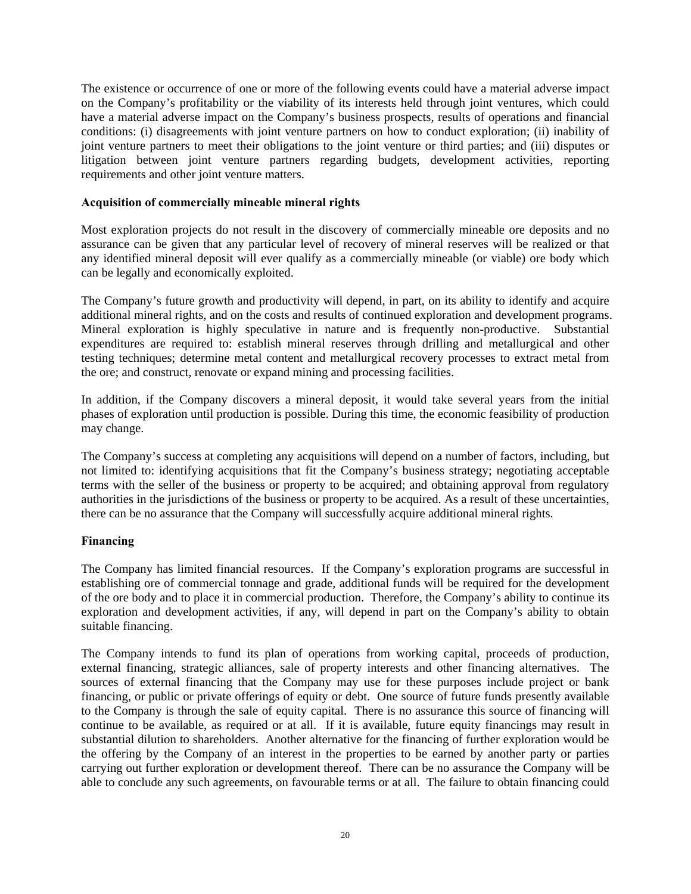The existence or occurrence of one or more of the following events could have a material adverse impact on the Company's profitability or the viability of its interests held through joint ventures, which could have a material adverse impact on the Company's business prospects, results of operations and financial conditions: (i) disagreements with joint venture partners on how to conduct exploration; (ii) inability of joint venture partners to meet their obligations to the joint venture or third parties; and (iii) disputes or litigation between joint venture partners regarding budgets, development activities, reporting requirements and other joint venture matters.

### **Acquisition of commercially mineable mineral rights**

Most exploration projects do not result in the discovery of commercially mineable ore deposits and no assurance can be given that any particular level of recovery of mineral reserves will be realized or that any identified mineral deposit will ever qualify as a commercially mineable (or viable) ore body which can be legally and economically exploited.

The Company's future growth and productivity will depend, in part, on its ability to identify and acquire additional mineral rights, and on the costs and results of continued exploration and development programs. Mineral exploration is highly speculative in nature and is frequently non-productive. Substantial expenditures are required to: establish mineral reserves through drilling and metallurgical and other testing techniques; determine metal content and metallurgical recovery processes to extract metal from the ore; and construct, renovate or expand mining and processing facilities.

In addition, if the Company discovers a mineral deposit, it would take several years from the initial phases of exploration until production is possible. During this time, the economic feasibility of production may change.

The Company's success at completing any acquisitions will depend on a number of factors, including, but not limited to: identifying acquisitions that fit the Company's business strategy; negotiating acceptable terms with the seller of the business or property to be acquired; and obtaining approval from regulatory authorities in the jurisdictions of the business or property to be acquired. As a result of these uncertainties, there can be no assurance that the Company will successfully acquire additional mineral rights.

## **Financing**

The Company has limited financial resources. If the Company's exploration programs are successful in establishing ore of commercial tonnage and grade, additional funds will be required for the development of the ore body and to place it in commercial production. Therefore, the Company's ability to continue its exploration and development activities, if any, will depend in part on the Company's ability to obtain suitable financing.

The Company intends to fund its plan of operations from working capital, proceeds of production, external financing, strategic alliances, sale of property interests and other financing alternatives. The sources of external financing that the Company may use for these purposes include project or bank financing, or public or private offerings of equity or debt. One source of future funds presently available to the Company is through the sale of equity capital. There is no assurance this source of financing will continue to be available, as required or at all. If it is available, future equity financings may result in substantial dilution to shareholders. Another alternative for the financing of further exploration would be the offering by the Company of an interest in the properties to be earned by another party or parties carrying out further exploration or development thereof. There can be no assurance the Company will be able to conclude any such agreements, on favourable terms or at all. The failure to obtain financing could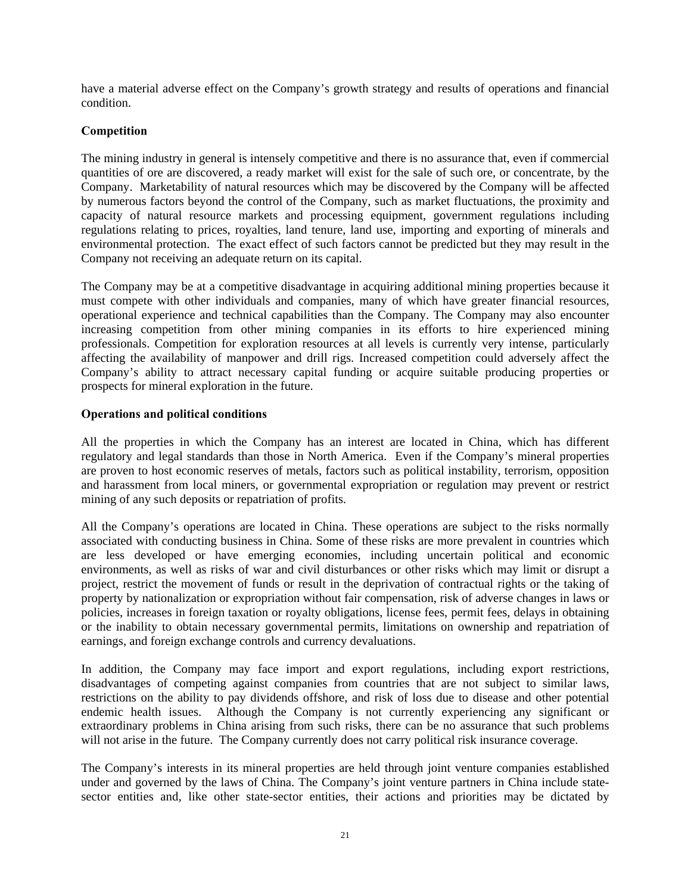have a material adverse effect on the Company's growth strategy and results of operations and financial condition.

# **Competition**

The mining industry in general is intensely competitive and there is no assurance that, even if commercial quantities of ore are discovered, a ready market will exist for the sale of such ore, or concentrate, by the Company. Marketability of natural resources which may be discovered by the Company will be affected by numerous factors beyond the control of the Company, such as market fluctuations, the proximity and capacity of natural resource markets and processing equipment, government regulations including regulations relating to prices, royalties, land tenure, land use, importing and exporting of minerals and environmental protection. The exact effect of such factors cannot be predicted but they may result in the Company not receiving an adequate return on its capital.

The Company may be at a competitive disadvantage in acquiring additional mining properties because it must compete with other individuals and companies, many of which have greater financial resources, operational experience and technical capabilities than the Company. The Company may also encounter increasing competition from other mining companies in its efforts to hire experienced mining professionals. Competition for exploration resources at all levels is currently very intense, particularly affecting the availability of manpower and drill rigs. Increased competition could adversely affect the Company's ability to attract necessary capital funding or acquire suitable producing properties or prospects for mineral exploration in the future.

## **Operations and political conditions**

All the properties in which the Company has an interest are located in China, which has different regulatory and legal standards than those in North America. Even if the Company's mineral properties are proven to host economic reserves of metals, factors such as political instability, terrorism, opposition and harassment from local miners, or governmental expropriation or regulation may prevent or restrict mining of any such deposits or repatriation of profits.

All the Company's operations are located in China. These operations are subject to the risks normally associated with conducting business in China. Some of these risks are more prevalent in countries which are less developed or have emerging economies, including uncertain political and economic environments, as well as risks of war and civil disturbances or other risks which may limit or disrupt a project, restrict the movement of funds or result in the deprivation of contractual rights or the taking of property by nationalization or expropriation without fair compensation, risk of adverse changes in laws or policies, increases in foreign taxation or royalty obligations, license fees, permit fees, delays in obtaining or the inability to obtain necessary governmental permits, limitations on ownership and repatriation of earnings, and foreign exchange controls and currency devaluations.

In addition, the Company may face import and export regulations, including export restrictions, disadvantages of competing against companies from countries that are not subject to similar laws, restrictions on the ability to pay dividends offshore, and risk of loss due to disease and other potential endemic health issues. Although the Company is not currently experiencing any significant or extraordinary problems in China arising from such risks, there can be no assurance that such problems will not arise in the future. The Company currently does not carry political risk insurance coverage.

The Company's interests in its mineral properties are held through joint venture companies established under and governed by the laws of China. The Company's joint venture partners in China include statesector entities and, like other state-sector entities, their actions and priorities may be dictated by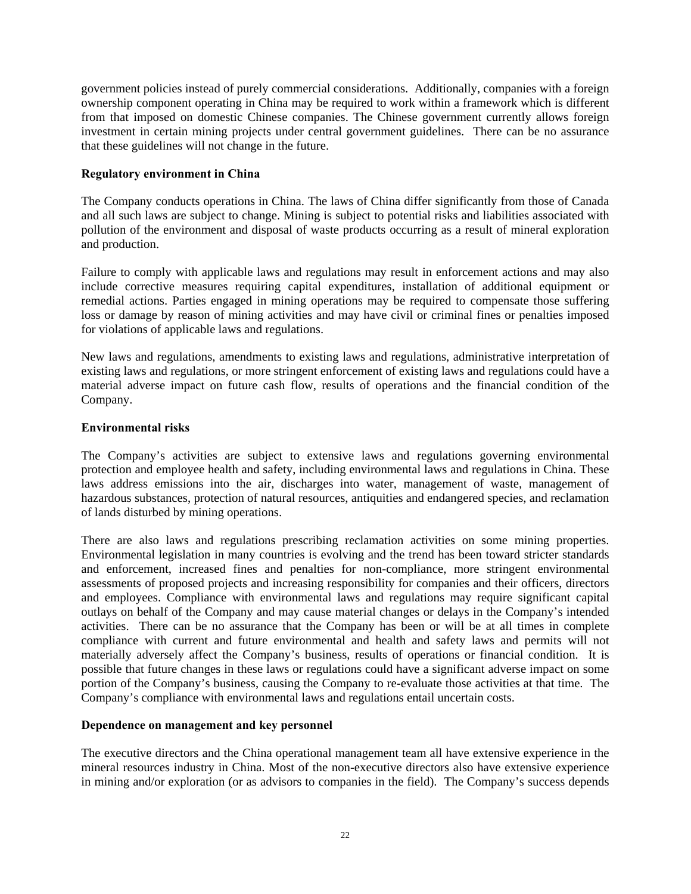government policies instead of purely commercial considerations. Additionally, companies with a foreign ownership component operating in China may be required to work within a framework which is different from that imposed on domestic Chinese companies. The Chinese government currently allows foreign investment in certain mining projects under central government guidelines. There can be no assurance that these guidelines will not change in the future.

## **Regulatory environment in China**

The Company conducts operations in China. The laws of China differ significantly from those of Canada and all such laws are subject to change. Mining is subject to potential risks and liabilities associated with pollution of the environment and disposal of waste products occurring as a result of mineral exploration and production.

Failure to comply with applicable laws and regulations may result in enforcement actions and may also include corrective measures requiring capital expenditures, installation of additional equipment or remedial actions. Parties engaged in mining operations may be required to compensate those suffering loss or damage by reason of mining activities and may have civil or criminal fines or penalties imposed for violations of applicable laws and regulations.

New laws and regulations, amendments to existing laws and regulations, administrative interpretation of existing laws and regulations, or more stringent enforcement of existing laws and regulations could have a material adverse impact on future cash flow, results of operations and the financial condition of the Company.

# **Environmental risks**

The Company's activities are subject to extensive laws and regulations governing environmental protection and employee health and safety, including environmental laws and regulations in China. These laws address emissions into the air, discharges into water, management of waste, management of hazardous substances, protection of natural resources, antiquities and endangered species, and reclamation of lands disturbed by mining operations.

There are also laws and regulations prescribing reclamation activities on some mining properties. Environmental legislation in many countries is evolving and the trend has been toward stricter standards and enforcement, increased fines and penalties for non-compliance, more stringent environmental assessments of proposed projects and increasing responsibility for companies and their officers, directors and employees. Compliance with environmental laws and regulations may require significant capital outlays on behalf of the Company and may cause material changes or delays in the Company's intended activities. There can be no assurance that the Company has been or will be at all times in complete compliance with current and future environmental and health and safety laws and permits will not materially adversely affect the Company's business, results of operations or financial condition. It is possible that future changes in these laws or regulations could have a significant adverse impact on some portion of the Company's business, causing the Company to re-evaluate those activities at that time. The Company's compliance with environmental laws and regulations entail uncertain costs.

## **Dependence on management and key personnel**

The executive directors and the China operational management team all have extensive experience in the mineral resources industry in China. Most of the non-executive directors also have extensive experience in mining and/or exploration (or as advisors to companies in the field). The Company's success depends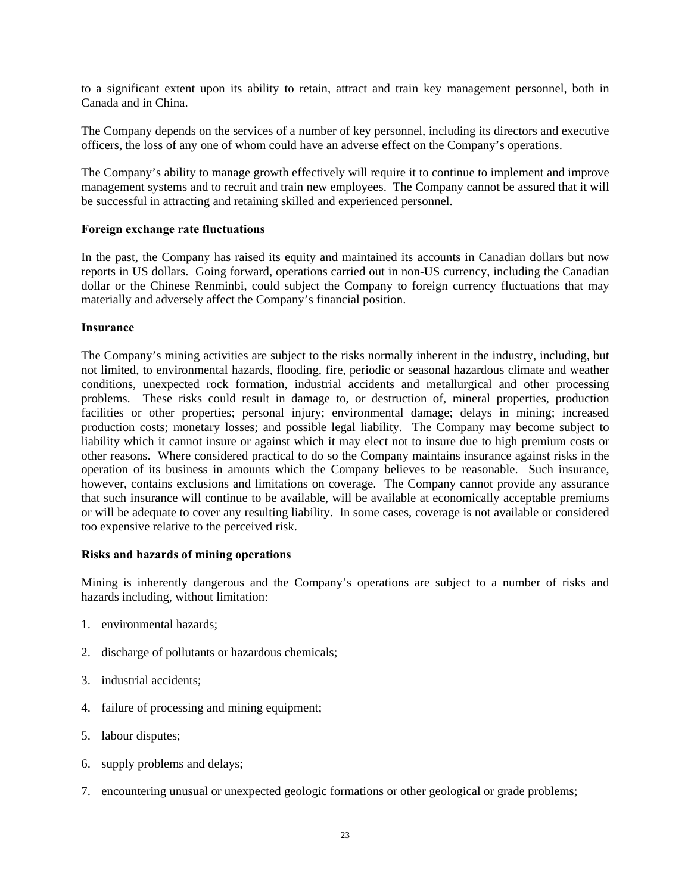to a significant extent upon its ability to retain, attract and train key management personnel, both in Canada and in China.

The Company depends on the services of a number of key personnel, including its directors and executive officers, the loss of any one of whom could have an adverse effect on the Company's operations.

The Company's ability to manage growth effectively will require it to continue to implement and improve management systems and to recruit and train new employees. The Company cannot be assured that it will be successful in attracting and retaining skilled and experienced personnel.

### **Foreign exchange rate fluctuations**

In the past, the Company has raised its equity and maintained its accounts in Canadian dollars but now reports in US dollars. Going forward, operations carried out in non-US currency, including the Canadian dollar or the Chinese Renminbi, could subject the Company to foreign currency fluctuations that may materially and adversely affect the Company's financial position.

### **Insurance**

The Company's mining activities are subject to the risks normally inherent in the industry, including, but not limited, to environmental hazards, flooding, fire, periodic or seasonal hazardous climate and weather conditions, unexpected rock formation, industrial accidents and metallurgical and other processing problems. These risks could result in damage to, or destruction of, mineral properties, production facilities or other properties; personal injury; environmental damage; delays in mining; increased production costs; monetary losses; and possible legal liability. The Company may become subject to liability which it cannot insure or against which it may elect not to insure due to high premium costs or other reasons. Where considered practical to do so the Company maintains insurance against risks in the operation of its business in amounts which the Company believes to be reasonable. Such insurance, however, contains exclusions and limitations on coverage. The Company cannot provide any assurance that such insurance will continue to be available, will be available at economically acceptable premiums or will be adequate to cover any resulting liability. In some cases, coverage is not available or considered too expensive relative to the perceived risk.

#### **Risks and hazards of mining operations**

Mining is inherently dangerous and the Company's operations are subject to a number of risks and hazards including, without limitation:

- 1. environmental hazards;
- 2. discharge of pollutants or hazardous chemicals;
- 3. industrial accidents;
- 4. failure of processing and mining equipment;
- 5. labour disputes;
- 6. supply problems and delays;
- 7. encountering unusual or unexpected geologic formations or other geological or grade problems;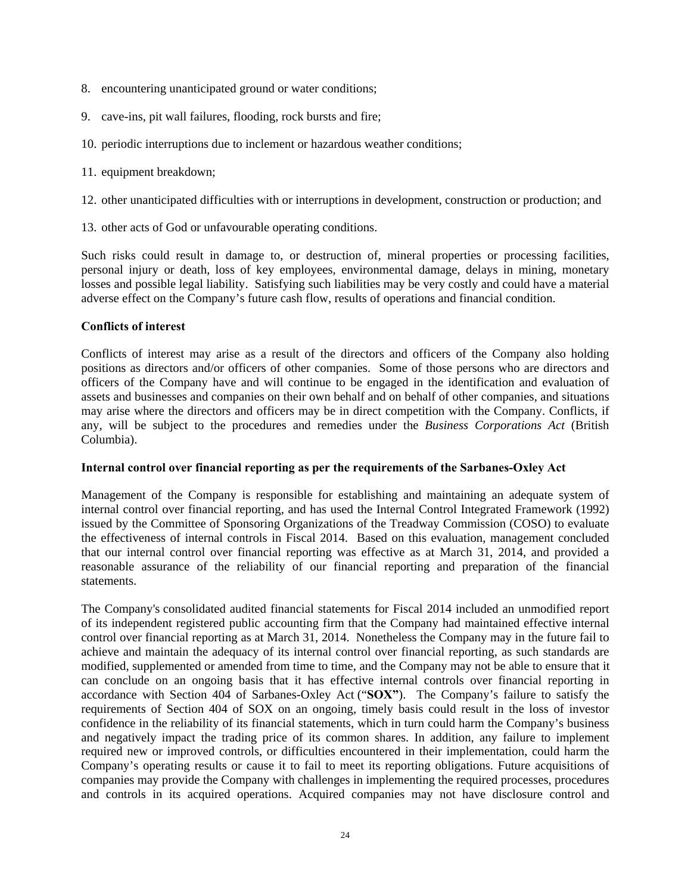- 8. encountering unanticipated ground or water conditions;
- 9. cave-ins, pit wall failures, flooding, rock bursts and fire;
- 10. periodic interruptions due to inclement or hazardous weather conditions;
- 11. equipment breakdown;
- 12. other unanticipated difficulties with or interruptions in development, construction or production; and
- 13. other acts of God or unfavourable operating conditions.

Such risks could result in damage to, or destruction of, mineral properties or processing facilities, personal injury or death, loss of key employees, environmental damage, delays in mining, monetary losses and possible legal liability. Satisfying such liabilities may be very costly and could have a material adverse effect on the Company's future cash flow, results of operations and financial condition.

### **Conflicts of interest**

Conflicts of interest may arise as a result of the directors and officers of the Company also holding positions as directors and/or officers of other companies. Some of those persons who are directors and officers of the Company have and will continue to be engaged in the identification and evaluation of assets and businesses and companies on their own behalf and on behalf of other companies, and situations may arise where the directors and officers may be in direct competition with the Company. Conflicts, if any, will be subject to the procedures and remedies under the *Business Corporations Act* (British Columbia).

#### **Internal control over financial reporting as per the requirements of the Sarbanes-Oxley Act**

Management of the Company is responsible for establishing and maintaining an adequate system of internal control over financial reporting, and has used the Internal Control Integrated Framework (1992) issued by the Committee of Sponsoring Organizations of the Treadway Commission (COSO) to evaluate the effectiveness of internal controls in Fiscal 2014. Based on this evaluation, management concluded that our internal control over financial reporting was effective as at March 31, 2014, and provided a reasonable assurance of the reliability of our financial reporting and preparation of the financial statements.

The Company's consolidated audited financial statements for Fiscal 2014 included an unmodified report of its independent registered public accounting firm that the Company had maintained effective internal control over financial reporting as at March 31, 2014. Nonetheless the Company may in the future fail to achieve and maintain the adequacy of its internal control over financial reporting, as such standards are modified, supplemented or amended from time to time, and the Company may not be able to ensure that it can conclude on an ongoing basis that it has effective internal controls over financial reporting in accordance with Section 404 of Sarbanes-Oxley Act ("**SOX"**). The Company's failure to satisfy the requirements of Section 404 of SOX on an ongoing, timely basis could result in the loss of investor confidence in the reliability of its financial statements, which in turn could harm the Company's business and negatively impact the trading price of its common shares. In addition, any failure to implement required new or improved controls, or difficulties encountered in their implementation, could harm the Company's operating results or cause it to fail to meet its reporting obligations. Future acquisitions of companies may provide the Company with challenges in implementing the required processes, procedures and controls in its acquired operations. Acquired companies may not have disclosure control and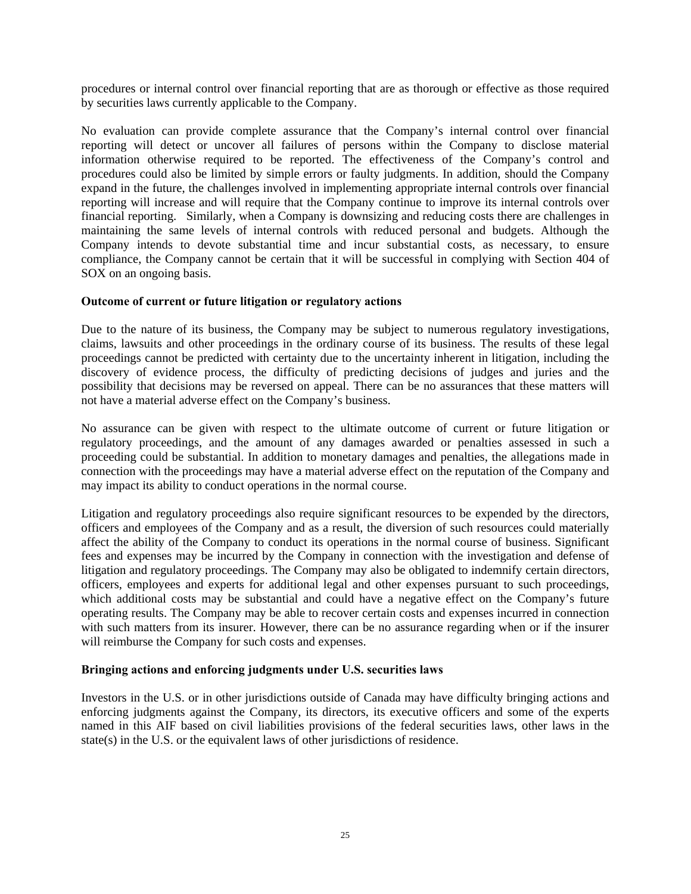procedures or internal control over financial reporting that are as thorough or effective as those required by securities laws currently applicable to the Company.

No evaluation can provide complete assurance that the Company's internal control over financial reporting will detect or uncover all failures of persons within the Company to disclose material information otherwise required to be reported. The effectiveness of the Company's control and procedures could also be limited by simple errors or faulty judgments. In addition, should the Company expand in the future, the challenges involved in implementing appropriate internal controls over financial reporting will increase and will require that the Company continue to improve its internal controls over financial reporting. Similarly, when a Company is downsizing and reducing costs there are challenges in maintaining the same levels of internal controls with reduced personal and budgets. Although the Company intends to devote substantial time and incur substantial costs, as necessary, to ensure compliance, the Company cannot be certain that it will be successful in complying with Section 404 of SOX on an ongoing basis.

### **Outcome of current or future litigation or regulatory actions**

Due to the nature of its business, the Company may be subject to numerous regulatory investigations, claims, lawsuits and other proceedings in the ordinary course of its business. The results of these legal proceedings cannot be predicted with certainty due to the uncertainty inherent in litigation, including the discovery of evidence process, the difficulty of predicting decisions of judges and juries and the possibility that decisions may be reversed on appeal. There can be no assurances that these matters will not have a material adverse effect on the Company's business.

No assurance can be given with respect to the ultimate outcome of current or future litigation or regulatory proceedings, and the amount of any damages awarded or penalties assessed in such a proceeding could be substantial. In addition to monetary damages and penalties, the allegations made in connection with the proceedings may have a material adverse effect on the reputation of the Company and may impact its ability to conduct operations in the normal course.

Litigation and regulatory proceedings also require significant resources to be expended by the directors, officers and employees of the Company and as a result, the diversion of such resources could materially affect the ability of the Company to conduct its operations in the normal course of business. Significant fees and expenses may be incurred by the Company in connection with the investigation and defense of litigation and regulatory proceedings. The Company may also be obligated to indemnify certain directors, officers, employees and experts for additional legal and other expenses pursuant to such proceedings, which additional costs may be substantial and could have a negative effect on the Company's future operating results. The Company may be able to recover certain costs and expenses incurred in connection with such matters from its insurer. However, there can be no assurance regarding when or if the insurer will reimburse the Company for such costs and expenses.

### **Bringing actions and enforcing judgments under U.S. securities laws**

Investors in the U.S. or in other jurisdictions outside of Canada may have difficulty bringing actions and enforcing judgments against the Company, its directors, its executive officers and some of the experts named in this AIF based on civil liabilities provisions of the federal securities laws, other laws in the state(s) in the U.S. or the equivalent laws of other jurisdictions of residence.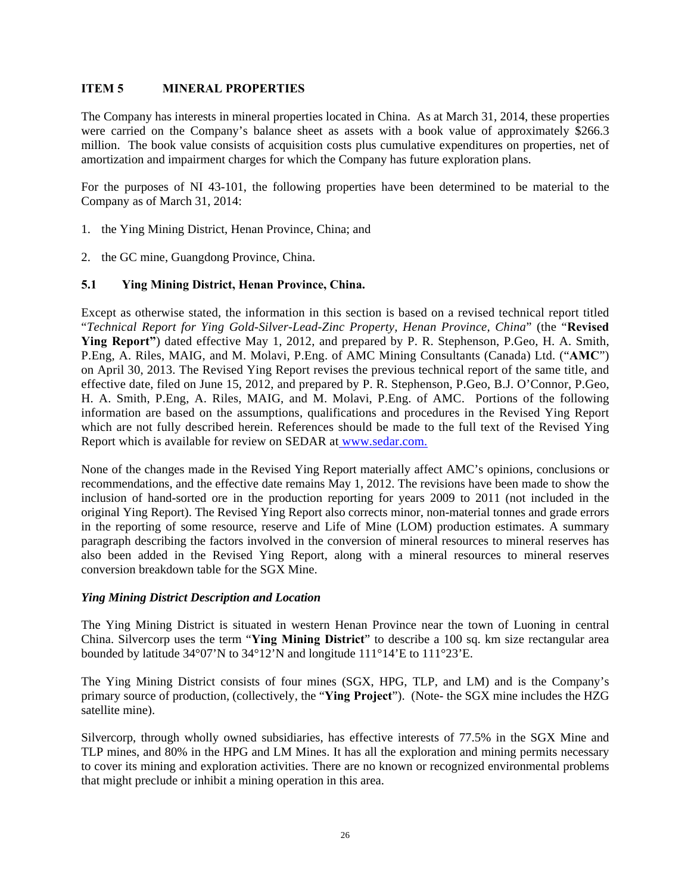## **ITEM 5 MINERAL PROPERTIES**

The Company has interests in mineral properties located in China. As at March 31, 2014, these properties were carried on the Company's balance sheet as assets with a book value of approximately \$266.3 million. The book value consists of acquisition costs plus cumulative expenditures on properties, net of amortization and impairment charges for which the Company has future exploration plans.

For the purposes of NI 43-101, the following properties have been determined to be material to the Company as of March 31, 2014:

- 1. the Ying Mining District, Henan Province, China; and
- 2. the GC mine, Guangdong Province, China.

### **5.1 Ying Mining District, Henan Province, China.**

Except as otherwise stated, the information in this section is based on a revised technical report titled "*Technical Report for Ying Gold-Silver-Lead-Zinc Property, Henan Province, China*" (the "**Revised Ying Report"**) dated effective May 1, 2012, and prepared by P. R. Stephenson, P.Geo, H. A. Smith, P.Eng, A. Riles, MAIG, and M. Molavi, P.Eng. of AMC Mining Consultants (Canada) Ltd. ("**AMC**") on April 30, 2013. The Revised Ying Report revises the previous technical report of the same title, and effective date, filed on June 15, 2012, and prepared by P. R. Stephenson, P.Geo, B.J. O'Connor, P.Geo, H. A. Smith, P.Eng, A. Riles, MAIG, and M. Molavi, P.Eng. of AMC. Portions of the following information are based on the assumptions, qualifications and procedures in the Revised Ying Report which are not fully described herein. References should be made to the full text of the Revised Ying Report which is available for review on SEDAR at www.sedar.com.

None of the changes made in the Revised Ying Report materially affect AMC's opinions, conclusions or recommendations, and the effective date remains May 1, 2012. The revisions have been made to show the inclusion of hand-sorted ore in the production reporting for years 2009 to 2011 (not included in the original Ying Report). The Revised Ying Report also corrects minor, non-material tonnes and grade errors in the reporting of some resource, reserve and Life of Mine (LOM) production estimates. A summary paragraph describing the factors involved in the conversion of mineral resources to mineral reserves has also been added in the Revised Ying Report, along with a mineral resources to mineral reserves conversion breakdown table for the SGX Mine.

#### *Ying Mining District Description and Location*

The Ying Mining District is situated in western Henan Province near the town of Luoning in central China. Silvercorp uses the term "**Ying Mining District**" to describe a 100 sq. km size rectangular area bounded by latitude 34°07'N to 34°12'N and longitude 111°14'E to 111°23'E.

The Ying Mining District consists of four mines (SGX, HPG, TLP, and LM) and is the Company's primary source of production, (collectively, the "**Ying Project**"). (Note- the SGX mine includes the HZG satellite mine).

Silvercorp, through wholly owned subsidiaries, has effective interests of 77.5% in the SGX Mine and TLP mines, and 80% in the HPG and LM Mines. It has all the exploration and mining permits necessary to cover its mining and exploration activities. There are no known or recognized environmental problems that might preclude or inhibit a mining operation in this area.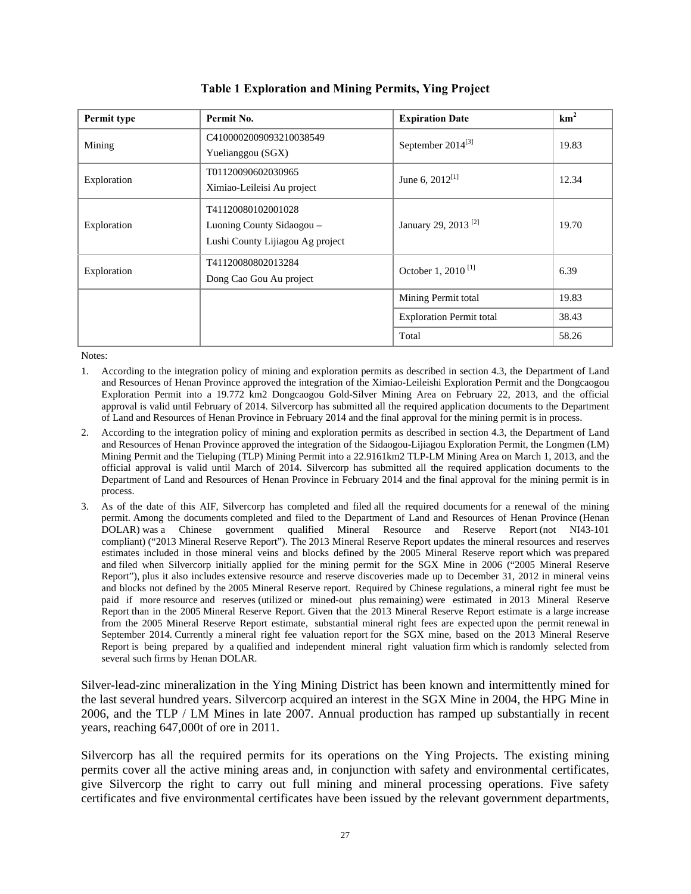| Permit type | Permit No.                                                                          | <b>Expiration Date</b>          | km <sup>2</sup> |
|-------------|-------------------------------------------------------------------------------------|---------------------------------|-----------------|
| Mining      | C4100002009093210038549<br>Yuelianggou (SGX)                                        | September 2014 <sup>[3]</sup>   | 19.83           |
| Exploration | T01120090602030965<br>Ximiao-Leileisi Au project                                    | June 6, $2012^{[1]}$            | 12.34           |
| Exploration | T41120080102001028<br>Luoning County Sidaogou –<br>Lushi County Lijiagou Ag project | January 29, 2013 <sup>[2]</sup> | 19.70           |
| Exploration | T41120080802013284<br>Dong Cao Gou Au project                                       | October 1, 2010 <sup>[1]</sup>  | 6.39            |
|             |                                                                                     | Mining Permit total             | 19.83           |
|             |                                                                                     | <b>Exploration Permit total</b> | 38.43           |
|             |                                                                                     | Total                           | 58.26           |

|  |  | <b>Table 1 Exploration and Mining Permits, Ying Project</b> |
|--|--|-------------------------------------------------------------|
|  |  |                                                             |

Notes:

- 1. According to the integration policy of mining and exploration permits as described in section 4.3, the Department of Land and Resources of Henan Province approved the integration of the Ximiao-Leileishi Exploration Permit and the Dongcaogou Exploration Permit into a 19.772 km2 Dongcaogou Gold-Silver Mining Area on February 22, 2013, and the official approval is valid until February of 2014. Silvercorp has submitted all the required application documents to the Department of Land and Resources of Henan Province in February 2014 and the final approval for the mining permit is in process.
- 2. According to the integration policy of mining and exploration permits as described in section 4.3, the Department of Land and Resources of Henan Province approved the integration of the Sidaogou-Lijiagou Exploration Permit, the Longmen (LM) Mining Permit and the Tieluping (TLP) Mining Permit into a 22.9161km2 TLP-LM Mining Area on March 1, 2013, and the official approval is valid until March of 2014. Silvercorp has submitted all the required application documents to the Department of Land and Resources of Henan Province in February 2014 and the final approval for the mining permit is in process.
- 3. As of the date of this AIF, Silvercorp has completed and filed all the required documents for a renewal of the mining permit. Among the documents completed and filed to the Department of Land and Resources of Henan Province (Henan DOLAR) was a Chinese government qualified Mineral Resource and Reserve Report (not NI43-101 compliant) ("2013 Mineral Reserve Report"). The 2013 Mineral Reserve Report updates the mineral resources and reserves estimates included in those mineral veins and blocks defined by the 2005 Mineral Reserve report which was prepared and filed when Silvercorp initially applied for the mining permit for the SGX Mine in 2006 ("2005 Mineral Reserve Report"), plus it also includes extensive resource and reserve discoveries made up to December 31, 2012 in mineral veins and blocks not defined by the 2005 Mineral Reserve report. Required by Chinese regulations, a mineral right fee must be paid if more resource and reserves (utilized or mined-out plus remaining) were estimated in 2013 Mineral Reserve Report than in the 2005 Mineral Reserve Report. Given that the 2013 Mineral Reserve Report estimate is a large increase from the 2005 Mineral Reserve Report estimate, substantial mineral right fees are expected upon the permit renewal in September 2014. Currently a mineral right fee valuation report for the SGX mine, based on the 2013 Mineral Reserve Report is being prepared by a qualified and independent mineral right valuation firm which is randomly selected from several such firms by Henan DOLAR.

Silver-lead-zinc mineralization in the Ying Mining District has been known and intermittently mined for the last several hundred years. Silvercorp acquired an interest in the SGX Mine in 2004, the HPG Mine in 2006, and the TLP / LM Mines in late 2007. Annual production has ramped up substantially in recent years, reaching 647,000t of ore in 2011.

Silvercorp has all the required permits for its operations on the Ying Projects. The existing mining permits cover all the active mining areas and, in conjunction with safety and environmental certificates, give Silvercorp the right to carry out full mining and mineral processing operations. Five safety certificates and five environmental certificates have been issued by the relevant government departments,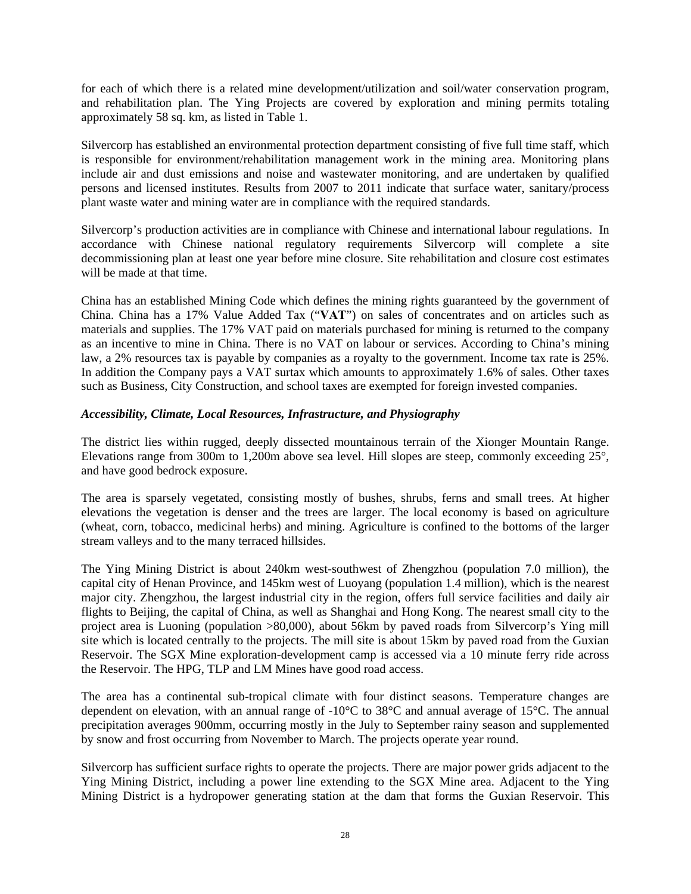for each of which there is a related mine development/utilization and soil/water conservation program, and rehabilitation plan. The Ying Projects are covered by exploration and mining permits totaling approximately 58 sq. km, as listed in Table 1.

Silvercorp has established an environmental protection department consisting of five full time staff, which is responsible for environment/rehabilitation management work in the mining area. Monitoring plans include air and dust emissions and noise and wastewater monitoring, and are undertaken by qualified persons and licensed institutes. Results from 2007 to 2011 indicate that surface water, sanitary/process plant waste water and mining water are in compliance with the required standards.

Silvercorp's production activities are in compliance with Chinese and international labour regulations. In accordance with Chinese national regulatory requirements Silvercorp will complete a site decommissioning plan at least one year before mine closure. Site rehabilitation and closure cost estimates will be made at that time.

China has an established Mining Code which defines the mining rights guaranteed by the government of China. China has a 17% Value Added Tax ("**VAT**") on sales of concentrates and on articles such as materials and supplies. The 17% VAT paid on materials purchased for mining is returned to the company as an incentive to mine in China. There is no VAT on labour or services. According to China's mining law, a 2% resources tax is payable by companies as a royalty to the government. Income tax rate is 25%. In addition the Company pays a VAT surtax which amounts to approximately 1.6% of sales. Other taxes such as Business, City Construction, and school taxes are exempted for foreign invested companies.

## *Accessibility, Climate, Local Resources, Infrastructure, and Physiography*

The district lies within rugged, deeply dissected mountainous terrain of the Xionger Mountain Range. Elevations range from 300m to 1,200m above sea level. Hill slopes are steep, commonly exceeding 25°, and have good bedrock exposure.

The area is sparsely vegetated, consisting mostly of bushes, shrubs, ferns and small trees. At higher elevations the vegetation is denser and the trees are larger. The local economy is based on agriculture (wheat, corn, tobacco, medicinal herbs) and mining. Agriculture is confined to the bottoms of the larger stream valleys and to the many terraced hillsides.

The Ying Mining District is about 240km west-southwest of Zhengzhou (population 7.0 million), the capital city of Henan Province, and 145km west of Luoyang (population 1.4 million), which is the nearest major city. Zhengzhou, the largest industrial city in the region, offers full service facilities and daily air flights to Beijing, the capital of China, as well as Shanghai and Hong Kong. The nearest small city to the project area is Luoning (population >80,000), about 56km by paved roads from Silvercorp's Ying mill site which is located centrally to the projects. The mill site is about 15km by paved road from the Guxian Reservoir. The SGX Mine exploration-development camp is accessed via a 10 minute ferry ride across the Reservoir. The HPG, TLP and LM Mines have good road access.

The area has a continental sub-tropical climate with four distinct seasons. Temperature changes are dependent on elevation, with an annual range of -10°C to 38°C and annual average of 15°C. The annual precipitation averages 900mm, occurring mostly in the July to September rainy season and supplemented by snow and frost occurring from November to March. The projects operate year round.

Silvercorp has sufficient surface rights to operate the projects. There are major power grids adjacent to the Ying Mining District, including a power line extending to the SGX Mine area. Adjacent to the Ying Mining District is a hydropower generating station at the dam that forms the Guxian Reservoir. This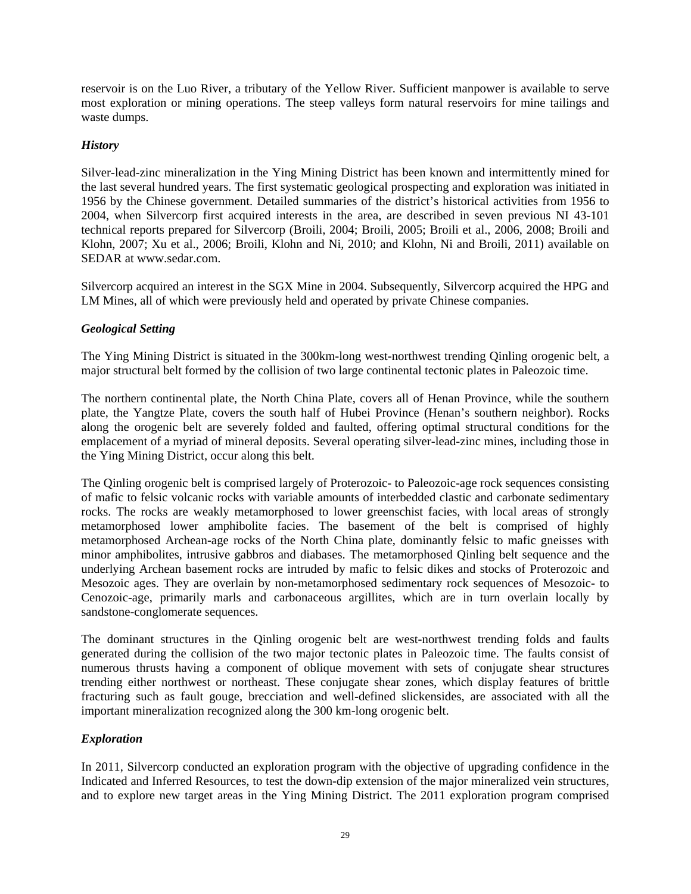reservoir is on the Luo River, a tributary of the Yellow River. Sufficient manpower is available to serve most exploration or mining operations. The steep valleys form natural reservoirs for mine tailings and waste dumps.

# *History*

Silver-lead-zinc mineralization in the Ying Mining District has been known and intermittently mined for the last several hundred years. The first systematic geological prospecting and exploration was initiated in 1956 by the Chinese government. Detailed summaries of the district's historical activities from 1956 to 2004, when Silvercorp first acquired interests in the area, are described in seven previous NI 43-101 technical reports prepared for Silvercorp (Broili, 2004; Broili, 2005; Broili et al., 2006, 2008; Broili and Klohn, 2007; Xu et al., 2006; Broili, Klohn and Ni, 2010; and Klohn, Ni and Broili, 2011) available on SEDAR at www.sedar.com.

Silvercorp acquired an interest in the SGX Mine in 2004. Subsequently, Silvercorp acquired the HPG and LM Mines, all of which were previously held and operated by private Chinese companies.

## *Geological Setting*

The Ying Mining District is situated in the 300km-long west-northwest trending Qinling orogenic belt, a major structural belt formed by the collision of two large continental tectonic plates in Paleozoic time.

The northern continental plate, the North China Plate, covers all of Henan Province, while the southern plate, the Yangtze Plate, covers the south half of Hubei Province (Henan's southern neighbor). Rocks along the orogenic belt are severely folded and faulted, offering optimal structural conditions for the emplacement of a myriad of mineral deposits. Several operating silver-lead-zinc mines, including those in the Ying Mining District, occur along this belt.

The Qinling orogenic belt is comprised largely of Proterozoic- to Paleozoic-age rock sequences consisting of mafic to felsic volcanic rocks with variable amounts of interbedded clastic and carbonate sedimentary rocks. The rocks are weakly metamorphosed to lower greenschist facies, with local areas of strongly metamorphosed lower amphibolite facies. The basement of the belt is comprised of highly metamorphosed Archean-age rocks of the North China plate, dominantly felsic to mafic gneisses with minor amphibolites, intrusive gabbros and diabases. The metamorphosed Qinling belt sequence and the underlying Archean basement rocks are intruded by mafic to felsic dikes and stocks of Proterozoic and Mesozoic ages. They are overlain by non-metamorphosed sedimentary rock sequences of Mesozoic- to Cenozoic-age, primarily marls and carbonaceous argillites, which are in turn overlain locally by sandstone-conglomerate sequences.

The dominant structures in the Qinling orogenic belt are west-northwest trending folds and faults generated during the collision of the two major tectonic plates in Paleozoic time. The faults consist of numerous thrusts having a component of oblique movement with sets of conjugate shear structures trending either northwest or northeast. These conjugate shear zones, which display features of brittle fracturing such as fault gouge, brecciation and well-defined slickensides, are associated with all the important mineralization recognized along the 300 km-long orogenic belt.

## *Exploration*

In 2011, Silvercorp conducted an exploration program with the objective of upgrading confidence in the Indicated and Inferred Resources, to test the down-dip extension of the major mineralized vein structures, and to explore new target areas in the Ying Mining District. The 2011 exploration program comprised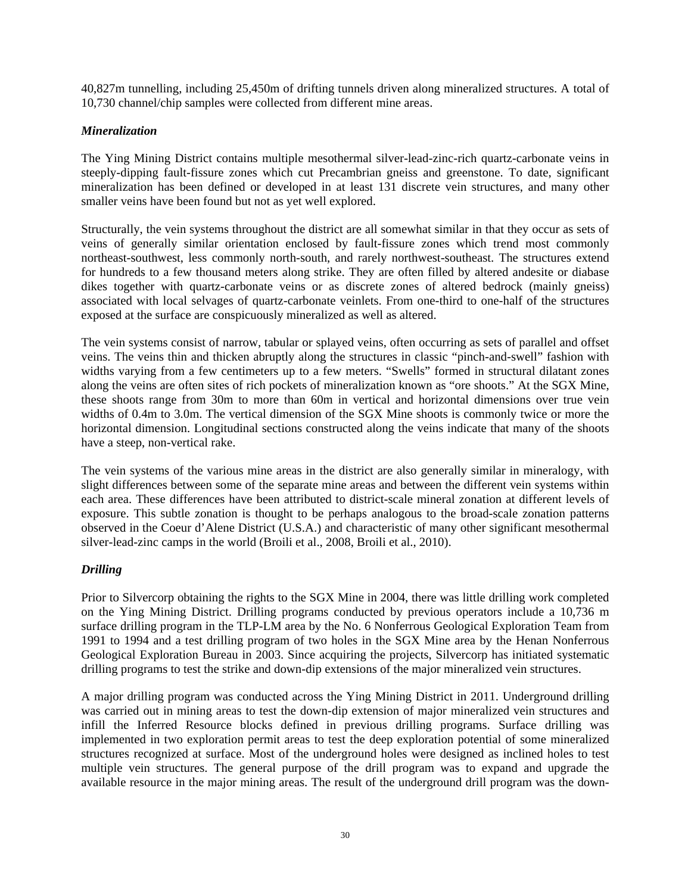40,827m tunnelling, including 25,450m of drifting tunnels driven along mineralized structures. A total of 10,730 channel/chip samples were collected from different mine areas.

## *Mineralization*

The Ying Mining District contains multiple mesothermal silver-lead-zinc-rich quartz-carbonate veins in steeply-dipping fault-fissure zones which cut Precambrian gneiss and greenstone. To date, significant mineralization has been defined or developed in at least 131 discrete vein structures, and many other smaller veins have been found but not as yet well explored.

Structurally, the vein systems throughout the district are all somewhat similar in that they occur as sets of veins of generally similar orientation enclosed by fault-fissure zones which trend most commonly northeast-southwest, less commonly north-south, and rarely northwest-southeast. The structures extend for hundreds to a few thousand meters along strike. They are often filled by altered andesite or diabase dikes together with quartz-carbonate veins or as discrete zones of altered bedrock (mainly gneiss) associated with local selvages of quartz-carbonate veinlets. From one-third to one-half of the structures exposed at the surface are conspicuously mineralized as well as altered.

The vein systems consist of narrow, tabular or splayed veins, often occurring as sets of parallel and offset veins. The veins thin and thicken abruptly along the structures in classic "pinch-and-swell" fashion with widths varying from a few centimeters up to a few meters. "Swells" formed in structural dilatant zones along the veins are often sites of rich pockets of mineralization known as "ore shoots." At the SGX Mine, these shoots range from 30m to more than 60m in vertical and horizontal dimensions over true vein widths of 0.4m to 3.0m. The vertical dimension of the SGX Mine shoots is commonly twice or more the horizontal dimension. Longitudinal sections constructed along the veins indicate that many of the shoots have a steep, non-vertical rake.

The vein systems of the various mine areas in the district are also generally similar in mineralogy, with slight differences between some of the separate mine areas and between the different vein systems within each area. These differences have been attributed to district-scale mineral zonation at different levels of exposure. This subtle zonation is thought to be perhaps analogous to the broad-scale zonation patterns observed in the Coeur d'Alene District (U.S.A.) and characteristic of many other significant mesothermal silver-lead-zinc camps in the world (Broili et al., 2008, Broili et al., 2010).

## *Drilling*

Prior to Silvercorp obtaining the rights to the SGX Mine in 2004, there was little drilling work completed on the Ying Mining District. Drilling programs conducted by previous operators include a 10,736 m surface drilling program in the TLP-LM area by the No. 6 Nonferrous Geological Exploration Team from 1991 to 1994 and a test drilling program of two holes in the SGX Mine area by the Henan Nonferrous Geological Exploration Bureau in 2003. Since acquiring the projects, Silvercorp has initiated systematic drilling programs to test the strike and down-dip extensions of the major mineralized vein structures.

A major drilling program was conducted across the Ying Mining District in 2011. Underground drilling was carried out in mining areas to test the down-dip extension of major mineralized vein structures and infill the Inferred Resource blocks defined in previous drilling programs. Surface drilling was implemented in two exploration permit areas to test the deep exploration potential of some mineralized structures recognized at surface. Most of the underground holes were designed as inclined holes to test multiple vein structures. The general purpose of the drill program was to expand and upgrade the available resource in the major mining areas. The result of the underground drill program was the down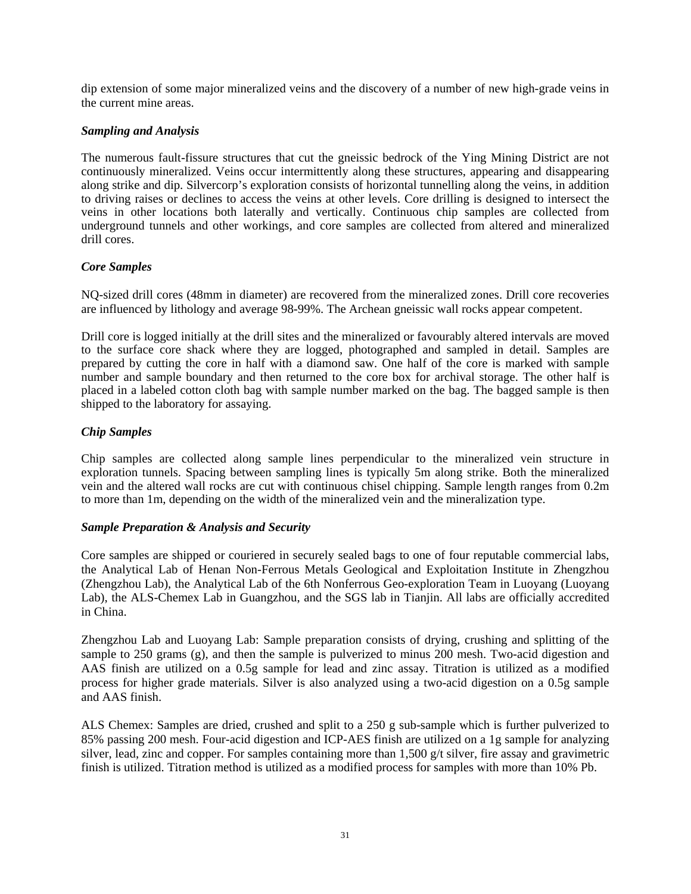dip extension of some major mineralized veins and the discovery of a number of new high-grade veins in the current mine areas.

## *Sampling and Analysis*

The numerous fault-fissure structures that cut the gneissic bedrock of the Ying Mining District are not continuously mineralized. Veins occur intermittently along these structures, appearing and disappearing along strike and dip. Silvercorp's exploration consists of horizontal tunnelling along the veins, in addition to driving raises or declines to access the veins at other levels. Core drilling is designed to intersect the veins in other locations both laterally and vertically. Continuous chip samples are collected from underground tunnels and other workings, and core samples are collected from altered and mineralized drill cores.

### *Core Samples*

NQ-sized drill cores (48mm in diameter) are recovered from the mineralized zones. Drill core recoveries are influenced by lithology and average 98-99%. The Archean gneissic wall rocks appear competent.

Drill core is logged initially at the drill sites and the mineralized or favourably altered intervals are moved to the surface core shack where they are logged, photographed and sampled in detail. Samples are prepared by cutting the core in half with a diamond saw. One half of the core is marked with sample number and sample boundary and then returned to the core box for archival storage. The other half is placed in a labeled cotton cloth bag with sample number marked on the bag. The bagged sample is then shipped to the laboratory for assaying.

## *Chip Samples*

Chip samples are collected along sample lines perpendicular to the mineralized vein structure in exploration tunnels. Spacing between sampling lines is typically 5m along strike. Both the mineralized vein and the altered wall rocks are cut with continuous chisel chipping. Sample length ranges from 0.2m to more than 1m, depending on the width of the mineralized vein and the mineralization type.

## *Sample Preparation & Analysis and Security*

Core samples are shipped or couriered in securely sealed bags to one of four reputable commercial labs, the Analytical Lab of Henan Non-Ferrous Metals Geological and Exploitation Institute in Zhengzhou (Zhengzhou Lab), the Analytical Lab of the 6th Nonferrous Geo-exploration Team in Luoyang (Luoyang Lab), the ALS-Chemex Lab in Guangzhou, and the SGS lab in Tianjin. All labs are officially accredited in China.

Zhengzhou Lab and Luoyang Lab: Sample preparation consists of drying, crushing and splitting of the sample to 250 grams (g), and then the sample is pulverized to minus 200 mesh. Two-acid digestion and AAS finish are utilized on a 0.5g sample for lead and zinc assay. Titration is utilized as a modified process for higher grade materials. Silver is also analyzed using a two-acid digestion on a 0.5g sample and AAS finish.

ALS Chemex: Samples are dried, crushed and split to a 250 g sub-sample which is further pulverized to 85% passing 200 mesh. Four-acid digestion and ICP-AES finish are utilized on a 1g sample for analyzing silver, lead, zinc and copper. For samples containing more than 1,500 g/t silver, fire assay and gravimetric finish is utilized. Titration method is utilized as a modified process for samples with more than 10% Pb.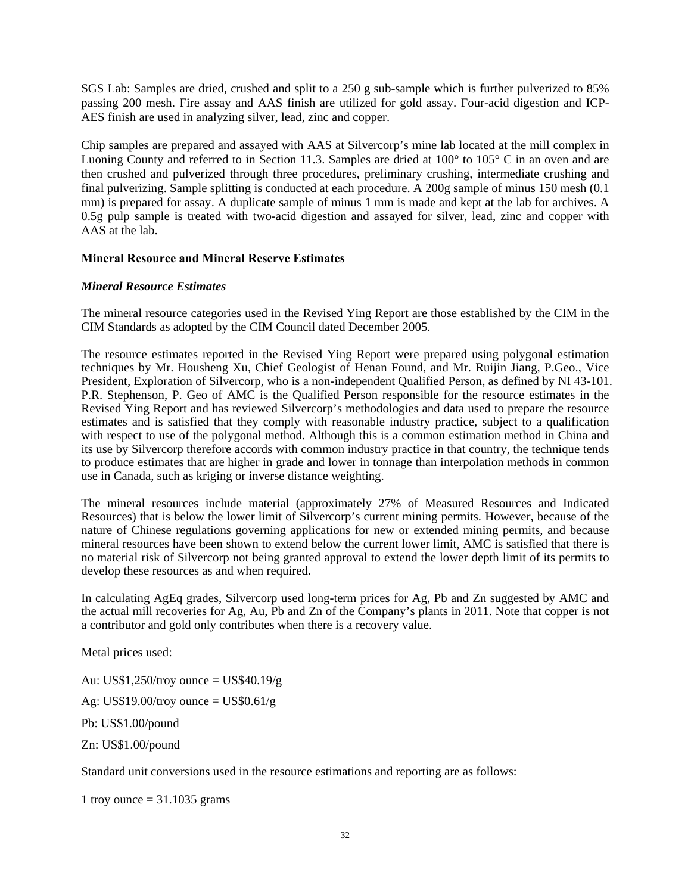SGS Lab: Samples are dried, crushed and split to a 250 g sub-sample which is further pulverized to 85% passing 200 mesh. Fire assay and AAS finish are utilized for gold assay. Four-acid digestion and ICP-AES finish are used in analyzing silver, lead, zinc and copper.

Chip samples are prepared and assayed with AAS at Silvercorp's mine lab located at the mill complex in Luoning County and referred to in Section 11.3. Samples are dried at 100° to 105° C in an oven and are then crushed and pulverized through three procedures, preliminary crushing, intermediate crushing and final pulverizing. Sample splitting is conducted at each procedure. A 200g sample of minus 150 mesh (0.1 mm) is prepared for assay. A duplicate sample of minus 1 mm is made and kept at the lab for archives. A 0.5g pulp sample is treated with two-acid digestion and assayed for silver, lead, zinc and copper with AAS at the lab.

## **Mineral Resource and Mineral Reserve Estimates**

### *Mineral Resource Estimates*

The mineral resource categories used in the Revised Ying Report are those established by the CIM in the CIM Standards as adopted by the CIM Council dated December 2005.

The resource estimates reported in the Revised Ying Report were prepared using polygonal estimation techniques by Mr. Housheng Xu, Chief Geologist of Henan Found, and Mr. Ruijin Jiang, P.Geo., Vice President, Exploration of Silvercorp, who is a non-independent Qualified Person, as defined by NI 43-101. P.R. Stephenson, P. Geo of AMC is the Qualified Person responsible for the resource estimates in the Revised Ying Report and has reviewed Silvercorp's methodologies and data used to prepare the resource estimates and is satisfied that they comply with reasonable industry practice, subject to a qualification with respect to use of the polygonal method. Although this is a common estimation method in China and its use by Silvercorp therefore accords with common industry practice in that country, the technique tends to produce estimates that are higher in grade and lower in tonnage than interpolation methods in common use in Canada, such as kriging or inverse distance weighting.

The mineral resources include material (approximately 27% of Measured Resources and Indicated Resources) that is below the lower limit of Silvercorp's current mining permits. However, because of the nature of Chinese regulations governing applications for new or extended mining permits, and because mineral resources have been shown to extend below the current lower limit, AMC is satisfied that there is no material risk of Silvercorp not being granted approval to extend the lower depth limit of its permits to develop these resources as and when required.

In calculating AgEq grades, Silvercorp used long-term prices for Ag, Pb and Zn suggested by AMC and the actual mill recoveries for Ag, Au, Pb and Zn of the Company's plants in 2011. Note that copper is not a contributor and gold only contributes when there is a recovery value.

Metal prices used:

Au: US\$1,250/troy ounce  $=$  US\$40.19/g

Ag: US\$19.00/troy ounce = US\$0.61/g

Pb: US\$1.00/pound

Zn: US\$1.00/pound

Standard unit conversions used in the resource estimations and reporting are as follows:

1 troy ounce  $= 31.1035$  grams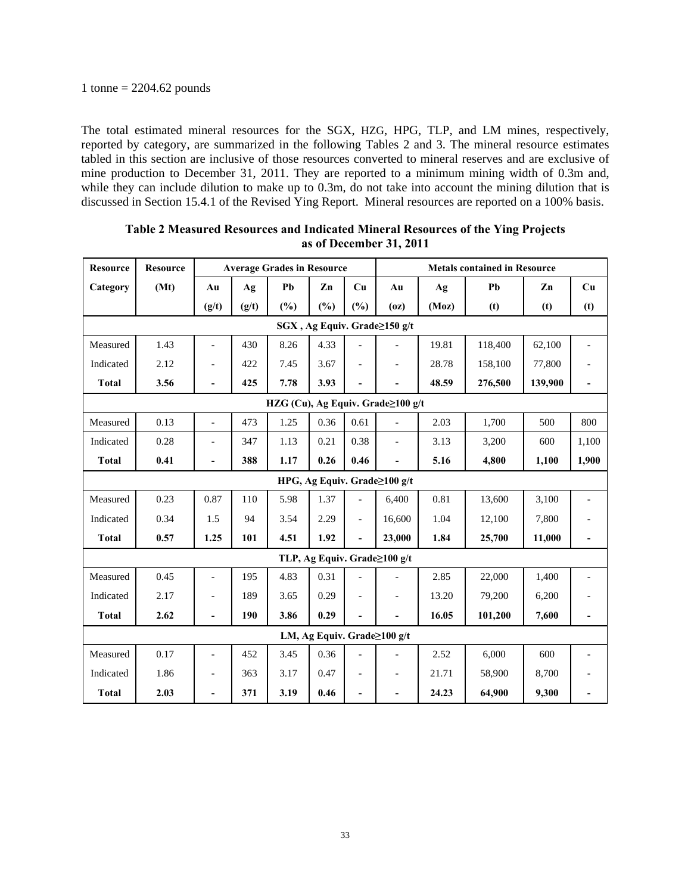The total estimated mineral resources for the SGX, HZG, HPG, TLP, and LM mines, respectively, reported by category, are summarized in the following Tables 2 and 3. The mineral resource estimates tabled in this section are inclusive of those resources converted to mineral reserves and are exclusive of mine production to December 31, 2011. They are reported to a minimum mining width of 0.3m and, while they can include dilution to make up to 0.3m, do not take into account the mining dilution that is discussed in Section 15.4.1 of the Revised Ying Report. Mineral resources are reported on a 100% basis.

| <b>Resource</b>              | <b>Resource</b> |                          |       | <b>Average Grades in Resource</b> |      |                          | <b>Metals contained in Resource</b> |       |         |         |       |
|------------------------------|-----------------|--------------------------|-------|-----------------------------------|------|--------------------------|-------------------------------------|-------|---------|---------|-------|
| Category                     | (Mt)            | Au                       | Ag    | Pb                                | Zn   | Cu                       | Au                                  | Ag    | Pb      | Zn      | Cu    |
|                              |                 | (g/t)                    | (g/t) | (%)                               | (%)  | (%)                      | (oz)                                | (Moz) | (t)     | (t)     | (t)   |
| SGX, Ag Equiv. Grade≥150 g/t |                 |                          |       |                                   |      |                          |                                     |       |         |         |       |
| Measured                     | 1.43            | $\overline{a}$           | 430   | 8.26                              | 4.33 |                          |                                     | 19.81 | 118,400 | 62,100  |       |
| Indicated                    | 2.12            | $\overline{a}$           | 422   | 7.45                              | 3.67 | $\overline{a}$           | $\blacksquare$                      | 28.78 | 158,100 | 77,800  |       |
| <b>Total</b>                 | 3.56            | $\overline{\phantom{0}}$ | 425   | 7.78                              | 3.93 | $\overline{a}$           | $\overline{\phantom{a}}$            | 48.59 | 276,500 | 139,900 | -     |
|                              |                 |                          |       |                                   |      |                          | HZG (Cu), Ag Equiv. Grade≥100 g/t   |       |         |         |       |
| Measured                     | 0.13            | $\overline{a}$           | 473   | 1.25                              | 0.36 | 0.61                     | $\overline{a}$                      | 2.03  | 1,700   | 500     | 800   |
| Indicated                    | 0.28            | $\overline{a}$           | 347   | 1.13                              | 0.21 | 0.38                     |                                     | 3.13  | 3,200   | 600     | 1,100 |
| <b>Total</b>                 | 0.41            | $\overline{a}$           | 388   | 1.17                              | 0.26 | 0.46                     | $\blacksquare$                      | 5.16  | 4,800   | 1,100   | 1,900 |
|                              |                 |                          |       |                                   |      |                          | HPG, Ag Equiv. Grade > 100 g/t      |       |         |         |       |
| Measured                     | 0.23            | 0.87                     | 110   | 5.98                              | 1.37 | $\overline{a}$           | 6,400                               | 0.81  | 13,600  | 3,100   |       |
| Indicated                    | 0.34            | 1.5                      | 94    | 3.54                              | 2.29 | $\overline{\phantom{0}}$ | 16,600                              | 1.04  | 12,100  | 7,800   |       |
| <b>Total</b>                 | 0.57            | 1.25                     | 101   | 4.51                              | 1.92 | $\overline{a}$           | 23,000                              | 1.84  | 25,700  | 11,000  |       |
|                              |                 |                          |       |                                   |      |                          | TLP, Ag Equiv. Grade≥100 g/t        |       |         |         |       |
| Measured                     | 0.45            | $\overline{a}$           | 195   | 4.83                              | 0.31 |                          |                                     | 2.85  | 22,000  | 1,400   |       |
| Indicated                    | 2.17            | $\overline{a}$           | 189   | 3.65                              | 0.29 | $\overline{a}$           | $\blacksquare$                      | 13.20 | 79,200  | 6,200   |       |
| <b>Total</b>                 | 2.62            | -                        | 190   | 3.86                              | 0.29 | $\overline{\phantom{0}}$ | $\blacksquare$                      | 16.05 | 101.200 | 7.600   | -     |
|                              |                 |                          |       |                                   |      |                          | LM, Ag Equiv. Grade≥100 g/t         |       |         |         |       |
| Measured                     | 0.17            | $\overline{a}$           | 452   | 3.45                              | 0.36 |                          |                                     | 2.52  | 6,000   | 600     |       |
| Indicated                    | 1.86            | $\overline{a}$           | 363   | 3.17                              | 0.47 | $\overline{a}$           | $\overline{a}$                      | 21.71 | 58,900  | 8,700   |       |
| <b>Total</b>                 | 2.03            | -                        | 371   | 3.19                              | 0.46 | $\overline{\phantom{0}}$ | -                                   | 24.23 | 64,900  | 9,300   |       |

| Table 2 Measured Resources and Indicated Mineral Resources of the Ying Projects |  |
|---------------------------------------------------------------------------------|--|
| as of December 31, 2011                                                         |  |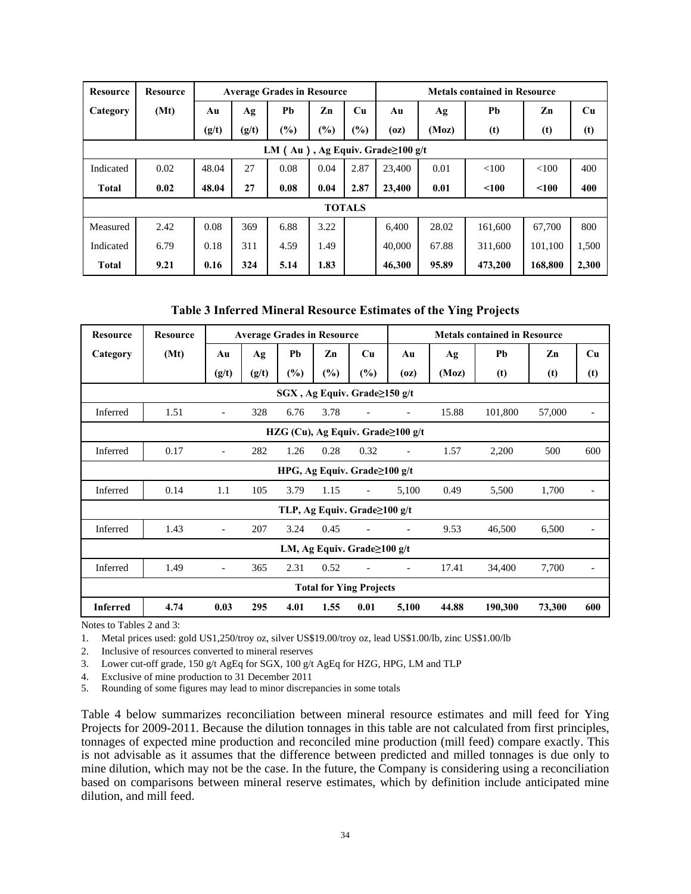| <b>Resource</b>                                | <b>Resource</b> | <b>Average Grades in Resource</b> |       |        |        |               | <b>Metals contained in Resource</b> |       |         |         |       |
|------------------------------------------------|-----------------|-----------------------------------|-------|--------|--------|---------------|-------------------------------------|-------|---------|---------|-------|
| Category                                       | (Mt)            | Au                                | Ag    | Pb     | Zn     | Cu            | Au                                  | Ag    | Pb      | Zn      | Cu    |
|                                                |                 | (g/t)                             | (g/t) | $(\%)$ | $(\%)$ | (%)           | (oz)                                | (Moz) | (t)     | (t)     | (t)   |
| LM $($ Au $)$ , Ag Equiv. Grade $\geq 100$ g/t |                 |                                   |       |        |        |               |                                     |       |         |         |       |
| Indicated                                      | 0.02            | 48.04                             | 27    | 0.08   | 0.04   | 2.87          | 23,400                              | 0.01  | < 100   | < 100   | 400   |
| <b>Total</b>                                   | 0.02            | 48.04                             | 27    | 0.08   | 0.04   | 2.87          | 23,400                              | 0.01  | < 100   | < 100   | 400   |
|                                                |                 |                                   |       |        |        | <b>TOTALS</b> |                                     |       |         |         |       |
| Measured                                       | 2.42            | 0.08                              | 369   | 6.88   | 3.22   |               | 6.400                               | 28.02 | 161,600 | 67,700  | 800   |
| Indicated                                      | 6.79            | 0.18                              | 311   | 4.59   | 1.49   |               | 40,000                              | 67.88 | 311,600 | 101,100 | 1,500 |
| <b>Total</b>                                   | 9.21            | 0.16                              | 324   | 5.14   | 1.83   |               | 46,300                              | 95.89 | 473,200 | 168,800 | 2,300 |

**Table 3 Inferred Mineral Resource Estimates of the Ying Projects** 

| <b>Resource</b> | <b>Resource</b>                    |                          | <b>Average Grades in Resource</b> |        |        |                                          | <b>Metals contained in Resource</b> |       |         |        |     |
|-----------------|------------------------------------|--------------------------|-----------------------------------|--------|--------|------------------------------------------|-------------------------------------|-------|---------|--------|-----|
| Category        | (Mt)                               | Au                       | Ag                                | Pb     | Zn     | Cu                                       | Au                                  | Ag    | Pb      | Zn     | Cu  |
|                 |                                    | (g/t)                    | (g/t)                             | $(\%)$ | $(\%)$ | $(\%)$                                   | (oz)                                | (Moz) | (t)     | (t)    | (t) |
|                 |                                    |                          |                                   |        |        | SGX, Ag Equiv. Grade≥150 g/t             |                                     |       |         |        |     |
| Inferred        | 1.51                               | -                        | 328                               | 6.76   | 3.78   |                                          |                                     | 15.88 | 101,800 | 57,000 |     |
|                 |                                    |                          |                                   |        |        | HZG (Cu), Ag Equiv. Grade $\geq$ 100 g/t |                                     |       |         |        |     |
| Inferred        | 0.17                               | $\overline{\phantom{0}}$ | 282                               | 1.26   | 0.28   | 0.32                                     |                                     | 1.57  | 2,200   | 500    | 600 |
|                 |                                    |                          |                                   |        |        | HPG, Ag Equiv. Grade $\geq 100$ g/t      |                                     |       |         |        |     |
| Inferred        | 0.14                               | 1.1                      | 105                               | 3.79   | 1.15   |                                          | 5,100                               | 0.49  | 5,500   | 1,700  |     |
|                 |                                    |                          |                                   |        |        | TLP, Ag Equiv. Grade≥100 g/t             |                                     |       |         |        |     |
| Inferred        | 1.43                               |                          | 207                               | 3.24   | 0.45   |                                          |                                     | 9.53  | 46,500  | 6,500  |     |
|                 | LM, Ag Equiv. Grade $\geq$ 100 g/t |                          |                                   |        |        |                                          |                                     |       |         |        |     |
| Inferred        | 1.49                               | $\overline{\phantom{0}}$ | 365                               | 2.31   | 0.52   |                                          |                                     | 17.41 | 34,400  | 7,700  |     |
|                 |                                    |                          |                                   |        |        | <b>Total for Ying Projects</b>           |                                     |       |         |        |     |
| <b>Inferred</b> | 4.74                               | 0.03                     | 295                               | 4.01   | 1.55   | 0.01                                     | 5,100                               | 44.88 | 190,300 | 73,300 | 600 |

Notes to Tables 2 and 3:

1. Metal prices used: gold US1,250/troy oz, silver US\$19.00/troy oz, lead US\$1.00/lb, zinc US\$1.00/lb

2. Inclusive of resources converted to mineral reserves

3. Lower cut-off grade, 150 g/t AgEq for SGX, 100 g/t AgEq for HZG, HPG, LM and TLP

4. Exclusive of mine production to 31 December 2011

5. Rounding of some figures may lead to minor discrepancies in some totals

Table 4 below summarizes reconciliation between mineral resource estimates and mill feed for Ying Projects for 2009-2011. Because the dilution tonnages in this table are not calculated from first principles, tonnages of expected mine production and reconciled mine production (mill feed) compare exactly. This is not advisable as it assumes that the difference between predicted and milled tonnages is due only to mine dilution, which may not be the case. In the future, the Company is considering using a reconciliation based on comparisons between mineral reserve estimates, which by definition include anticipated mine dilution, and mill feed.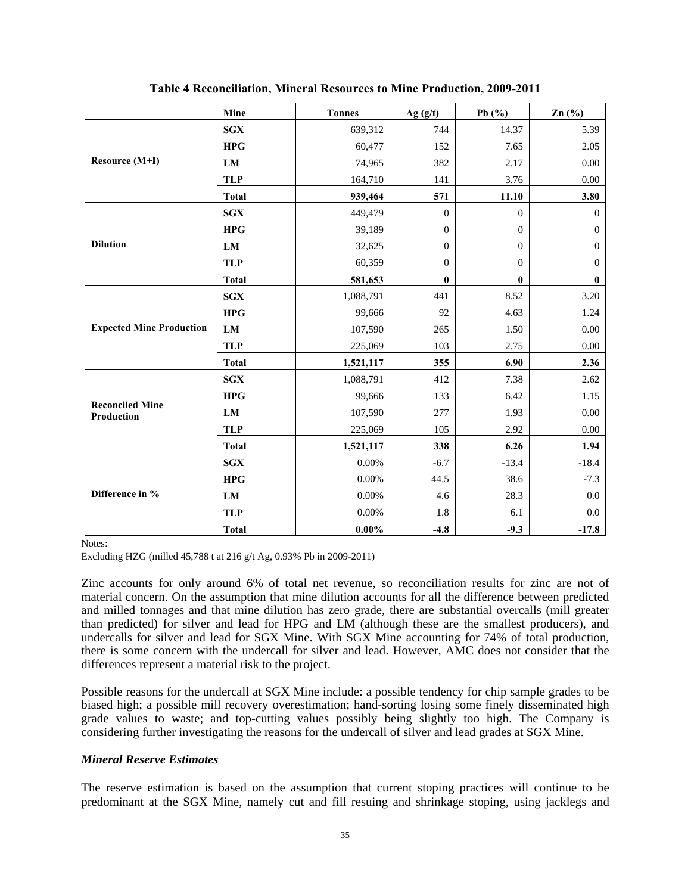|                                      | Mine           | <b>Tonnes</b> | Ag $(g/t)$       | Pb $(\% )$   | Zn(%)        |
|--------------------------------------|----------------|---------------|------------------|--------------|--------------|
| Resource (M+I)                       | <b>SGX</b>     | 639,312       | 744              | 14.37        | 5.39         |
|                                      | <b>HPG</b>     | 60,477        | 152              | 7.65         | 2.05         |
|                                      | LM             | 74,965        | 382              | 2.17         | 0.00         |
|                                      | <b>TLP</b>     | 164,710       | 141              | 3.76         | 0.00         |
|                                      | <b>Total</b>   | 939,464       | 571              | 11.10        | 3.80         |
| <b>Dilution</b>                      | $\mathbf{SGX}$ | 449,479       | $\theta$         | $\mathbf{0}$ | $\Omega$     |
|                                      | <b>HPG</b>     | 39,189        | $\boldsymbol{0}$ | $\theta$     | $\mathbf{0}$ |
|                                      | LM             | 32,625        | $\mathbf{0}$     | $\mathbf{0}$ | $\mathbf{0}$ |
|                                      | <b>TLP</b>     | 60,359        | $\mathbf{0}$     | $\mathbf{0}$ | $\mathbf{0}$ |
|                                      | <b>Total</b>   | 581,653       | $\bf{0}$         | $\bf{0}$     | $\bf{0}$     |
| <b>Expected Mine Production</b>      | <b>SGX</b>     | 1,088,791     | 441              | 8.52         | 3.20         |
|                                      | <b>HPG</b>     | 99,666        | 92               | 4.63         | 1.24         |
|                                      | LM             | 107,590       | 265              | 1.50         | 0.00         |
|                                      | <b>TLP</b>     | 225,069       | 103              | 2.75         | 0.00         |
|                                      | <b>Total</b>   | 1,521,117     | 355              | 6.90         | 2.36         |
| <b>Reconciled Mine</b><br>Production | SGX            | 1,088,791     | 412              | 7.38         | 2.62         |
|                                      | <b>HPG</b>     | 99,666        | 133              | 6.42         | 1.15         |
|                                      | LM             | 107,590       | 277              | 1.93         | $0.00\,$     |
|                                      | <b>TLP</b>     | 225,069       | 105              | 2.92         | 0.00         |
|                                      | <b>Total</b>   | 1,521,117     | 338              | 6.26         | 1.94         |
| Difference in %                      | <b>SGX</b>     | 0.00%         | $-6.7$           | $-13.4$      | $-18.4$      |
|                                      | <b>HPG</b>     | 0.00%         | 44.5             | 38.6         | $-7.3$       |
|                                      | LM             | $0.00\%$      | 4.6              | 28.3         | $0.0\,$      |
|                                      | <b>TLP</b>     | $0.00\%$      | 1.8              | 6.1          | $0.0\,$      |
|                                      | <b>Total</b>   | $0.00\%$      | $-4.8$           | $-9.3$       | $-17.8$      |

**Table 4 Reconciliation, Mineral Resources to Mine Production, 2009-2011** 

Notes:

Excluding HZG (milled 45,788 t at 216 g/t Ag, 0.93% Pb in 2009-2011)

Zinc accounts for only around 6% of total net revenue, so reconciliation results for zinc are not of material concern. On the assumption that mine dilution accounts for all the difference between predicted and milled tonnages and that mine dilution has zero grade, there are substantial overcalls (mill greater than predicted) for silver and lead for HPG and LM (although these are the smallest producers), and undercalls for silver and lead for SGX Mine. With SGX Mine accounting for 74% of total production, there is some concern with the undercall for silver and lead. However, AMC does not consider that the differences represent a material risk to the project.

Possible reasons for the undercall at SGX Mine include: a possible tendency for chip sample grades to be biased high; a possible mill recovery overestimation; hand-sorting losing some finely disseminated high grade values to waste; and top-cutting values possibly being slightly too high. The Company is considering further investigating the reasons for the undercall of silver and lead grades at SGX Mine.

## *Mineral Reserve Estimates*

The reserve estimation is based on the assumption that current stoping practices will continue to be predominant at the SGX Mine, namely cut and fill resuing and shrinkage stoping, using jacklegs and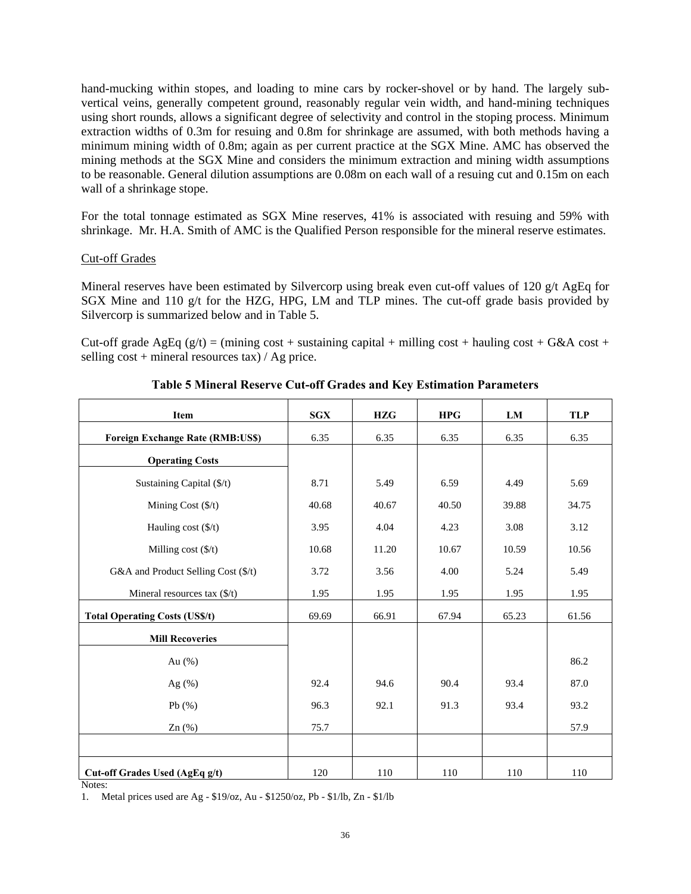hand-mucking within stopes, and loading to mine cars by rocker-shovel or by hand. The largely subvertical veins, generally competent ground, reasonably regular vein width, and hand-mining techniques using short rounds, allows a significant degree of selectivity and control in the stoping process. Minimum extraction widths of 0.3m for resuing and 0.8m for shrinkage are assumed, with both methods having a minimum mining width of 0.8m; again as per current practice at the SGX Mine. AMC has observed the mining methods at the SGX Mine and considers the minimum extraction and mining width assumptions to be reasonable. General dilution assumptions are 0.08m on each wall of a resuing cut and 0.15m on each wall of a shrinkage stope.

For the total tonnage estimated as SGX Mine reserves, 41% is associated with resuing and 59% with shrinkage. Mr. H.A. Smith of AMC is the Qualified Person responsible for the mineral reserve estimates.

### Cut-off Grades

Mineral reserves have been estimated by Silvercorp using break even cut-off values of 120  $g/t$  AgEq for SGX Mine and 110 g/t for the HZG, HPG, LM and TLP mines. The cut-off grade basis provided by Silvercorp is summarized below and in Table 5.

Cut-off grade AgEq (g/t) = (mining cost + sustaining capital + milling cost + hauling cost + G&A cost + selling  $cost + mineral$  resources tax) / Ag price.

| Item                                  | <b>SGX</b> | <b>HZG</b> | <b>HPG</b> | LM    | <b>TLP</b> |
|---------------------------------------|------------|------------|------------|-------|------------|
| Foreign Exchange Rate (RMB:US\$)      | 6.35       | 6.35       | 6.35       | 6.35  | 6.35       |
| <b>Operating Costs</b>                |            |            |            |       |            |
| Sustaining Capital (\$/t)             | 8.71       | 5.49       | 6.59       | 4.49  | 5.69       |
| Mining Cost (\$/t)                    | 40.68      | 40.67      | 40.50      | 39.88 | 34.75      |
| Hauling cost (\$/t)                   | 3.95       | 4.04       | 4.23       | 3.08  | 3.12       |
| Milling cost $(\frac{f}{t})$          | 10.68      | 11.20      | 10.67      | 10.59 | 10.56      |
| G&A and Product Selling Cost (\$/t)   | 3.72       | 3.56       | 4.00       | 5.24  | 5.49       |
| Mineral resources tax (\$/t)          | 1.95       | 1.95       | 1.95       | 1.95  | 1.95       |
| <b>Total Operating Costs (US\$/t)</b> | 69.69      | 66.91      | 67.94      | 65.23 | 61.56      |
| <b>Mill Recoveries</b>                |            |            |            |       |            |
| Au $(\%)$                             |            |            |            |       | 86.2       |
| Ag (%)                                | 92.4       | 94.6       | 90.4       | 93.4  | 87.0       |
| Pb $(\%)$                             | 96.3       | 92.1       | 91.3       | 93.4  | 93.2       |
| $Zn(\%)$                              | 75.7       |            |            |       | 57.9       |
|                                       |            |            |            |       |            |
| Cut-off Grades Used (AgEq g/t)        | 120        | 110        | 110        | 110   | 110        |

## **Table 5 Mineral Reserve Cut-off Grades and Key Estimation Parameters**

Notes:

1. Metal prices used are Ag - \$19/oz, Au - \$1250/oz, Pb - \$1/lb, Zn - \$1/lb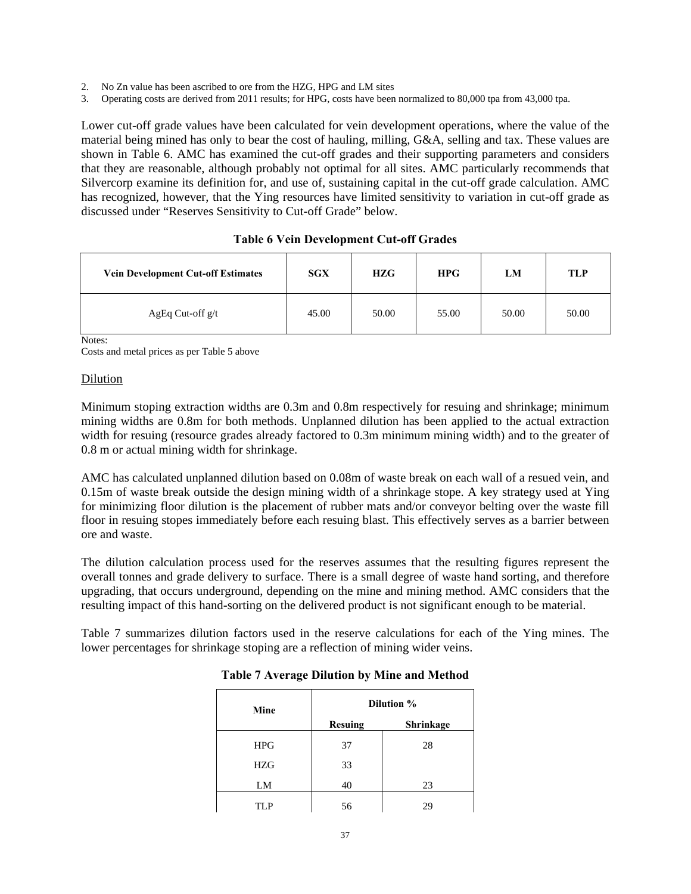2. No Zn value has been ascribed to ore from the HZG, HPG and LM sites

3. Operating costs are derived from 2011 results; for HPG, costs have been normalized to 80,000 tpa from 43,000 tpa.

Lower cut-off grade values have been calculated for vein development operations, where the value of the material being mined has only to bear the cost of hauling, milling, G&A, selling and tax. These values are shown in Table 6. AMC has examined the cut-off grades and their supporting parameters and considers that they are reasonable, although probably not optimal for all sites. AMC particularly recommends that Silvercorp examine its definition for, and use of, sustaining capital in the cut-off grade calculation. AMC has recognized, however, that the Ying resources have limited sensitivity to variation in cut-off grade as discussed under "Reserves Sensitivity to Cut-off Grade" below.

## **Table 6 Vein Development Cut-off Grades**

| <b>Vein Development Cut-off Estimates</b> | <b>SGX</b> | HZG   | <b>HPG</b> | LM    | <b>TLP</b> |
|-------------------------------------------|------------|-------|------------|-------|------------|
| AgEq Cut-off $g/t$                        | 45.00      | 50.00 | 55.00      | 50.00 | 50.00      |

Notes:

Costs and metal prices as per Table 5 above

### Dilution

Minimum stoping extraction widths are 0.3m and 0.8m respectively for resuing and shrinkage; minimum mining widths are 0.8m for both methods. Unplanned dilution has been applied to the actual extraction width for resuing (resource grades already factored to 0.3m minimum mining width) and to the greater of 0.8 m or actual mining width for shrinkage.

AMC has calculated unplanned dilution based on 0.08m of waste break on each wall of a resued vein, and 0.15m of waste break outside the design mining width of a shrinkage stope. A key strategy used at Ying for minimizing floor dilution is the placement of rubber mats and/or conveyor belting over the waste fill floor in resuing stopes immediately before each resuing blast. This effectively serves as a barrier between ore and waste.

The dilution calculation process used for the reserves assumes that the resulting figures represent the overall tonnes and grade delivery to surface. There is a small degree of waste hand sorting, and therefore upgrading, that occurs underground, depending on the mine and mining method. AMC considers that the resulting impact of this hand-sorting on the delivered product is not significant enough to be material.

Table 7 summarizes dilution factors used in the reserve calculations for each of the Ying mines. The lower percentages for shrinkage stoping are a reflection of mining wider veins.

| Mine       | Dilution %     |           |  |  |  |  |  |  |
|------------|----------------|-----------|--|--|--|--|--|--|
|            | <b>Resuing</b> | Shrinkage |  |  |  |  |  |  |
| <b>HPG</b> | 37             | 28        |  |  |  |  |  |  |
| <b>HZG</b> | 33             |           |  |  |  |  |  |  |
| LM         | 40             | 23        |  |  |  |  |  |  |
| TLP        | 56             | 29        |  |  |  |  |  |  |

### **Table 7 Average Dilution by Mine and Method**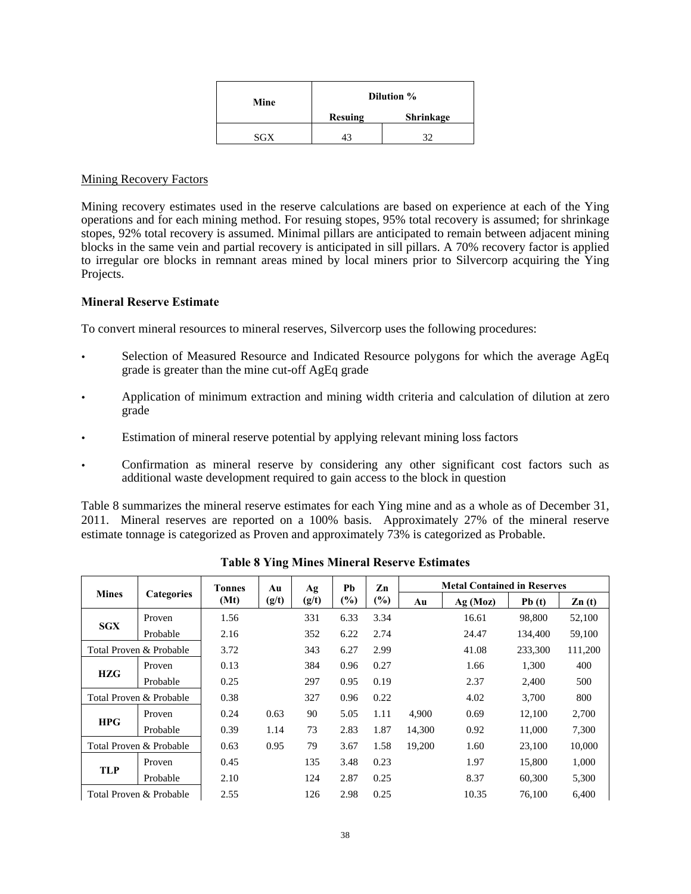| Mine | Dilution % |           |  |  |  |  |  |
|------|------------|-----------|--|--|--|--|--|
|      | Resuing    | Shrinkage |  |  |  |  |  |
| SGX  |            |           |  |  |  |  |  |

### Mining Recovery Factors

Mining recovery estimates used in the reserve calculations are based on experience at each of the Ying operations and for each mining method. For resuing stopes, 95% total recovery is assumed; for shrinkage stopes, 92% total recovery is assumed. Minimal pillars are anticipated to remain between adjacent mining blocks in the same vein and partial recovery is anticipated in sill pillars. A 70% recovery factor is applied to irregular ore blocks in remnant areas mined by local miners prior to Silvercorp acquiring the Ying Projects.

### **Mineral Reserve Estimate**

To convert mineral resources to mineral reserves, Silvercorp uses the following procedures:

- Selection of Measured Resource and Indicated Resource polygons for which the average AgEq grade is greater than the mine cut-off AgEq grade
- Application of minimum extraction and mining width criteria and calculation of dilution at zero grade
- Estimation of mineral reserve potential by applying relevant mining loss factors
- Confirmation as mineral reserve by considering any other significant cost factors such as additional waste development required to gain access to the block in question

Table 8 summarizes the mineral reserve estimates for each Ying mine and as a whole as of December 31, 2011. Mineral reserves are reported on a 100% basis. Approximately 27% of the mineral reserve estimate tonnage is categorized as Proven and approximately 73% is categorized as Probable.

|              |                         | <b>Tonnes</b> | Au    | Ag    | Ph     | Zn     |        | <b>Metal Contained in Reserves</b> |         |                   |
|--------------|-------------------------|---------------|-------|-------|--------|--------|--------|------------------------------------|---------|-------------------|
| <b>Mines</b> | <b>Categories</b>       | (Mt)          | (g/t) | (g/t) | $(\%)$ | $(\%)$ | Au     | Ag (Moz)                           | Pb(t)   | $\mathbf{Zn}$ (t) |
|              | Proven                  | 1.56          |       | 331   | 6.33   | 3.34   |        | 16.61                              | 98,800  | 52,100            |
| <b>SGX</b>   | Probable                | 2.16          |       | 352   | 6.22   | 2.74   |        | 24.47                              | 134.400 | 59,100            |
|              | Total Proven & Probable | 3.72          |       | 343   | 6.27   | 2.99   |        | 41.08                              | 233,300 | 111,200           |
|              | Proven                  | 0.13          |       | 384   | 0.96   | 0.27   |        | 1.66                               | 1,300   | 400               |
| <b>HZG</b>   | Probable                | 0.25          |       | 297   | 0.95   | 0.19   |        | 2.37                               | 2,400   | 500               |
|              | Total Proven & Probable | 0.38          |       | 327   | 0.96   | 0.22   |        | 4.02                               | 3,700   | 800               |
|              | Proven                  | 0.24          | 0.63  | 90    | 5.05   | 1.11   | 4.900  | 0.69                               | 12,100  | 2,700             |
| <b>HPG</b>   | Probable                | 0.39          | 1.14  | 73    | 2.83   | 1.87   | 14,300 | 0.92                               | 11,000  | 7,300             |
|              | Total Proven & Probable | 0.63          | 0.95  | 79    | 3.67   | 1.58   | 19,200 | 1.60                               | 23,100  | 10,000            |
|              | Proven                  | 0.45          |       | 135   | 3.48   | 0.23   |        | 1.97                               | 15,800  | 1,000             |
| <b>TLP</b>   | Probable                | 2.10          |       | 124   | 2.87   | 0.25   |        | 8.37                               | 60,300  | 5,300             |
|              | Total Proven & Probable | 2.55          |       | 126   | 2.98   | 0.25   |        | 10.35                              | 76,100  | 6,400             |

**Table 8 Ying Mines Mineral Reserve Estimates**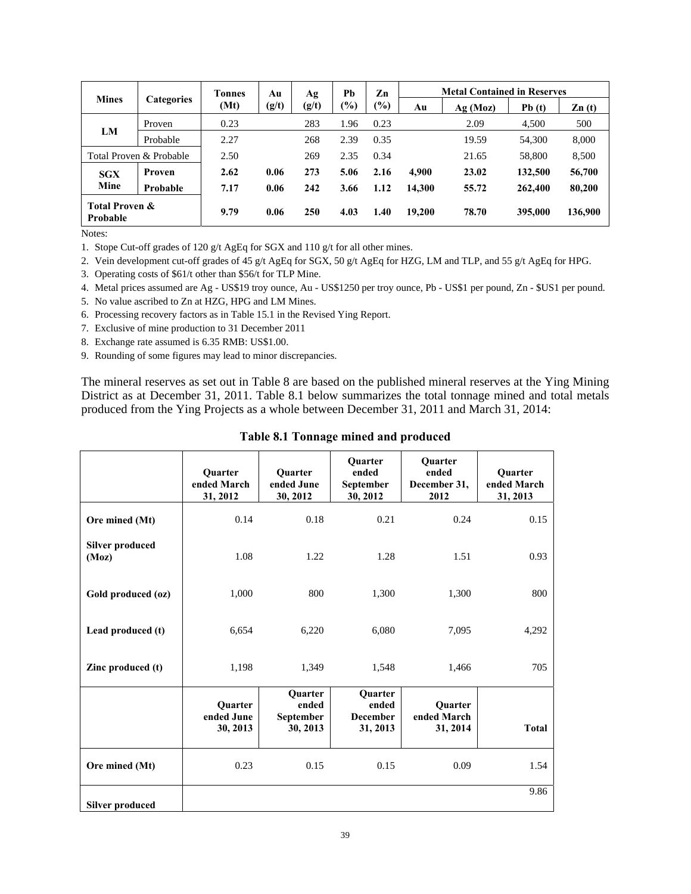|                            | <b>Categories</b>       | <b>Tonnes</b> | Au    | Ag<br>(g/t) | Pb                    | Zn<br>$\frac{9}{9}$ | <b>Metal Contained in Reserves</b> |         |         |                   |
|----------------------------|-------------------------|---------------|-------|-------------|-----------------------|---------------------|------------------------------------|---------|---------|-------------------|
| <b>Mines</b>               |                         | (Mt)          | (g/t) |             | $(\%)$                |                     | Au                                 | Ag(Moz) | Pb(t)   | $\mathbf{Zn}$ (t) |
|                            | Proven                  | 0.23          |       | 283         | 1.96                  | 0.23                |                                    | 2.09    | 4,500   | 500               |
| LM                         | Probable                | 2.27          |       | 268         | 2.39                  | 0.35                |                                    | 19.59   | 54.300  | 8,000             |
|                            | Total Proven & Probable | 2.50          |       | 269         | 2.35<br>0.34<br>21.65 |                     |                                    | 58,800  | 8,500   |                   |
| SGX                        | Proven                  | 2.62          | 0.06  | 273         | 5.06                  | 2.16                | 4.900                              | 23.02   | 132,500 | 56,700            |
| Mine                       | Probable                | 7.17          | 0.06  | 242         | 3.66                  | 1.12                | 14.300                             | 55.72   | 262,400 | 80,200            |
| Total Proven &<br>Probable |                         | 9.79          | 0.06  | 250         | 4.03                  | 1.40                | 78.70<br>19,200<br>395,000         |         |         | 136,900           |

Notes:

1. Stope Cut-off grades of 120 g/t AgEq for SGX and 110 g/t for all other mines.

2. Vein development cut-off grades of 45 g/t AgEq for SGX, 50 g/t AgEq for HZG, LM and TLP, and 55 g/t AgEq for HPG.

3. Operating costs of \$61/t other than \$56/t for TLP Mine.

4. Metal prices assumed are Ag - US\$19 troy ounce, Au - US\$1250 per troy ounce, Pb - US\$1 per pound, Zn - \$US1 per pound.

5. No value ascribed to Zn at HZG, HPG and LM Mines.

6. Processing recovery factors as in Table 15.1 in the Revised Ying Report.

7. Exclusive of mine production to 31 December 2011

8. Exchange rate assumed is 6.35 RMB: US\$1.00.

9. Rounding of some figures may lead to minor discrepancies.

The mineral reserves as set out in Table 8 are based on the published mineral reserves at the Ying Mining District as at December 31, 2011. Table 8.1 below summarizes the total tonnage mined and total metals produced from the Ying Projects as a whole between December 31, 2011 and March 31, 2014:

|                                 | Quarter<br>ended March<br>31, 2012 | <b>Ouarter</b><br>ended June<br>30, 2012         | <b>Ouarter</b><br>ended<br>September<br>30, 2012       | <b>Ouarter</b><br>ended<br>December 31,<br>2012 | Quarter<br>ended March<br>31, 2013 |
|---------------------------------|------------------------------------|--------------------------------------------------|--------------------------------------------------------|-------------------------------------------------|------------------------------------|
| Ore mined (Mt)                  | 0.14                               | 0.18                                             | 0.21                                                   | 0.24                                            | 0.15                               |
| <b>Silver produced</b><br>(Moz) | 1.08                               | 1.22                                             | 1.28                                                   | 1.51                                            | 0.93                               |
| Gold produced (oz)              | 1,000                              | 800                                              | 1,300                                                  | 1,300                                           | 800                                |
| Lead produced (t)               | 6,654                              | 6,220                                            | 6,080                                                  | 7,095                                           | 4,292                              |
| Zinc produced (t)               | 1,198                              | 1,349                                            | 1,548                                                  | 1,466                                           | 705                                |
|                                 | Quarter<br>ended June<br>30, 2013  | <b>Ouarter</b><br>ended<br>September<br>30, 2013 | <b>Ouarter</b><br>ended<br><b>December</b><br>31, 2013 | <b>Ouarter</b><br>ended March<br>31, 2014       | <b>Total</b>                       |
| Ore mined (Mt)                  | 0.23                               | 0.15                                             | 0.15                                                   | 0.09                                            | 1.54                               |
| <b>Silver produced</b>          |                                    |                                                  |                                                        |                                                 | 9.86                               |

### **Table 8.1 Tonnage mined and produced**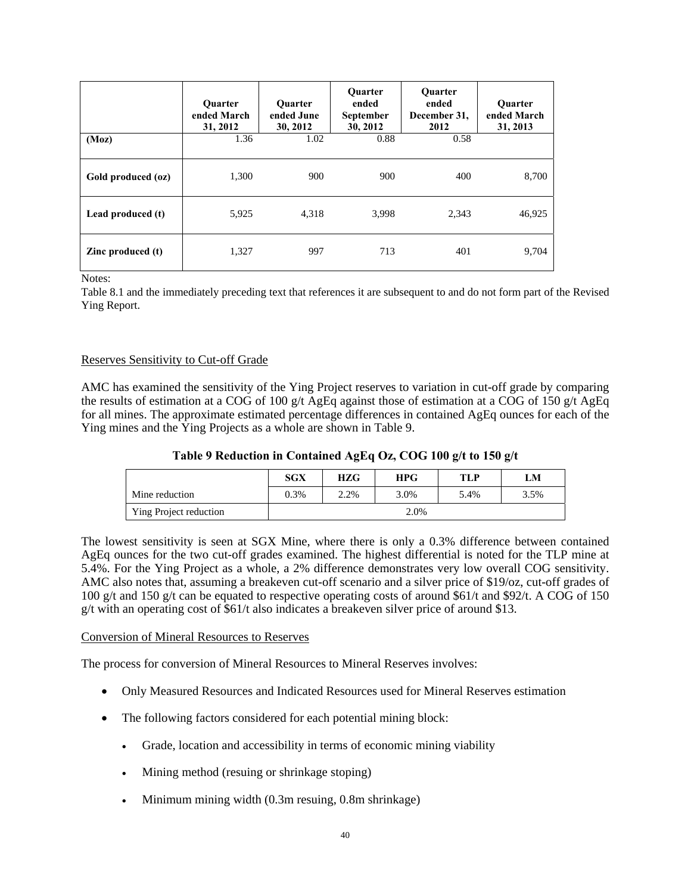|                    | <b>Ouarter</b><br>ended March<br>31, 2012 | <b>Ouarter</b><br>ended June<br>30, 2012 | Quarter<br>ended<br><b>September</b><br>30, 2012 | <b>Ouarter</b><br>ended<br>December 31,<br>2012 | Quarter<br>ended March<br>31, 2013 |
|--------------------|-------------------------------------------|------------------------------------------|--------------------------------------------------|-------------------------------------------------|------------------------------------|
| (Moz)              | 1.36                                      | 1.02                                     | 0.88                                             | 0.58                                            |                                    |
| Gold produced (oz) | 1,300                                     | 900                                      | 900                                              | 400                                             | 8,700                              |
| Lead produced (t)  | 5,925                                     | 4,318                                    | 3,998                                            | 2,343                                           | 46,925                             |
| Zinc produced (t)  | 1,327                                     | 997                                      | 713                                              | 401                                             | 9,704                              |

Notes:

Table 8.1 and the immediately preceding text that references it are subsequent to and do not form part of the Revised Ying Report.

#### Reserves Sensitivity to Cut-off Grade

AMC has examined the sensitivity of the Ying Project reserves to variation in cut-off grade by comparing the results of estimation at a COG of 100 g/t AgEq against those of estimation at a COG of 150 g/t AgEq for all mines. The approximate estimated percentage differences in contained AgEq ounces for each of the Ying mines and the Ying Projects as a whole are shown in Table 9.

**Table 9 Reduction in Contained AgEq Oz, COG 100 g/t to 150 g/t** 

|                        | <b>SGX</b> | <b>HZG</b> | HPG  | TLP  | LM   |  |  |  |
|------------------------|------------|------------|------|------|------|--|--|--|
| Mine reduction         | 0.3%       | 2.2%       | 3.0% | 5.4% | 3.5% |  |  |  |
| Ying Project reduction | 2.0%       |            |      |      |      |  |  |  |

The lowest sensitivity is seen at SGX Mine, where there is only a 0.3% difference between contained AgEq ounces for the two cut-off grades examined. The highest differential is noted for the TLP mine at 5.4%. For the Ying Project as a whole, a 2% difference demonstrates very low overall COG sensitivity. AMC also notes that, assuming a breakeven cut-off scenario and a silver price of \$19/oz, cut-off grades of 100 g/t and 150 g/t can be equated to respective operating costs of around \$61/t and \$92/t. A COG of 150 g/t with an operating cost of  $$61/t$  also indicates a breakeven silver price of around \$13.

#### Conversion of Mineral Resources to Reserves

The process for conversion of Mineral Resources to Mineral Reserves involves:

- Only Measured Resources and Indicated Resources used for Mineral Reserves estimation
- The following factors considered for each potential mining block:
	- Grade, location and accessibility in terms of economic mining viability
	- Mining method (resuing or shrinkage stoping)
	- Minimum mining width (0.3m resuing, 0.8m shrinkage)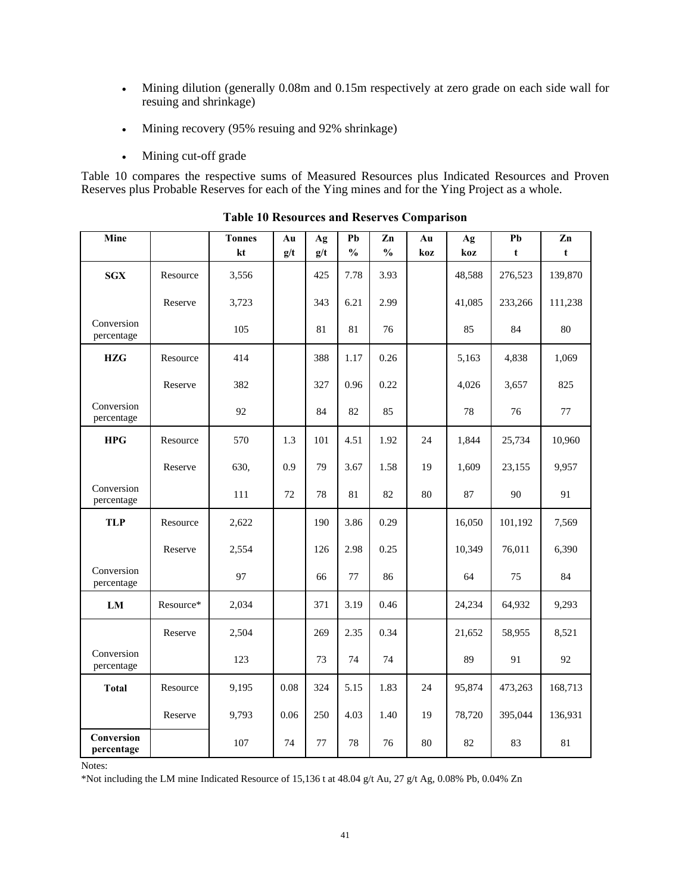- Mining dilution (generally 0.08m and 0.15m respectively at zero grade on each side wall for resuing and shrinkage)
- Mining recovery (95% resuing and 92% shrinkage)
- Mining cut-off grade

Table 10 compares the respective sums of Measured Resources plus Indicated Resources and Proven Reserves plus Probable Reserves for each of the Ying mines and for the Ying Project as a whole.

| Mine                     |           | <b>Tonnes</b><br>kt | Au   | Ag  | Pb<br>$\frac{0}{0}$ | Zn<br>$\frac{0}{0}$ | Au  | Ag     | Pb      | Zn      |
|--------------------------|-----------|---------------------|------|-----|---------------------|---------------------|-----|--------|---------|---------|
|                          |           |                     | g/t  | g/t |                     |                     | koz | koz    | t       | t       |
| <b>SGX</b>               | Resource  | 3,556               |      | 425 | 7.78                | 3.93                |     | 48,588 | 276,523 | 139,870 |
|                          | Reserve   | 3,723               |      | 343 | 6.21                | 2.99                |     | 41,085 | 233,266 | 111,238 |
| Conversion<br>percentage |           | 105                 |      | 81  | 81                  | 76                  |     | 85     | 84      | 80      |
| <b>HZG</b>               | Resource  | 414                 |      | 388 | 1.17                | 0.26                |     | 5,163  | 4,838   | 1,069   |
|                          | Reserve   | 382                 |      | 327 | 0.96                | 0.22                |     | 4,026  | 3,657   | 825     |
| Conversion<br>percentage |           | 92                  |      | 84  | 82                  | 85                  |     | 78     | 76      | 77      |
| <b>HPG</b>               | Resource  | 570                 | 1.3  | 101 | 4.51                | 1.92                | 24  | 1,844  | 25,734  | 10,960  |
|                          | Reserve   | 630,                | 0.9  | 79  | 3.67                | 1.58                | 19  | 1,609  | 23,155  | 9,957   |
| Conversion<br>percentage |           | 111                 | 72   | 78  | 81                  | 82                  | 80  | 87     | 90      | 91      |
| <b>TLP</b>               | Resource  | 2,622               |      | 190 | 3.86                | 0.29                |     | 16,050 | 101,192 | 7,569   |
|                          | Reserve   | 2.554               |      | 126 | 2.98                | 0.25                |     | 10.349 | 76,011  | 6,390   |
| Conversion<br>percentage |           | 97                  |      | 66  | 77                  | 86                  |     | 64     | 75      | 84      |
| LM                       | Resource* | 2,034               |      | 371 | 3.19                | 0.46                |     | 24,234 | 64,932  | 9,293   |
|                          | Reserve   | 2,504               |      | 269 | 2.35                | 0.34                |     | 21,652 | 58,955  | 8,521   |
| Conversion<br>percentage |           | 123                 |      | 73  | 74                  | 74                  |     | 89     | 91      | 92      |
| <b>Total</b>             | Resource  | 9,195               | 0.08 | 324 | 5.15                | 1.83                | 24  | 95,874 | 473,263 | 168,713 |
|                          | Reserve   | 9,793               | 0.06 | 250 | 4.03                | 1.40                | 19  | 78,720 | 395,044 | 136,931 |
| Conversion<br>percentage |           | 107                 | 74   | 77  | 78                  | 76                  | 80  | 82     | 83      | 81      |

**Table 10 Resources and Reserves Comparison** 

Notes:

\*Not including the LM mine Indicated Resource of 15,136 t at 48.04 g/t Au, 27 g/t Ag, 0.08% Pb, 0.04% Zn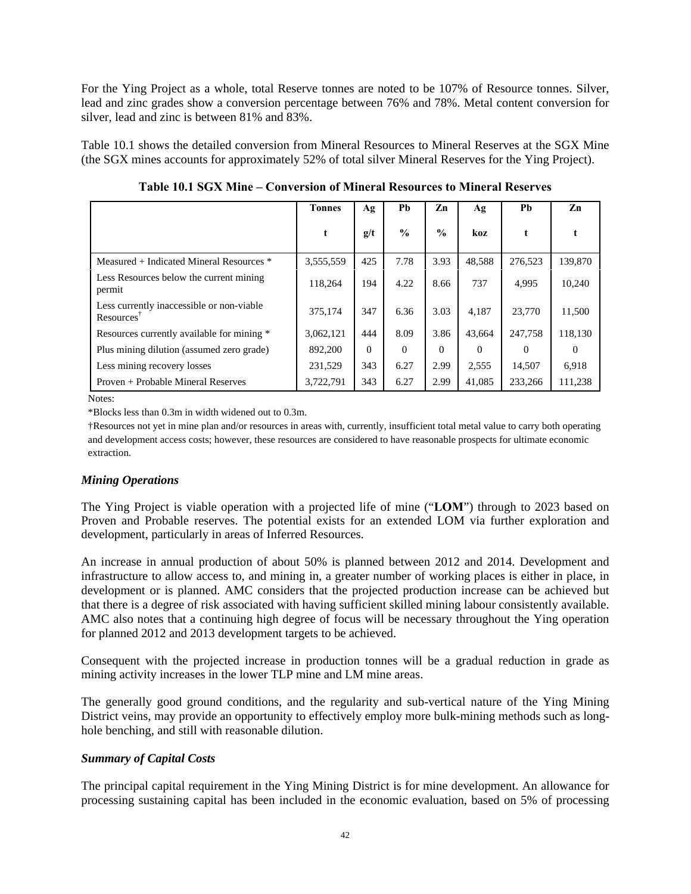For the Ying Project as a whole, total Reserve tonnes are noted to be 107% of Resource tonnes. Silver, lead and zinc grades show a conversion percentage between 76% and 78%. Metal content conversion for silver, lead and zinc is between 81% and 83%.

Table 10.1 shows the detailed conversion from Mineral Resources to Mineral Reserves at the SGX Mine (the SGX mines accounts for approximately 52% of total silver Mineral Reserves for the Ying Project).

|                                                             | <b>Tonnes</b> | Ag       | Pb       | Zn            | Ag       | Pb       | Zn      |
|-------------------------------------------------------------|---------------|----------|----------|---------------|----------|----------|---------|
|                                                             | t             | g/t      | $\%$     | $\frac{0}{0}$ | koz      | t        | t       |
| Measured + Indicated Mineral Resources *                    | 3,555,559     | 425      | 7.78     | 3.93          | 48,588   | 276.523  | 139,870 |
| Less Resources below the current mining<br>permit           | 118,264       | 194      | 4.22     | 8.66          | 737      | 4,995    | 10,240  |
| Less currently inaccessible or non-viable.<br>$Resources^T$ | 375.174       | 347      | 6.36     | 3.03          | 4,187    | 23,770   | 11,500  |
| Resources currently available for mining *                  | 3,062,121     | 444      | 8.09     | 3.86          | 43,664   | 247,758  | 118,130 |
| Plus mining dilution (assumed zero grade)                   | 892,200       | $\Omega$ | $\Omega$ | $\Omega$      | $\Omega$ | $\Omega$ | 0       |
| Less mining recovery losses                                 | 231,529       | 343      | 6.27     | 2.99          | 2,555    | 14,507   | 6,918   |
| Proven + Probable Mineral Reserves                          | 3,722,791     | 343      | 6.27     | 2.99          | 41,085   | 233,266  | 111,238 |

**Table 10.1 SGX Mine – Conversion of Mineral Resources to Mineral Reserves** 

Notes:

\*Blocks less than 0.3m in width widened out to 0.3m.

†Resources not yet in mine plan and/or resources in areas with, currently, insufficient total metal value to carry both operating and development access costs; however, these resources are considered to have reasonable prospects for ultimate economic extraction.

# *Mining Operations*

The Ying Project is viable operation with a projected life of mine ("**LOM**") through to 2023 based on Proven and Probable reserves. The potential exists for an extended LOM via further exploration and development, particularly in areas of Inferred Resources.

An increase in annual production of about 50% is planned between 2012 and 2014. Development and infrastructure to allow access to, and mining in, a greater number of working places is either in place, in development or is planned. AMC considers that the projected production increase can be achieved but that there is a degree of risk associated with having sufficient skilled mining labour consistently available. AMC also notes that a continuing high degree of focus will be necessary throughout the Ying operation for planned 2012 and 2013 development targets to be achieved.

Consequent with the projected increase in production tonnes will be a gradual reduction in grade as mining activity increases in the lower TLP mine and LM mine areas.

The generally good ground conditions, and the regularity and sub-vertical nature of the Ying Mining District veins, may provide an opportunity to effectively employ more bulk-mining methods such as longhole benching, and still with reasonable dilution.

# *Summary of Capital Costs*

The principal capital requirement in the Ying Mining District is for mine development. An allowance for processing sustaining capital has been included in the economic evaluation, based on 5% of processing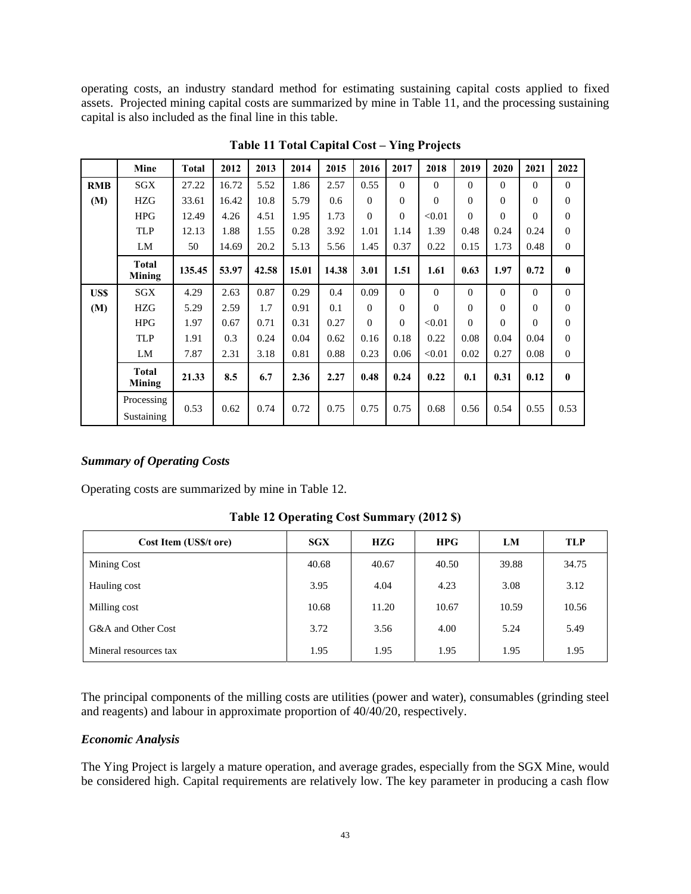operating costs, an industry standard method for estimating sustaining capital costs applied to fixed assets. Projected mining capital costs are summarized by mine in Table 11, and the processing sustaining capital is also included as the final line in this table.

|            | Mine                     | <b>Total</b> | 2012  | 2013  | 2014  | 2015  | 2016     | 2017     | 2018     | 2019     | 2020     | 2021     | 2022           |
|------------|--------------------------|--------------|-------|-------|-------|-------|----------|----------|----------|----------|----------|----------|----------------|
| <b>RMB</b> | SGX                      | 27.22        | 16.72 | 5.52  | 1.86  | 2.57  | 0.55     | $\Omega$ | $\Omega$ | $\Omega$ | $\Omega$ | $\Omega$ | $\Omega$       |
| (M)        | <b>HZG</b>               | 33.61        | 16.42 | 10.8  | 5.79  | 0.6   | $\Omega$ | $\Omega$ | $\Omega$ | $\theta$ | $\Omega$ | $\Omega$ | $\theta$       |
|            | <b>HPG</b>               | 12.49        | 4.26  | 4.51  | 1.95  | 1.73  | $\Omega$ | $\Omega$ | < 0.01   | $\Omega$ | $\Omega$ | $\Omega$ | $\overline{0}$ |
|            | <b>TLP</b>               | 12.13        | 1.88  | 1.55  | 0.28  | 3.92  | 1.01     | 1.14     | 1.39     | 0.48     | 0.24     | 0.24     | $\Omega$       |
|            | LM                       | 50           | 14.69 | 20.2  | 5.13  | 5.56  | 1.45     | 0.37     | 0.22     | 0.15     | 1.73     | 0.48     | $\Omega$       |
|            | <b>Total</b><br>Mining   | 135.45       | 53.97 | 42.58 | 15.01 | 14.38 | 3.01     | 1.51     | 1.61     | 0.63     | 1.97     | 0.72     | $\mathbf{0}$   |
| <b>USS</b> | <b>SGX</b>               | 4.29         | 2.63  | 0.87  | 0.29  | 0.4   | 0.09     | $\Omega$ | $\Omega$ | $\Omega$ | $\Omega$ | $\Omega$ | $\Omega$       |
| (M)        | <b>HZG</b>               | 5.29         | 2.59  | 1.7   | 0.91  | 0.1   | $\Omega$ | $\Omega$ | $\Omega$ | $\theta$ | $\Omega$ | $\theta$ | $\theta$       |
|            | <b>HPG</b>               | 1.97         | 0.67  | 0.71  | 0.31  | 0.27  | $\Omega$ | $\Omega$ | < 0.01   | $\Omega$ | $\Omega$ | $\theta$ | $\overline{0}$ |
|            | <b>TLP</b>               | 1.91         | 0.3   | 0.24  | 0.04  | 0.62  | 0.16     | 0.18     | 0.22     | 0.08     | 0.04     | 0.04     | $\Omega$       |
|            | LM                       | 7.87         | 2.31  | 3.18  | 0.81  | 0.88  | 0.23     | 0.06     | < 0.01   | 0.02     | 0.27     | 0.08     | $\overline{0}$ |
|            | <b>Total</b><br>Mining   | 21.33        | 8.5   | 6.7   | 2.36  | 2.27  | 0.48     | 0.24     | 0.22     | 0.1      | 0.31     | 0.12     | $\mathbf{0}$   |
|            | Processing<br>Sustaining | 0.53         | 0.62  | 0.74  | 0.72  | 0.75  | 0.75     | 0.75     | 0.68     | 0.56     | 0.54     | 0.55     | 0.53           |

**Table 11 Total Capital Cost – Ying Projects** 

### *Summary of Operating Costs*

Operating costs are summarized by mine in Table 12.

| Cost Item (US\$/t ore) | SGX   | <b>HZG</b> | <b>HPG</b> | LM    | <b>TLP</b> |
|------------------------|-------|------------|------------|-------|------------|
| Mining Cost            | 40.68 | 40.67      | 40.50      | 39.88 | 34.75      |
| Hauling cost           | 3.95  | 4.04       | 4.23       | 3.08  | 3.12       |
| Milling cost           | 10.68 | 11.20      | 10.67      | 10.59 | 10.56      |
| G&A and Other Cost     | 3.72  | 3.56       | 4.00       | 5.24  | 5.49       |
| Mineral resources tax  | 1.95  | 1.95       | 1.95       | 1.95  | 1.95       |

**Table 12 Operating Cost Summary (2012 \$)** 

The principal components of the milling costs are utilities (power and water), consumables (grinding steel and reagents) and labour in approximate proportion of 40/40/20, respectively.

### *Economic Analysis*

The Ying Project is largely a mature operation, and average grades, especially from the SGX Mine, would be considered high. Capital requirements are relatively low. The key parameter in producing a cash flow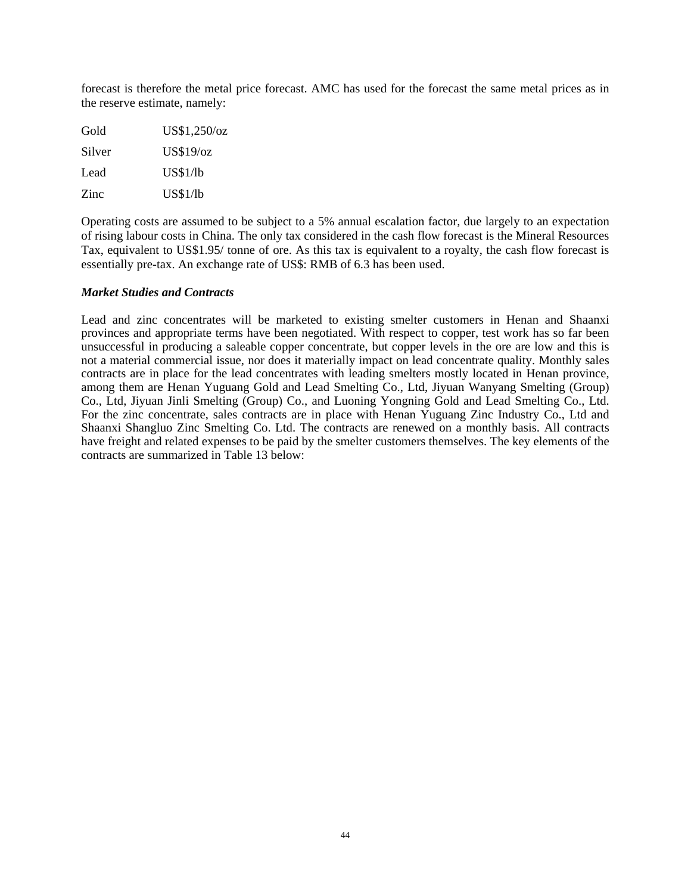forecast is therefore the metal price forecast. AMC has used for the forecast the same metal prices as in the reserve estimate, namely:

| Gold   | US\$1,250/oz    |
|--------|-----------------|
| Silver | US\$19/oz       |
| Lead   | US\$1/lb        |
| Zinc   | <b>US\$1/lb</b> |

Operating costs are assumed to be subject to a 5% annual escalation factor, due largely to an expectation of rising labour costs in China. The only tax considered in the cash flow forecast is the Mineral Resources Tax, equivalent to US\$1.95/ tonne of ore. As this tax is equivalent to a royalty, the cash flow forecast is essentially pre-tax. An exchange rate of US\$: RMB of 6.3 has been used.

### *Market Studies and Contracts*

Lead and zinc concentrates will be marketed to existing smelter customers in Henan and Shaanxi provinces and appropriate terms have been negotiated. With respect to copper, test work has so far been unsuccessful in producing a saleable copper concentrate, but copper levels in the ore are low and this is not a material commercial issue, nor does it materially impact on lead concentrate quality. Monthly sales contracts are in place for the lead concentrates with leading smelters mostly located in Henan province, among them are Henan Yuguang Gold and Lead Smelting Co., Ltd, Jiyuan Wanyang Smelting (Group) Co., Ltd, Jiyuan Jinli Smelting (Group) Co., and Luoning Yongning Gold and Lead Smelting Co., Ltd. For the zinc concentrate, sales contracts are in place with Henan Yuguang Zinc Industry Co., Ltd and Shaanxi Shangluo Zinc Smelting Co. Ltd. The contracts are renewed on a monthly basis. All contracts have freight and related expenses to be paid by the smelter customers themselves. The key elements of the contracts are summarized in Table 13 below: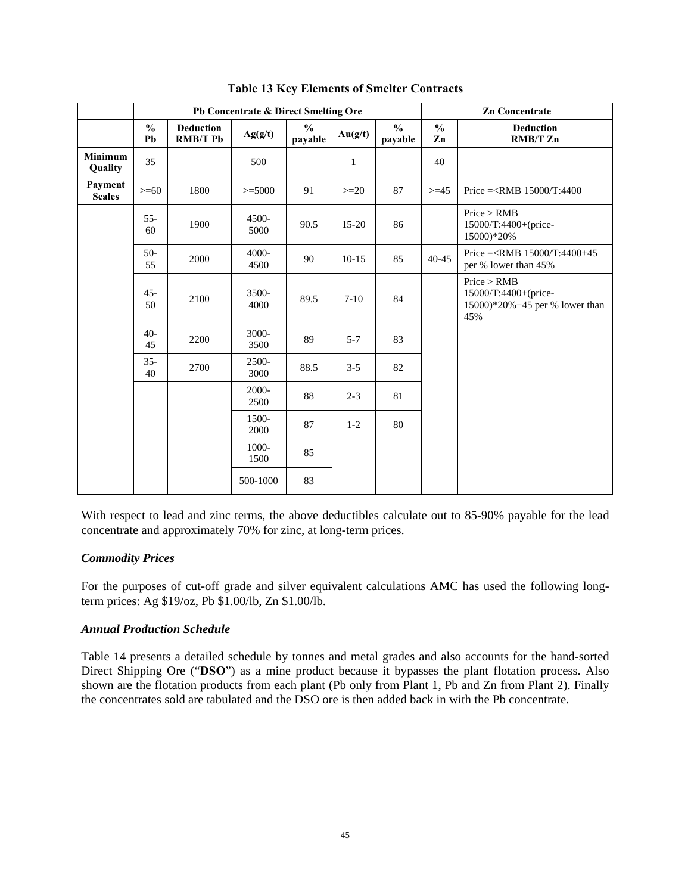|                          |                     |                                     | Pb Concentrate & Direct Smelting Ore |                          |              |                          | <b>Zn Concentrate</b> |                                                                              |  |  |
|--------------------------|---------------------|-------------------------------------|--------------------------------------|--------------------------|--------------|--------------------------|-----------------------|------------------------------------------------------------------------------|--|--|
|                          | $\frac{0}{0}$<br>Pb | <b>Deduction</b><br><b>RMB/T Pb</b> | Ag(g/t)                              | $\frac{0}{0}$<br>payable | Au(g/t)      | $\frac{0}{0}$<br>payable | $\frac{0}{0}$<br>Zn   | <b>Deduction</b><br><b>RMB/T Zn</b>                                          |  |  |
| Minimum<br>Quality       | 35                  |                                     | 500                                  |                          | $\mathbf{1}$ |                          | 40                    |                                                                              |  |  |
| Payment<br><b>Scales</b> | $>= 60$             | 1800                                | $>=5000$                             | 91                       | $>=20$       | 87                       | $>=15$                | Price = $\langle$ RMB 15000/T:4400                                           |  |  |
|                          | $55 -$<br>60        | 1900                                | 4500-<br>5000                        | 90.5                     | $15-20$      | 86                       |                       | Price > RMB<br>15000/T:4400+(price-<br>15000)*20%                            |  |  |
|                          | $50-$<br>55         | 2000                                | 4000-<br>4500                        | 90                       | $10-15$      | 85                       | $40 - 45$             | Price = $\langle$ RMB 15000/T:4400+45<br>per % lower than 45%                |  |  |
|                          | $45 -$<br>50        | 2100                                | 3500-<br>4000                        | 89.5                     | $7 - 10$     | 84                       |                       | Price > RMB<br>15000/T:4400+(price-<br>15000)*20%+45 per % lower than<br>45% |  |  |
|                          | $40-$<br>45         | 2200                                | 3000-<br>3500                        | 89                       | $5 - 7$      | 83                       |                       |                                                                              |  |  |
|                          | $35 -$<br>40        | 2700                                | 2500-<br>3000                        | 88.5                     | $3 - 5$      | 82                       |                       |                                                                              |  |  |
|                          |                     |                                     | 2000-<br>2500                        | 88                       | $2 - 3$      | 81                       |                       |                                                                              |  |  |
|                          |                     |                                     | 1500-<br>2000                        | 87                       | $1 - 2$      | 80                       |                       |                                                                              |  |  |
|                          |                     |                                     | 1000-<br>1500                        | 85                       |              |                          |                       |                                                                              |  |  |
|                          |                     |                                     | 500-1000                             | 83                       |              |                          |                       |                                                                              |  |  |

**Table 13 Key Elements of Smelter Contracts** 

With respect to lead and zinc terms, the above deductibles calculate out to 85-90% payable for the lead concentrate and approximately 70% for zinc, at long-term prices.

### *Commodity Prices*

For the purposes of cut-off grade and silver equivalent calculations AMC has used the following longterm prices: Ag \$19/oz, Pb \$1.00/lb, Zn \$1.00/lb.

#### *Annual Production Schedule*

Table 14 presents a detailed schedule by tonnes and metal grades and also accounts for the hand-sorted Direct Shipping Ore ("**DSO**") as a mine product because it bypasses the plant flotation process. Also shown are the flotation products from each plant (Pb only from Plant 1, Pb and Zn from Plant 2). Finally the concentrates sold are tabulated and the DSO ore is then added back in with the Pb concentrate.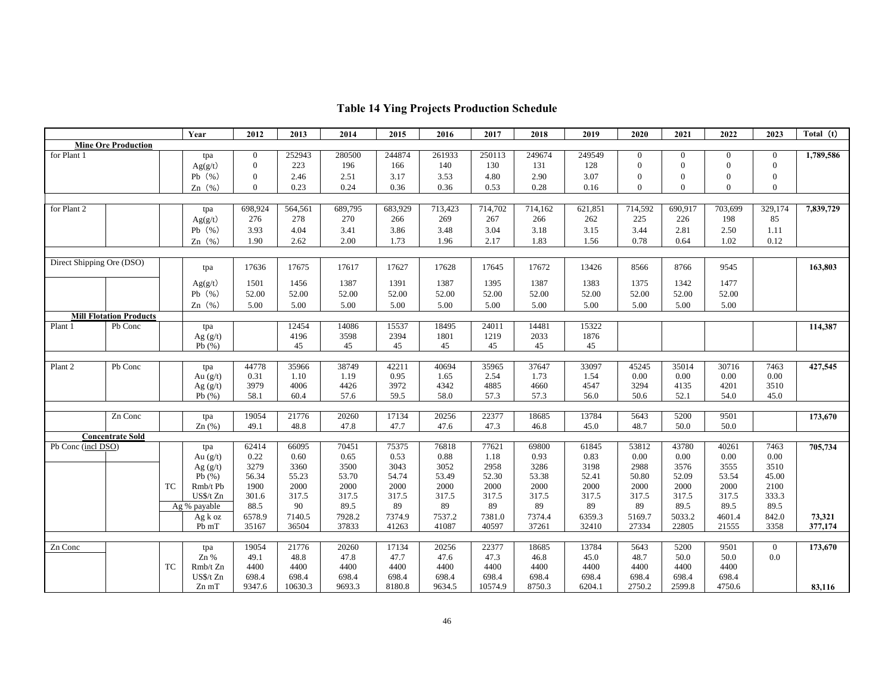|                           |                                |           | Year               | 2012           | 2013    | 2014    | 2015    | 2016    | 2017    | 2018    | 2019    | 2020                 | 2021     | 2022           | 2023           | Total (t) |
|---------------------------|--------------------------------|-----------|--------------------|----------------|---------|---------|---------|---------|---------|---------|---------|----------------------|----------|----------------|----------------|-----------|
|                           | <b>Mine Ore Production</b>     |           |                    |                |         |         |         |         |         |         |         |                      |          |                |                |           |
| for Plant 1               |                                |           | tpa                | $\overline{0}$ | 252943  | 280500  | 244874  | 261933  | 250113  | 249674  | 249549  | $\Omega$             | $\Omega$ | $\overline{0}$ | $\overline{0}$ | 1,789,586 |
|                           |                                |           | Ag(g/t)            | $\mathbf{0}$   | 223     | 196     | 166     | 140     | 130     | 131     | 128     | $\Omega$             | $\Omega$ | $\overline{0}$ | $\theta$       |           |
|                           |                                |           | Pb $(\% )$         | $\overline{0}$ | 2.46    | 2.51    | 3.17    | 3.53    | 4.80    | 2.90    | 3.07    | $\mathbf{0}$         | $\Omega$ | $\theta$       | $\theta$       |           |
|                           |                                |           | Zn $(\% )$         | $\Omega$       | 0.23    | 0.24    | 0.36    | 0.36    | 0.53    | 0.28    | 0.16    | $\Omega$             | $\Omega$ | $\Omega$       | $\overline{0}$ |           |
|                           |                                |           |                    |                |         |         |         |         |         |         |         |                      |          |                |                |           |
| for Plant 2               |                                |           | tpa                | 698,924        | 564,561 | 689,795 | 683,929 | 713,423 | 714,702 | 714,162 | 621,851 | $\overline{714,592}$ | 690,917  | 703,699        | 329,174        | 7,839,729 |
|                           |                                |           | Ag(g/t)            | 276            | 278     | 270     | 266     | 269     | 267     | 266     | 262     | 225                  | 226      | 198            | 85             |           |
|                           |                                |           | $Pb$ $(\% )$       | 3.93           | 4.04    | 3.41    | 3.86    | 3.48    | 3.04    | 3.18    | 3.15    | 3.44                 | 2.81     | 2.50           | 1.11           |           |
|                           |                                |           | Zn $(\% )$         | 1.90           | 2.62    | 2.00    | 1.73    | 1.96    | 2.17    | 1.83    | 1.56    | 0.78                 | 0.64     | 1.02           | 0.12           |           |
|                           |                                |           |                    |                |         |         |         |         |         |         |         |                      |          |                |                |           |
| Direct Shipping Ore (DSO) |                                |           |                    |                |         |         |         |         |         |         |         |                      |          |                |                |           |
|                           |                                |           | tpa                | 17636          | 17675   | 17617   | 17627   | 17628   | 17645   | 17672   | 13426   | 8566                 | 8766     | 9545           |                | 163,803   |
|                           |                                |           | Ag(g/t)            | 1501           | 1456    | 1387    | 1391    | 1387    | 1395    | 1387    | 1383    | 1375                 | 1342     | 1477           |                |           |
|                           |                                |           | Pb (%)             | 52.00          | 52.00   | 52.00   | 52.00   | 52.00   | 52.00   | 52.00   | 52.00   | 52.00                | 52.00    | 52.00          |                |           |
|                           |                                |           | Zn $(\%)$          | 5.00           | 5.00    | 5.00    | 5.00    | 5.00    | 5.00    | 5.00    | 5.00    | 5.00                 | 5.00     | 5.00           |                |           |
|                           | <b>Mill Flotation Products</b> |           |                    |                |         |         |         |         |         |         |         |                      |          |                |                |           |
| Plant 1                   | Pb Conc                        |           | tpa                |                | 12454   | 14086   | 15537   | 18495   | 24011   | 14481   | 15322   |                      |          |                |                | 114,387   |
|                           |                                |           | Ag $(g/t)$         |                | 4196    | 3598    | 2394    | 1801    | 1219    | 2033    | 1876    |                      |          |                |                |           |
|                           |                                |           | Pb $(% )$          |                | 45      | 45      | 45      | 45      | 45      | 45      | 45      |                      |          |                |                |           |
|                           |                                |           |                    |                |         |         |         |         |         |         |         |                      |          |                |                |           |
| Plant 2                   | Pb Conc                        |           | tpa                | 44778          | 35966   | 38749   | 42211   | 40694   | 35965   | 37647   | 33097   | 45245                | 35014    | 30716          | 7463           | 427,545   |
|                           |                                |           | Au $(g/t)$         | 0.31           | 1.10    | 1.19    | 0.95    | 1.65    | 2.54    | 1.73    | 1.54    | 0.00                 | 0.00     | 0.00           | 0.00           |           |
|                           |                                |           | Ag $(g/t)$         | 3979           | 4006    | 4426    | 3972    | 4342    | 4885    | 4660    | 4547    | 3294                 | 4135     | 4201           | 3510           |           |
|                           |                                |           | Pb $(% )$          | 58.1           | 60.4    | 57.6    | 59.5    | 58.0    | 57.3    | 57.3    | 56.0    | 50.6                 | 52.1     | 54.0           | 45.0           |           |
|                           |                                |           |                    |                |         |         |         |         |         |         |         |                      |          |                |                |           |
|                           | Zn Conc                        |           | tpa                | 19054          | 21776   | 20260   | 17134   | 20256   | 22377   | 18685   | 13784   | 5643                 | 5200     | 9501           |                | 173,670   |
|                           |                                |           | Zn(%)              | 49.1           | 48.8    | 47.8    | 47.7    | 47.6    | 47.3    | 46.8    | 45.0    | 48.7                 | 50.0     | 50.0           |                |           |
| Pb Conc (incl DSO)        | <b>Concentrate Sold</b>        |           |                    | 62414          | 66095   | 70451   | 75375   | 76818   | 77621   | 69800   | 61845   | 53812                | 43780    | 40261          | 7463           | 705,734   |
|                           |                                |           | tpa<br>Au $(g/t)$  | 0.22           | 0.60    | 0.65    | 0.53    | 0.88    | 1.18    | 0.93    | 0.83    | 0.00                 | 0.00     | 0.00           | 0.00           |           |
|                           |                                |           | Ag $(g/t)$         | 3279           | 3360    | 3500    | 3043    | 3052    | 2958    | 3286    | 3198    | 2988                 | 3576     | 3555           | 3510           |           |
|                           |                                |           | Pb $(% )$          | 56.34          | 55.23   | 53.70   | 54.74   | 53.49   | 52.30   | 53.38   | 52.41   | 50.80                | 52.09    | 53.54          | 45.00          |           |
|                           |                                | <b>TC</b> | Rmb/t Pb           | 1900           | 2000    | 2000    | 2000    | 2000    | 2000    | 2000    | 2000    | 2000                 | 2000     | 2000           | 2100           |           |
|                           |                                |           | US\$/t Zn          | 301.6          | 317.5   | 317.5   | 317.5   | 317.5   | 317.5   | 317.5   | 317.5   | 317.5                | 317.5    | 317.5          | 333.3          |           |
|                           |                                |           | Ag % payable       | 88.5           | 90      | 89.5    | 89      | 89      | 89      | 89      | 89      | 89                   | 89.5     | 89.5           | 89.5           |           |
|                           |                                |           | Ag k oz            | 6578.9         | 7140.5  | 7928.2  | 7374.9  | 7537.2  | 7381.0  | 7374.4  | 6359.3  | 5169.7               | 5033.2   | 4601.4         | 842.0          | 73,321    |
|                           |                                |           | Pb mT              | 35167          | 36504   | 37833   | 41263   | 41087   | 40597   | 37261   | 32410   | 27334                | 22805    | 21555          | 3358           | 377,174   |
|                           |                                |           |                    |                |         |         |         |         |         |         |         |                      |          |                |                |           |
| Zn Conc                   |                                |           | tpa                | 19054          | 21776   | 20260   | 17134   | 20256   | 22377   | 18685   | 13784   | 5643                 | 5200     | 9501           | $\overline{0}$ | 173,670   |
|                           |                                |           | $Zn\%$             | 49.1           | 48.8    | 47.8    | 47.7    | 47.6    | 47.3    | 46.8    | 45.0    | 48.7                 | 50.0     | 50.0           | 0.0            |           |
|                           |                                | <b>TC</b> | Rmb/t Zn           | 4400           | 4400    | 4400    | 4400    | 4400    | 4400    | 4400    | 4400    | 4400                 | 4400     | 4400           |                |           |
|                           |                                |           | $US\frac{f}{f}$ Zn | 698.4          | 698.4   | 698.4   | 698.4   | 698.4   | 698.4   | 698.4   | 698.4   | 698.4                | 698.4    | 698.4          |                |           |
|                           |                                |           | Zn mT              | 9347.6         | 10630.3 | 9693.3  | 8180.8  | 9634.5  | 10574.9 | 8750.3  | 6204.1  | 2750.2               | 2599.8   | 4750.6         |                | 83,116    |

# **Table 14 Ying Projects Production Schedule**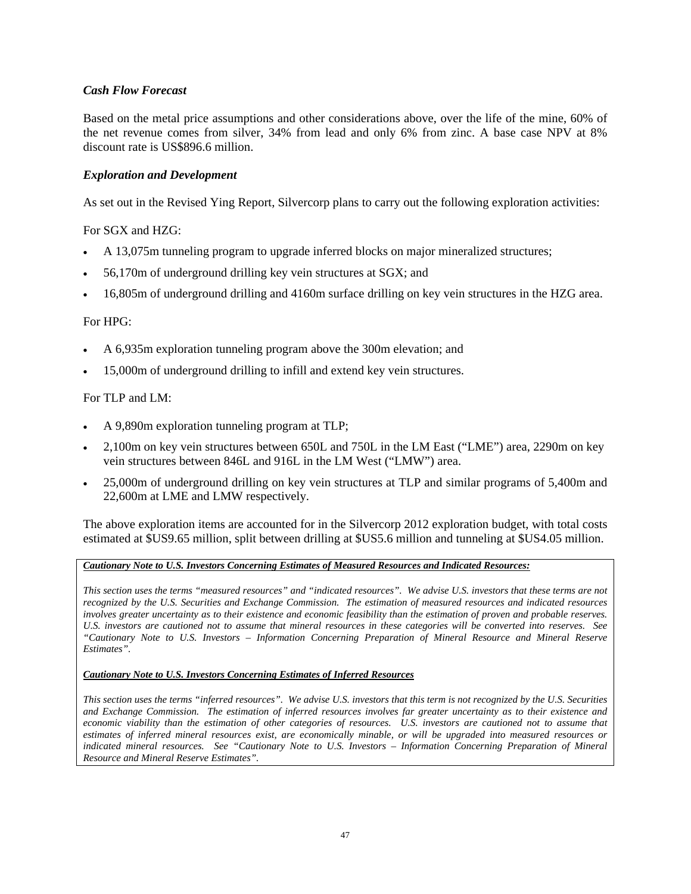# *Cash Flow Forecast*

Based on the metal price assumptions and other considerations above, over the life of the mine, 60% of the net revenue comes from silver, 34% from lead and only 6% from zinc. A base case NPV at 8% discount rate is US\$896.6 million.

## *Exploration and Development*

As set out in the Revised Ying Report, Silvercorp plans to carry out the following exploration activities:

For SGX and HZG:

- A 13,075m tunneling program to upgrade inferred blocks on major mineralized structures;
- 56,170m of underground drilling key vein structures at SGX; and
- 16,805m of underground drilling and 4160m surface drilling on key vein structures in the HZG area.

### For HPG:

- A 6,935m exploration tunneling program above the 300m elevation; and
- 15,000m of underground drilling to infill and extend key vein structures.

## For TLP and LM:

- A 9,890m exploration tunneling program at TLP;
- 2,100m on key vein structures between 650L and 750L in the LM East ("LME") area, 2290m on key vein structures between 846L and 916L in the LM West ("LMW") area.
- 25,000m of underground drilling on key vein structures at TLP and similar programs of 5,400m and 22,600m at LME and LMW respectively.

The above exploration items are accounted for in the Silvercorp 2012 exploration budget, with total costs estimated at \$US9.65 million, split between drilling at \$US5.6 million and tunneling at \$US4.05 million.

#### *Cautionary Note to U.S. Investors Concerning Estimates of Measured Resources and Indicated Resources:*

*This section uses the terms "measured resources" and "indicated resources". We advise U.S. investors that these terms are not recognized by the U.S. Securities and Exchange Commission. The estimation of measured resources and indicated resources involves greater uncertainty as to their existence and economic feasibility than the estimation of proven and probable reserves. U.S. investors are cautioned not to assume that mineral resources in these categories will be converted into reserves. See "Cautionary Note to U.S. Investors – Information Concerning Preparation of Mineral Resource and Mineral Reserve Estimates".* 

#### *Cautionary Note to U.S. Investors Concerning Estimates of Inferred Resources*

*This section uses the terms "inferred resources". We advise U.S. investors that this term is not recognized by the U.S. Securities and Exchange Commission. The estimation of inferred resources involves far greater uncertainty as to their existence and economic viability than the estimation of other categories of resources. U.S. investors are cautioned not to assume that estimates of inferred mineral resources exist, are economically minable, or will be upgraded into measured resources or indicated mineral resources. See "Cautionary Note to U.S. Investors – Information Concerning Preparation of Mineral Resource and Mineral Reserve Estimates".*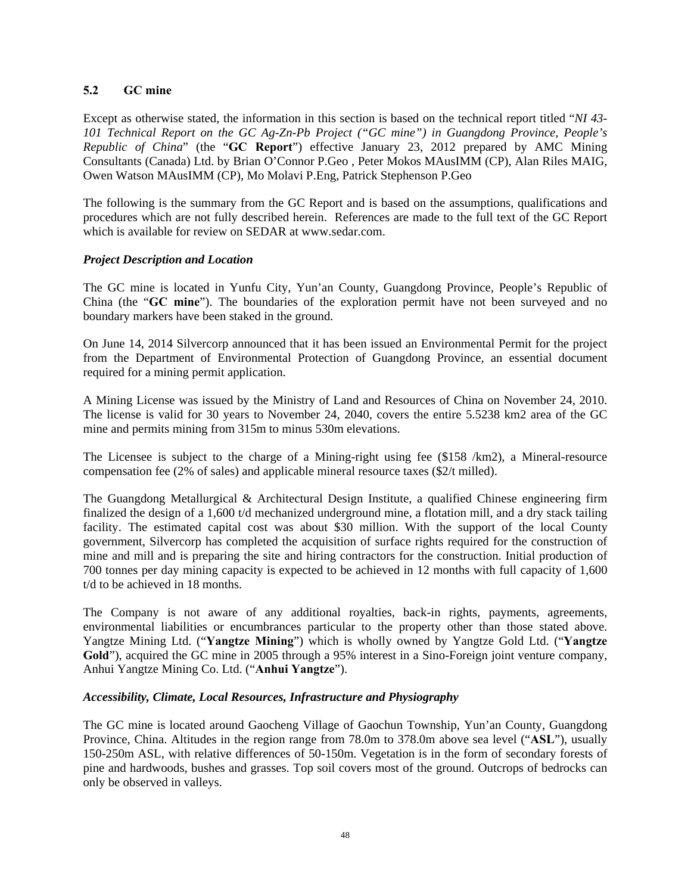### **5.2 GC mine**

Except as otherwise stated, the information in this section is based on the technical report titled "*NI 43- 101 Technical Report on the GC Ag-Zn-Pb Project ("GC mine") in Guangdong Province, People's Republic of China*" (the "**GC Report**") effective January 23, 2012 prepared by AMC Mining Consultants (Canada) Ltd. by Brian O'Connor P.Geo , Peter Mokos MAusIMM (CP), Alan Riles MAIG, Owen Watson MAusIMM (CP), Mo Molavi P.Eng, Patrick Stephenson P.Geo

The following is the summary from the GC Report and is based on the assumptions, qualifications and procedures which are not fully described herein. References are made to the full text of the GC Report which is available for review on SEDAR at www.sedar.com.

## *Project Description and Location*

The GC mine is located in Yunfu City, Yun'an County, Guangdong Province, People's Republic of China (the "**GC mine**"). The boundaries of the exploration permit have not been surveyed and no boundary markers have been staked in the ground.

On June 14, 2014 Silvercorp announced that it has been issued an Environmental Permit for the project from the Department of Environmental Protection of Guangdong Province, an essential document required for a mining permit application.

A Mining License was issued by the Ministry of Land and Resources of China on November 24, 2010. The license is valid for 30 years to November 24, 2040, covers the entire 5.5238 km2 area of the GC mine and permits mining from 315m to minus 530m elevations.

The Licensee is subject to the charge of a Mining-right using fee (\$158 /km2), a Mineral-resource compensation fee (2% of sales) and applicable mineral resource taxes (\$2/t milled).

The Guangdong Metallurgical & Architectural Design Institute, a qualified Chinese engineering firm finalized the design of a 1,600 t/d mechanized underground mine, a flotation mill, and a dry stack tailing facility. The estimated capital cost was about \$30 million. With the support of the local County government, Silvercorp has completed the acquisition of surface rights required for the construction of mine and mill and is preparing the site and hiring contractors for the construction. Initial production of 700 tonnes per day mining capacity is expected to be achieved in 12 months with full capacity of 1,600 t/d to be achieved in 18 months.

The Company is not aware of any additional royalties, back-in rights, payments, agreements, environmental liabilities or encumbrances particular to the property other than those stated above. Yangtze Mining Ltd. ("**Yangtze Mining**") which is wholly owned by Yangtze Gold Ltd. ("**Yangtze**  Gold"), acquired the GC mine in 2005 through a 95% interest in a Sino-Foreign joint venture company, Anhui Yangtze Mining Co. Ltd. ("**Anhui Yangtze**").

### *Accessibility, Climate, Local Resources, Infrastructure and Physiography*

The GC mine is located around Gaocheng Village of Gaochun Township, Yun'an County, Guangdong Province, China. Altitudes in the region range from 78.0m to 378.0m above sea level ("**ASL**"), usually 150-250m ASL, with relative differences of 50-150m. Vegetation is in the form of secondary forests of pine and hardwoods, bushes and grasses. Top soil covers most of the ground. Outcrops of bedrocks can only be observed in valleys.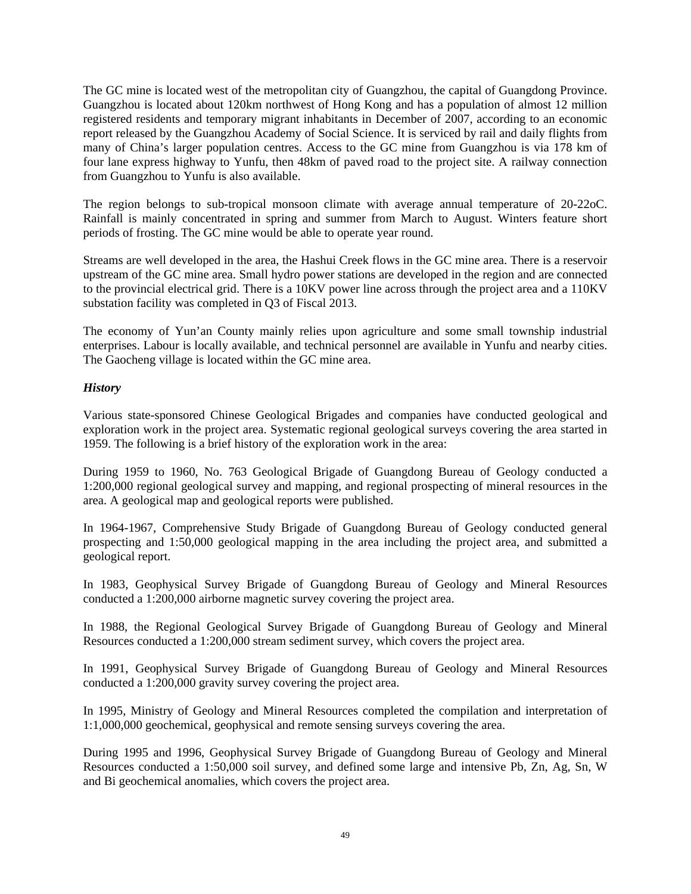The GC mine is located west of the metropolitan city of Guangzhou, the capital of Guangdong Province. Guangzhou is located about 120km northwest of Hong Kong and has a population of almost 12 million registered residents and temporary migrant inhabitants in December of 2007, according to an economic report released by the Guangzhou Academy of Social Science. It is serviced by rail and daily flights from many of China's larger population centres. Access to the GC mine from Guangzhou is via 178 km of four lane express highway to Yunfu, then 48km of paved road to the project site. A railway connection from Guangzhou to Yunfu is also available.

The region belongs to sub-tropical monsoon climate with average annual temperature of 20-22oC. Rainfall is mainly concentrated in spring and summer from March to August. Winters feature short periods of frosting. The GC mine would be able to operate year round.

Streams are well developed in the area, the Hashui Creek flows in the GC mine area. There is a reservoir upstream of the GC mine area. Small hydro power stations are developed in the region and are connected to the provincial electrical grid. There is a 10KV power line across through the project area and a 110KV substation facility was completed in Q3 of Fiscal 2013.

The economy of Yun'an County mainly relies upon agriculture and some small township industrial enterprises. Labour is locally available, and technical personnel are available in Yunfu and nearby cities. The Gaocheng village is located within the GC mine area.

## *History*

Various state-sponsored Chinese Geological Brigades and companies have conducted geological and exploration work in the project area. Systematic regional geological surveys covering the area started in 1959. The following is a brief history of the exploration work in the area:

During 1959 to 1960, No. 763 Geological Brigade of Guangdong Bureau of Geology conducted a 1:200,000 regional geological survey and mapping, and regional prospecting of mineral resources in the area. A geological map and geological reports were published.

In 1964-1967, Comprehensive Study Brigade of Guangdong Bureau of Geology conducted general prospecting and 1:50,000 geological mapping in the area including the project area, and submitted a geological report.

In 1983, Geophysical Survey Brigade of Guangdong Bureau of Geology and Mineral Resources conducted a 1:200,000 airborne magnetic survey covering the project area.

In 1988, the Regional Geological Survey Brigade of Guangdong Bureau of Geology and Mineral Resources conducted a 1:200,000 stream sediment survey, which covers the project area.

In 1991, Geophysical Survey Brigade of Guangdong Bureau of Geology and Mineral Resources conducted a 1:200,000 gravity survey covering the project area.

In 1995, Ministry of Geology and Mineral Resources completed the compilation and interpretation of 1:1,000,000 geochemical, geophysical and remote sensing surveys covering the area.

During 1995 and 1996, Geophysical Survey Brigade of Guangdong Bureau of Geology and Mineral Resources conducted a 1:50,000 soil survey, and defined some large and intensive Pb, Zn, Ag, Sn, W and Bi geochemical anomalies, which covers the project area.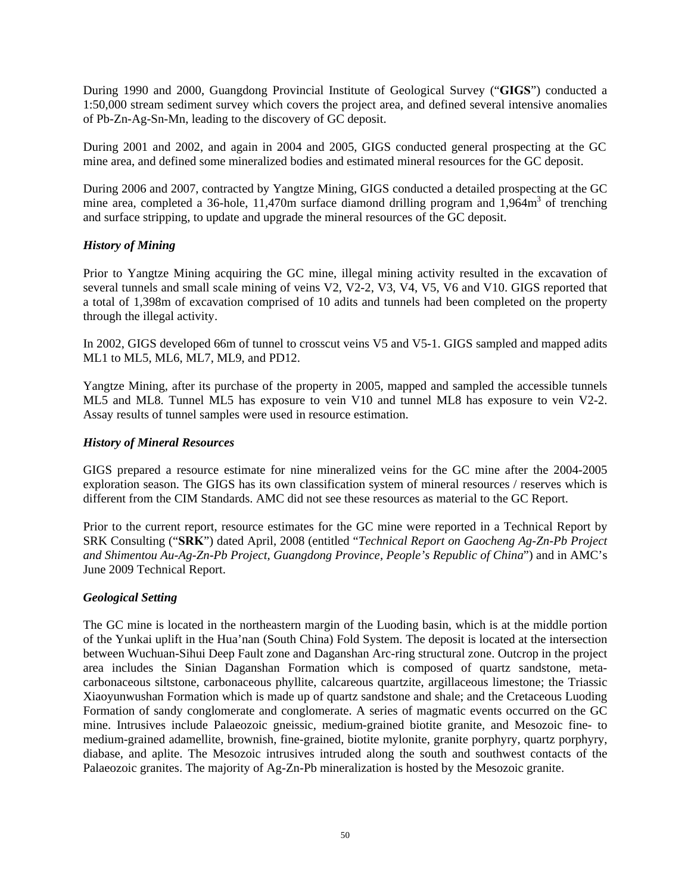During 1990 and 2000, Guangdong Provincial Institute of Geological Survey ("**GIGS**") conducted a 1:50,000 stream sediment survey which covers the project area, and defined several intensive anomalies of Pb-Zn-Ag-Sn-Mn, leading to the discovery of GC deposit.

During 2001 and 2002, and again in 2004 and 2005, GIGS conducted general prospecting at the GC mine area, and defined some mineralized bodies and estimated mineral resources for the GC deposit.

During 2006 and 2007, contracted by Yangtze Mining, GIGS conducted a detailed prospecting at the GC mine area, completed a 36-hole,  $11,470$ m surface diamond drilling program and  $1,964$ m<sup>3</sup> of trenching and surface stripping, to update and upgrade the mineral resources of the GC deposit.

### *History of Mining*

Prior to Yangtze Mining acquiring the GC mine, illegal mining activity resulted in the excavation of several tunnels and small scale mining of veins V2, V2-2, V3, V4, V5, V6 and V10. GIGS reported that a total of 1,398m of excavation comprised of 10 adits and tunnels had been completed on the property through the illegal activity.

In 2002, GIGS developed 66m of tunnel to crosscut veins V5 and V5-1. GIGS sampled and mapped adits ML1 to ML5, ML6, ML7, ML9, and PD12.

Yangtze Mining, after its purchase of the property in 2005, mapped and sampled the accessible tunnels ML5 and ML8. Tunnel ML5 has exposure to vein V10 and tunnel ML8 has exposure to vein V2-2. Assay results of tunnel samples were used in resource estimation.

#### *History of Mineral Resources*

GIGS prepared a resource estimate for nine mineralized veins for the GC mine after the 2004-2005 exploration season. The GIGS has its own classification system of mineral resources / reserves which is different from the CIM Standards. AMC did not see these resources as material to the GC Report.

Prior to the current report, resource estimates for the GC mine were reported in a Technical Report by SRK Consulting ("**SRK**") dated April, 2008 (entitled "*Technical Report on Gaocheng Ag-Zn-Pb Project and Shimentou Au-Ag-Zn-Pb Project, Guangdong Province, People's Republic of China*") and in AMC's June 2009 Technical Report.

#### *Geological Setting*

The GC mine is located in the northeastern margin of the Luoding basin, which is at the middle portion of the Yunkai uplift in the Hua'nan (South China) Fold System. The deposit is located at the intersection between Wuchuan-Sihui Deep Fault zone and Daganshan Arc-ring structural zone. Outcrop in the project area includes the Sinian Daganshan Formation which is composed of quartz sandstone, metacarbonaceous siltstone, carbonaceous phyllite, calcareous quartzite, argillaceous limestone; the Triassic Xiaoyunwushan Formation which is made up of quartz sandstone and shale; and the Cretaceous Luoding Formation of sandy conglomerate and conglomerate. A series of magmatic events occurred on the GC mine. Intrusives include Palaeozoic gneissic, medium-grained biotite granite, and Mesozoic fine- to medium-grained adamellite, brownish, fine-grained, biotite mylonite, granite porphyry, quartz porphyry, diabase, and aplite. The Mesozoic intrusives intruded along the south and southwest contacts of the Palaeozoic granites. The majority of Ag-Zn-Pb mineralization is hosted by the Mesozoic granite.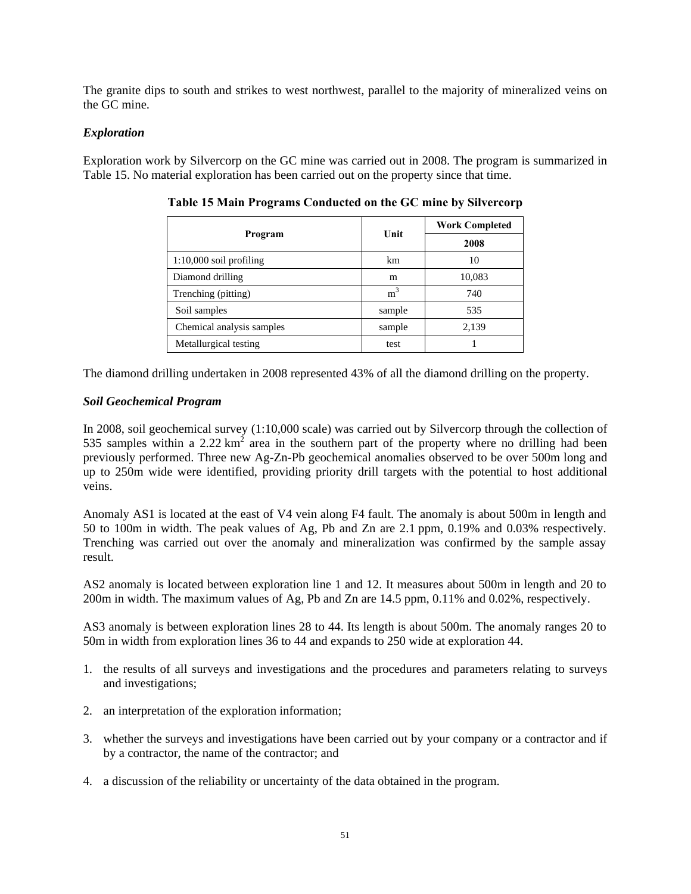The granite dips to south and strikes to west northwest, parallel to the majority of mineralized veins on the GC mine.

### *Exploration*

Exploration work by Silvercorp on the GC mine was carried out in 2008. The program is summarized in Table 15. No material exploration has been carried out on the property since that time.

|                           |                | <b>Work Completed</b> |
|---------------------------|----------------|-----------------------|
| Program                   | Unit           | 2008                  |
| $1:10,000$ soil profiling | km             | 10                    |
| Diamond drilling          | m              | 10,083                |
| Trenching (pitting)       | m <sup>3</sup> | 740                   |
| Soil samples              | sample         | 535                   |
| Chemical analysis samples | sample         | 2,139                 |
| Metallurgical testing     | test           |                       |

**Table 15 Main Programs Conducted on the GC mine by Silvercorp** 

The diamond drilling undertaken in 2008 represented 43% of all the diamond drilling on the property.

## *Soil Geochemical Program*

In 2008, soil geochemical survey (1:10,000 scale) was carried out by Silvercorp through the collection of 535 samples within a 2.22  $km^2$  area in the southern part of the property where no drilling had been previously performed. Three new Ag-Zn-Pb geochemical anomalies observed to be over 500m long and up to 250m wide were identified, providing priority drill targets with the potential to host additional veins.

Anomaly AS1 is located at the east of V4 vein along F4 fault. The anomaly is about 500m in length and 50 to 100m in width. The peak values of Ag, Pb and Zn are 2.1 ppm, 0.19% and 0.03% respectively. Trenching was carried out over the anomaly and mineralization was confirmed by the sample assay result.

AS2 anomaly is located between exploration line 1 and 12. It measures about 500m in length and 20 to 200m in width. The maximum values of Ag, Pb and Zn are 14.5 ppm, 0.11% and 0.02%, respectively.

AS3 anomaly is between exploration lines 28 to 44. Its length is about 500m. The anomaly ranges 20 to 50m in width from exploration lines 36 to 44 and expands to 250 wide at exploration 44.

- 1. the results of all surveys and investigations and the procedures and parameters relating to surveys and investigations;
- 2. an interpretation of the exploration information;
- 3. whether the surveys and investigations have been carried out by your company or a contractor and if by a contractor, the name of the contractor; and
- 4. a discussion of the reliability or uncertainty of the data obtained in the program.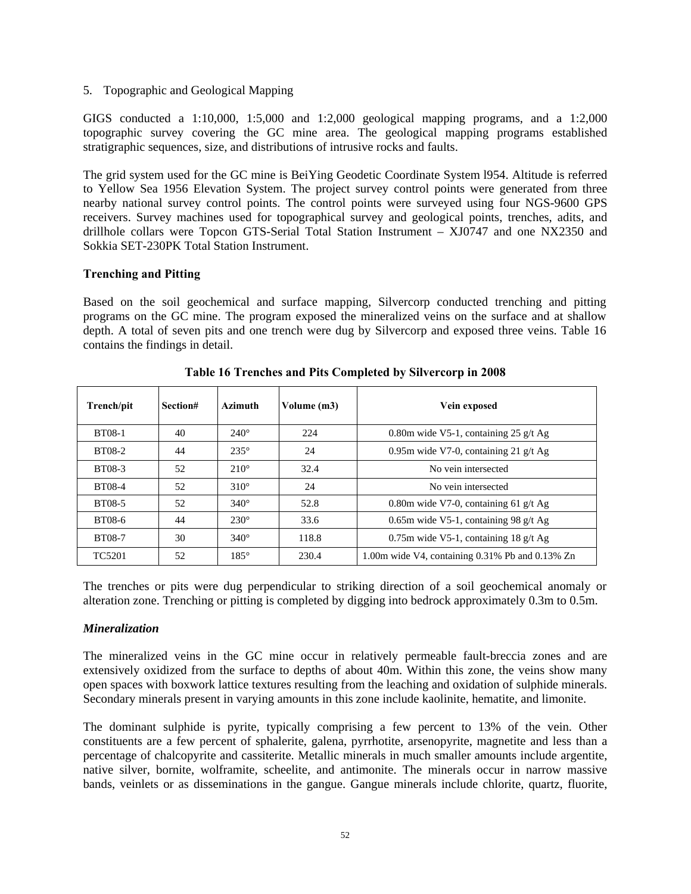### 5. Topographic and Geological Mapping

GIGS conducted a  $1:10,000$ ,  $1:5,000$  and  $1:2,000$  geological mapping programs, and a  $1:2,000$ topographic survey covering the GC mine area. The geological mapping programs established stratigraphic sequences, size, and distributions of intrusive rocks and faults.

The grid system used for the GC mine is BeiYing Geodetic Coordinate System l954. Altitude is referred to Yellow Sea 1956 Elevation System. The project survey control points were generated from three nearby national survey control points. The control points were surveyed using four NGS-9600 GPS receivers. Survey machines used for topographical survey and geological points, trenches, adits, and drillhole collars were Topcon GTS-Serial Total Station Instrument – XJ0747 and one NX2350 and Sokkia SET-230PK Total Station Instrument.

### **Trenching and Pitting**

Based on the soil geochemical and surface mapping, Silvercorp conducted trenching and pitting programs on the GC mine. The program exposed the mineralized veins on the surface and at shallow depth. A total of seven pits and one trench were dug by Silvercorp and exposed three veins. Table 16 contains the findings in detail.

| Trench/pit    | Section# | <b>Azimuth</b> | Volume (m3) | Vein exposed                                                  |
|---------------|----------|----------------|-------------|---------------------------------------------------------------|
| <b>BT08-1</b> | 40       | $240^\circ$    | 224         | 0.80m wide V5-1, containing 25 $g/t$ Ag                       |
| <b>BT08-2</b> | 44       | $235^\circ$    | 24          | 0.95m wide V7-0, containing 21 $g/t$ Ag                       |
| <b>BT08-3</b> | 52       | $210^\circ$    | 32.4        | No vein intersected                                           |
| <b>BT08-4</b> | 52       | $310^\circ$    | 24          | No vein intersected                                           |
| <b>BT08-5</b> | 52       | $340^\circ$    | 52.8        | 0.80m wide V7-0, containing 61 $g/t$ Ag                       |
| BT08-6        | 44       | $230^\circ$    | 33.6        | 0.65m wide V5-1, containing 98 $g/t$ Ag                       |
| <b>BT08-7</b> | 30       | $340^\circ$    | 118.8       | 0.75m wide V5-1, containing $18 \frac{\text{g}}{\text{t}}$ Ag |
| TC5201        | 52       | $185^\circ$    | 230.4       | 1.00m wide V4, containing 0.31% Pb and 0.13% Zn               |

**Table 16 Trenches and Pits Completed by Silvercorp in 2008** 

The trenches or pits were dug perpendicular to striking direction of a soil geochemical anomaly or alteration zone. Trenching or pitting is completed by digging into bedrock approximately 0.3m to 0.5m.

#### *Mineralization*

The mineralized veins in the GC mine occur in relatively permeable fault-breccia zones and are extensively oxidized from the surface to depths of about 40m. Within this zone, the veins show many open spaces with boxwork lattice textures resulting from the leaching and oxidation of sulphide minerals. Secondary minerals present in varying amounts in this zone include kaolinite, hematite, and limonite.

The dominant sulphide is pyrite, typically comprising a few percent to 13% of the vein. Other constituents are a few percent of sphalerite, galena, pyrrhotite, arsenopyrite, magnetite and less than a percentage of chalcopyrite and cassiterite. Metallic minerals in much smaller amounts include argentite, native silver, bornite, wolframite, scheelite, and antimonite. The minerals occur in narrow massive bands, veinlets or as disseminations in the gangue. Gangue minerals include chlorite, quartz, fluorite,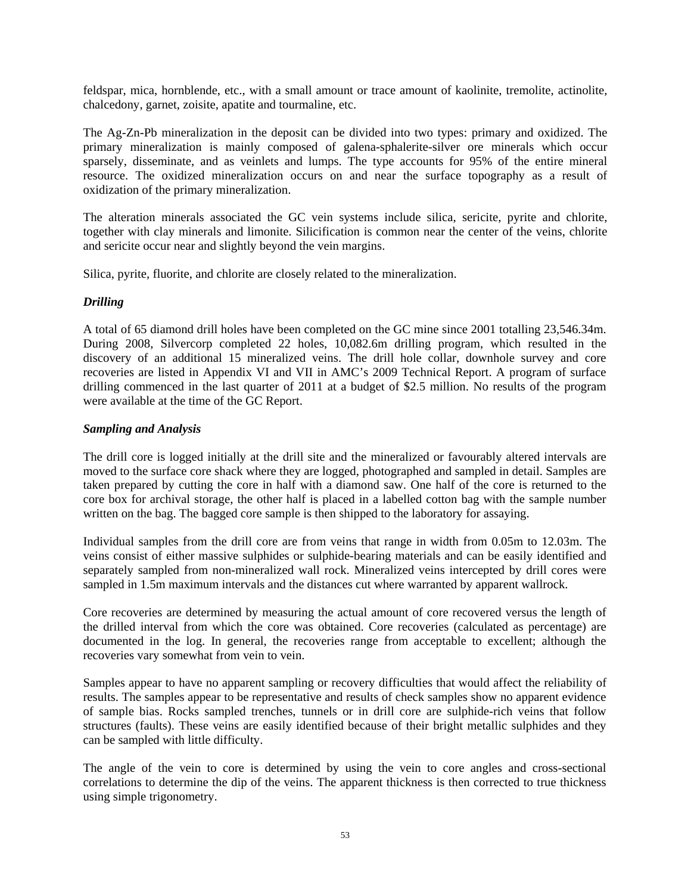feldspar, mica, hornblende, etc., with a small amount or trace amount of kaolinite, tremolite, actinolite, chalcedony, garnet, zoisite, apatite and tourmaline, etc.

The Ag-Zn-Pb mineralization in the deposit can be divided into two types: primary and oxidized. The primary mineralization is mainly composed of galena-sphalerite-silver ore minerals which occur sparsely, disseminate, and as veinlets and lumps. The type accounts for 95% of the entire mineral resource. The oxidized mineralization occurs on and near the surface topography as a result of oxidization of the primary mineralization.

The alteration minerals associated the GC vein systems include silica, sericite, pyrite and chlorite, together with clay minerals and limonite. Silicification is common near the center of the veins, chlorite and sericite occur near and slightly beyond the vein margins.

Silica, pyrite, fluorite, and chlorite are closely related to the mineralization.

### *Drilling*

A total of 65 diamond drill holes have been completed on the GC mine since 2001 totalling 23,546.34m. During 2008, Silvercorp completed 22 holes, 10,082.6m drilling program, which resulted in the discovery of an additional 15 mineralized veins. The drill hole collar, downhole survey and core recoveries are listed in Appendix VI and VII in AMC's 2009 Technical Report. A program of surface drilling commenced in the last quarter of 2011 at a budget of \$2.5 million. No results of the program were available at the time of the GC Report.

### *Sampling and Analysis*

The drill core is logged initially at the drill site and the mineralized or favourably altered intervals are moved to the surface core shack where they are logged, photographed and sampled in detail. Samples are taken prepared by cutting the core in half with a diamond saw. One half of the core is returned to the core box for archival storage, the other half is placed in a labelled cotton bag with the sample number written on the bag. The bagged core sample is then shipped to the laboratory for assaying.

Individual samples from the drill core are from veins that range in width from 0.05m to 12.03m. The veins consist of either massive sulphides or sulphide-bearing materials and can be easily identified and separately sampled from non-mineralized wall rock. Mineralized veins intercepted by drill cores were sampled in 1.5m maximum intervals and the distances cut where warranted by apparent wallrock.

Core recoveries are determined by measuring the actual amount of core recovered versus the length of the drilled interval from which the core was obtained. Core recoveries (calculated as percentage) are documented in the log. In general, the recoveries range from acceptable to excellent; although the recoveries vary somewhat from vein to vein.

Samples appear to have no apparent sampling or recovery difficulties that would affect the reliability of results. The samples appear to be representative and results of check samples show no apparent evidence of sample bias. Rocks sampled trenches, tunnels or in drill core are sulphide-rich veins that follow structures (faults). These veins are easily identified because of their bright metallic sulphides and they can be sampled with little difficulty.

The angle of the vein to core is determined by using the vein to core angles and cross-sectional correlations to determine the dip of the veins. The apparent thickness is then corrected to true thickness using simple trigonometry.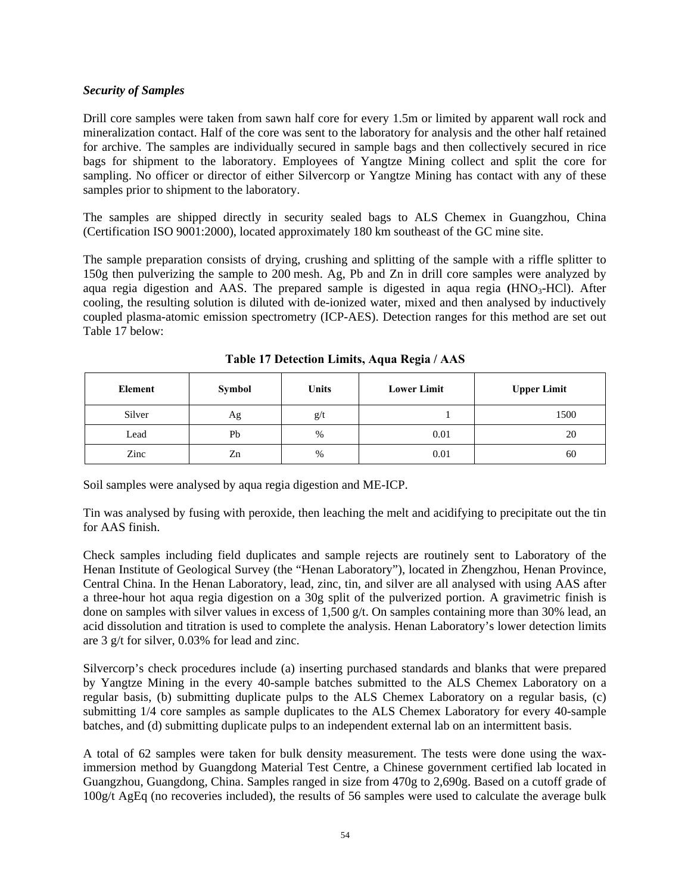### *Security of Samples*

Drill core samples were taken from sawn half core for every 1.5m or limited by apparent wall rock and mineralization contact. Half of the core was sent to the laboratory for analysis and the other half retained for archive. The samples are individually secured in sample bags and then collectively secured in rice bags for shipment to the laboratory. Employees of Yangtze Mining collect and split the core for sampling. No officer or director of either Silvercorp or Yangtze Mining has contact with any of these samples prior to shipment to the laboratory.

The samples are shipped directly in security sealed bags to ALS Chemex in Guangzhou, China (Certification ISO 9001:2000), located approximately 180 km southeast of the GC mine site.

The sample preparation consists of drying, crushing and splitting of the sample with a riffle splitter to 150g then pulverizing the sample to 200 mesh. Ag, Pb and Zn in drill core samples were analyzed by aqua regia digestion and AAS. The prepared sample is digested in aqua regia **(**HNO3-HCl). After cooling, the resulting solution is diluted with de-ionized water, mixed and then analysed by inductively coupled plasma-atomic emission spectrometry (ICP-AES). Detection ranges for this method are set out Table 17 below:

| Element | Symbol | <b>Units</b> | <b>Lower Limit</b> | <b>Upper Limit</b> |
|---------|--------|--------------|--------------------|--------------------|
| Silver  | Ag     | g/t          |                    | 1500               |
| Lead    | Pb     | $\%$         | 0.01               | 20                 |
| Zinc    | Zn     | $\%$         | 0.01               | 60                 |

**Table 17 Detection Limits, Aqua Regia / AAS** 

Soil samples were analysed by aqua regia digestion and ME-ICP.

Tin was analysed by fusing with peroxide, then leaching the melt and acidifying to precipitate out the tin for AAS finish.

Check samples including field duplicates and sample rejects are routinely sent to Laboratory of the Henan Institute of Geological Survey (the "Henan Laboratory"), located in Zhengzhou, Henan Province, Central China. In the Henan Laboratory, lead, zinc, tin, and silver are all analysed with using AAS after a three-hour hot aqua regia digestion on a 30g split of the pulverized portion. A gravimetric finish is done on samples with silver values in excess of 1,500  $g/t$ . On samples containing more than 30% lead, an acid dissolution and titration is used to complete the analysis. Henan Laboratory's lower detection limits are 3 g/t for silver, 0.03% for lead and zinc.

Silvercorp's check procedures include (a) inserting purchased standards and blanks that were prepared by Yangtze Mining in the every 40-sample batches submitted to the ALS Chemex Laboratory on a regular basis, (b) submitting duplicate pulps to the ALS Chemex Laboratory on a regular basis, (c) submitting 1/4 core samples as sample duplicates to the ALS Chemex Laboratory for every 40-sample batches, and (d) submitting duplicate pulps to an independent external lab on an intermittent basis.

A total of 62 samples were taken for bulk density measurement. The tests were done using the waximmersion method by Guangdong Material Test Centre, a Chinese government certified lab located in Guangzhou, Guangdong, China. Samples ranged in size from 470g to 2,690g. Based on a cutoff grade of 100g/t AgEq (no recoveries included), the results of 56 samples were used to calculate the average bulk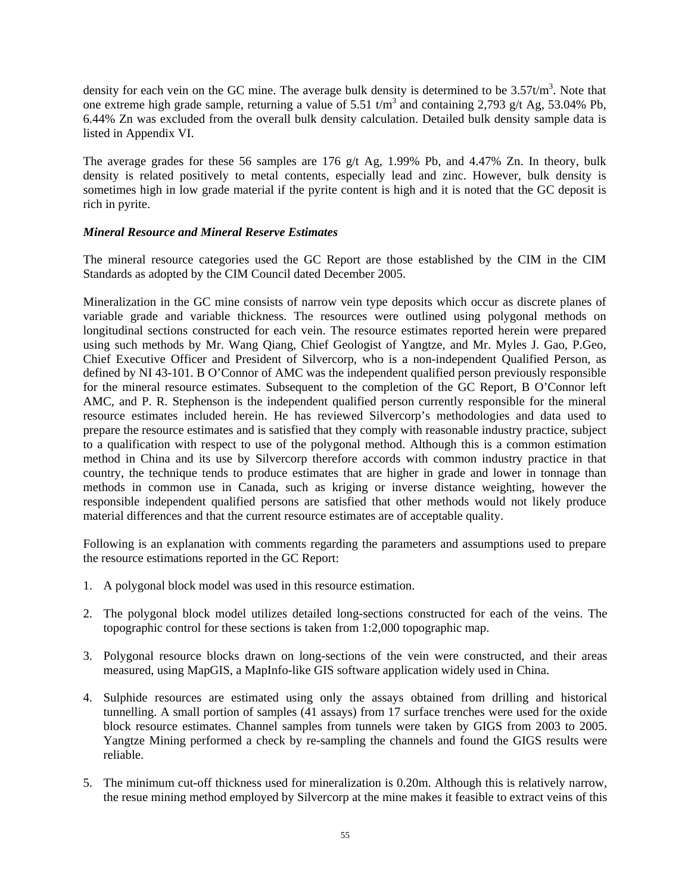density for each vein on the GC mine. The average bulk density is determined to be  $3.57t/m<sup>3</sup>$ . Note that one extreme high grade sample, returning a value of 5.51  $t/m<sup>3</sup>$  and containing 2,793 g/t Ag, 53.04% Pb, 6.44% Zn was excluded from the overall bulk density calculation. Detailed bulk density sample data is listed in Appendix VI.

The average grades for these 56 samples are 176 g/t Ag, 1.99% Pb, and 4.47% Zn. In theory, bulk density is related positively to metal contents, especially lead and zinc. However, bulk density is sometimes high in low grade material if the pyrite content is high and it is noted that the GC deposit is rich in pyrite.

#### *Mineral Resource and Mineral Reserve Estimates*

The mineral resource categories used the GC Report are those established by the CIM in the CIM Standards as adopted by the CIM Council dated December 2005.

Mineralization in the GC mine consists of narrow vein type deposits which occur as discrete planes of variable grade and variable thickness. The resources were outlined using polygonal methods on longitudinal sections constructed for each vein. The resource estimates reported herein were prepared using such methods by Mr. Wang Qiang, Chief Geologist of Yangtze, and Mr. Myles J. Gao, P.Geo, Chief Executive Officer and President of Silvercorp, who is a non-independent Qualified Person, as defined by NI 43-101. B O'Connor of AMC was the independent qualified person previously responsible for the mineral resource estimates. Subsequent to the completion of the GC Report, B O'Connor left AMC, and P. R. Stephenson is the independent qualified person currently responsible for the mineral resource estimates included herein. He has reviewed Silvercorp's methodologies and data used to prepare the resource estimates and is satisfied that they comply with reasonable industry practice, subject to a qualification with respect to use of the polygonal method. Although this is a common estimation method in China and its use by Silvercorp therefore accords with common industry practice in that country, the technique tends to produce estimates that are higher in grade and lower in tonnage than methods in common use in Canada, such as kriging or inverse distance weighting, however the responsible independent qualified persons are satisfied that other methods would not likely produce material differences and that the current resource estimates are of acceptable quality.

Following is an explanation with comments regarding the parameters and assumptions used to prepare the resource estimations reported in the GC Report:

- 1. A polygonal block model was used in this resource estimation.
- 2. The polygonal block model utilizes detailed long-sections constructed for each of the veins. The topographic control for these sections is taken from 1:2,000 topographic map.
- 3. Polygonal resource blocks drawn on long-sections of the vein were constructed, and their areas measured, using MapGIS, a MapInfo-like GIS software application widely used in China.
- 4. Sulphide resources are estimated using only the assays obtained from drilling and historical tunnelling. A small portion of samples (41 assays) from 17 surface trenches were used for the oxide block resource estimates. Channel samples from tunnels were taken by GIGS from 2003 to 2005. Yangtze Mining performed a check by re-sampling the channels and found the GIGS results were reliable.
- 5. The minimum cut-off thickness used for mineralization is 0.20m. Although this is relatively narrow, the resue mining method employed by Silvercorp at the mine makes it feasible to extract veins of this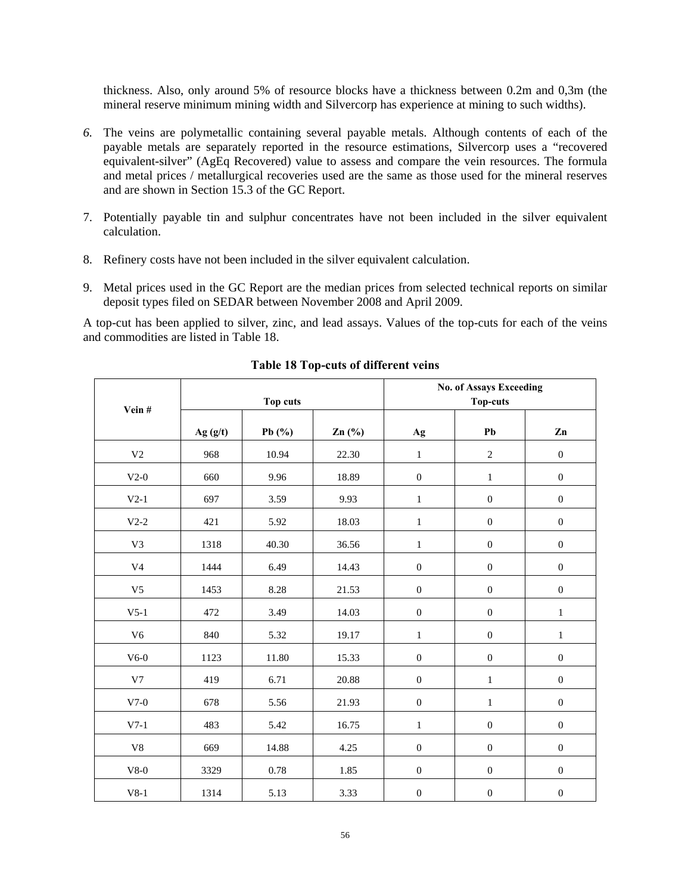thickness. Also, only around 5% of resource blocks have a thickness between 0.2m and 0,3m (the mineral reserve minimum mining width and Silvercorp has experience at mining to such widths).

- *6.* The veins are polymetallic containing several payable metals. Although contents of each of the payable metals are separately reported in the resource estimations, Silvercorp uses a "recovered equivalent-silver" (AgEq Recovered) value to assess and compare the vein resources. The formula and metal prices / metallurgical recoveries used are the same as those used for the mineral reserves and are shown in Section 15.3 of the GC Report.
- 7. Potentially payable tin and sulphur concentrates have not been included in the silver equivalent calculation.
- 8. Refinery costs have not been included in the silver equivalent calculation.
- 9. Metal prices used in the GC Report are the median prices from selected technical reports on similar deposit types filed on SEDAR between November 2008 and April 2009.

A top-cut has been applied to silver, zinc, and lead assays. Values of the top-cuts for each of the veins and commodities are listed in Table 18.

| Vein#          | Top cuts   |            |          |                  | <b>No. of Assays Exceeding</b><br><b>Top-cuts</b> |                  |
|----------------|------------|------------|----------|------------------|---------------------------------------------------|------------------|
|                | Ag $(g/t)$ | Pb $(\% )$ | $Zn$ (%) | Ag               | Pb                                                | Zn               |
| V <sub>2</sub> | 968        | 10.94      | 22.30    | $\mathbf{1}$     | 2                                                 | $\boldsymbol{0}$ |
| $V2-0$         | 660        | 9.96       | 18.89    | $\boldsymbol{0}$ | $\mathbf{1}$                                      | $\boldsymbol{0}$ |
| $V2-1$         | 697        | 3.59       | 9.93     | $\mathbf{1}$     | $\boldsymbol{0}$                                  | $\boldsymbol{0}$ |
| $V2-2$         | 421        | 5.92       | 18.03    | $\mathbf{1}$     | $\boldsymbol{0}$                                  | $\boldsymbol{0}$ |
| V <sub>3</sub> | 1318       | 40.30      | 36.56    | $\mathbf{1}$     | $\boldsymbol{0}$                                  | $\boldsymbol{0}$ |
| V <sub>4</sub> | 1444       | 6.49       | 14.43    | $\boldsymbol{0}$ | $\boldsymbol{0}$                                  | $\boldsymbol{0}$ |
| V <sub>5</sub> | 1453       | 8.28       | 21.53    | $\boldsymbol{0}$ | $\boldsymbol{0}$                                  | $\boldsymbol{0}$ |
| $V5-1$         | 472        | 3.49       | 14.03    | $\boldsymbol{0}$ | $\boldsymbol{0}$                                  | $\mathbf{1}$     |
| V <sub>6</sub> | 840        | 5.32       | 19.17    | $\mathbf{1}$     | $\boldsymbol{0}$                                  | $\mathbf{1}$     |
| $V6-0$         | 1123       | 11.80      | 15.33    | $\boldsymbol{0}$ | $\boldsymbol{0}$                                  | $\boldsymbol{0}$ |
| V <sub>7</sub> | 419        | 6.71       | 20.88    | $\boldsymbol{0}$ | $\mathbf{1}$                                      | $\boldsymbol{0}$ |
| $V7-0$         | 678        | 5.56       | 21.93    | $\boldsymbol{0}$ | $\mathbf{1}$                                      | $\boldsymbol{0}$ |
| $V7-1$         | 483        | 5.42       | 16.75    | $\mathbf{1}$     | $\boldsymbol{0}$                                  | $\boldsymbol{0}$ |
| ${\rm V}8$     | 669        | 14.88      | 4.25     | $\boldsymbol{0}$ | $\boldsymbol{0}$                                  | $\boldsymbol{0}$ |
| $V8-0$         | 3329       | 0.78       | 1.85     | $\boldsymbol{0}$ | $\boldsymbol{0}$                                  | $\boldsymbol{0}$ |
| $V8-1$         | 1314       | 5.13       | 3.33     | $\boldsymbol{0}$ | $\boldsymbol{0}$                                  | $\boldsymbol{0}$ |

**Table 18 Top-cuts of different veins**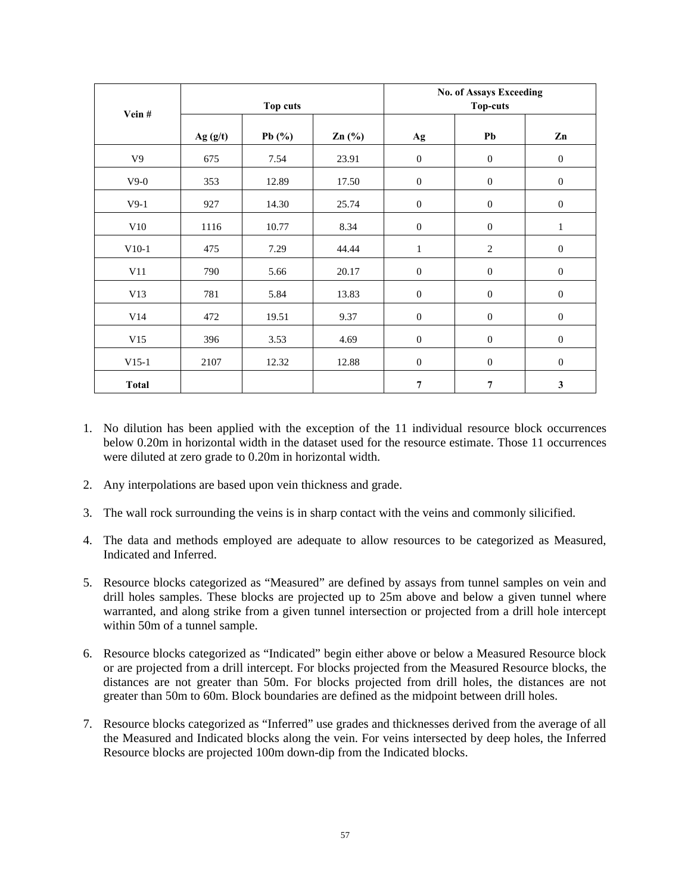| Vein#          |            | <b>Top cuts</b> |          |                  | <b>No. of Assays Exceeding</b><br><b>Top-cuts</b> |                  |  |
|----------------|------------|-----------------|----------|------------------|---------------------------------------------------|------------------|--|
|                | Ag $(g/t)$ | Pb $(\% )$      | $Zn$ (%) | Ag               | Pb                                                | Zn               |  |
| V <sub>9</sub> | 675        | 7.54            | 23.91    | $\boldsymbol{0}$ | $\boldsymbol{0}$                                  | $\mathbf{0}$     |  |
| $V9-0$         | 353        | 12.89           | 17.50    | $\boldsymbol{0}$ | $\mathbf{0}$                                      | $\mathbf{0}$     |  |
| $V9-1$         | 927        | 14.30           | 25.74    | $\boldsymbol{0}$ | $\mathbf{0}$                                      | $\mathbf{0}$     |  |
| V10            | 1116       | 10.77           | 8.34     | $\boldsymbol{0}$ | $\boldsymbol{0}$                                  | $\mathbf{1}$     |  |
| $V10-1$        | 475        | 7.29            | 44.44    | $\mathbf{1}$     | $\overline{2}$                                    | $\mathbf{0}$     |  |
| V11            | 790        | 5.66            | 20.17    | $\boldsymbol{0}$ | $\mathbf{0}$                                      | $\mathbf{0}$     |  |
| V13            | 781        | 5.84            | 13.83    | $\boldsymbol{0}$ | $\theta$                                          | $\boldsymbol{0}$ |  |
| V14            | 472        | 19.51           | 9.37     | $\boldsymbol{0}$ | $\boldsymbol{0}$                                  | $\boldsymbol{0}$ |  |
| V15            | 396        | 3.53            | 4.69     | $\boldsymbol{0}$ | $\mathbf{0}$                                      | $\mathbf{0}$     |  |
| $V15-1$        | 2107       | 12.32           | 12.88    | $\boldsymbol{0}$ | $\boldsymbol{0}$                                  | $\boldsymbol{0}$ |  |
| <b>Total</b>   |            |                 |          | 7                | 7                                                 | 3                |  |

- 1. No dilution has been applied with the exception of the 11 individual resource block occurrences below 0.20m in horizontal width in the dataset used for the resource estimate. Those 11 occurrences were diluted at zero grade to 0.20m in horizontal width.
- 2. Any interpolations are based upon vein thickness and grade.
- 3. The wall rock surrounding the veins is in sharp contact with the veins and commonly silicified.
- 4. The data and methods employed are adequate to allow resources to be categorized as Measured, Indicated and Inferred.
- 5. Resource blocks categorized as "Measured" are defined by assays from tunnel samples on vein and drill holes samples. These blocks are projected up to 25m above and below a given tunnel where warranted, and along strike from a given tunnel intersection or projected from a drill hole intercept within 50m of a tunnel sample.
- 6. Resource blocks categorized as "Indicated" begin either above or below a Measured Resource block or are projected from a drill intercept. For blocks projected from the Measured Resource blocks, the distances are not greater than 50m. For blocks projected from drill holes, the distances are not greater than 50m to 60m. Block boundaries are defined as the midpoint between drill holes.
- 7. Resource blocks categorized as "Inferred" use grades and thicknesses derived from the average of all the Measured and Indicated blocks along the vein. For veins intersected by deep holes, the Inferred Resource blocks are projected 100m down-dip from the Indicated blocks.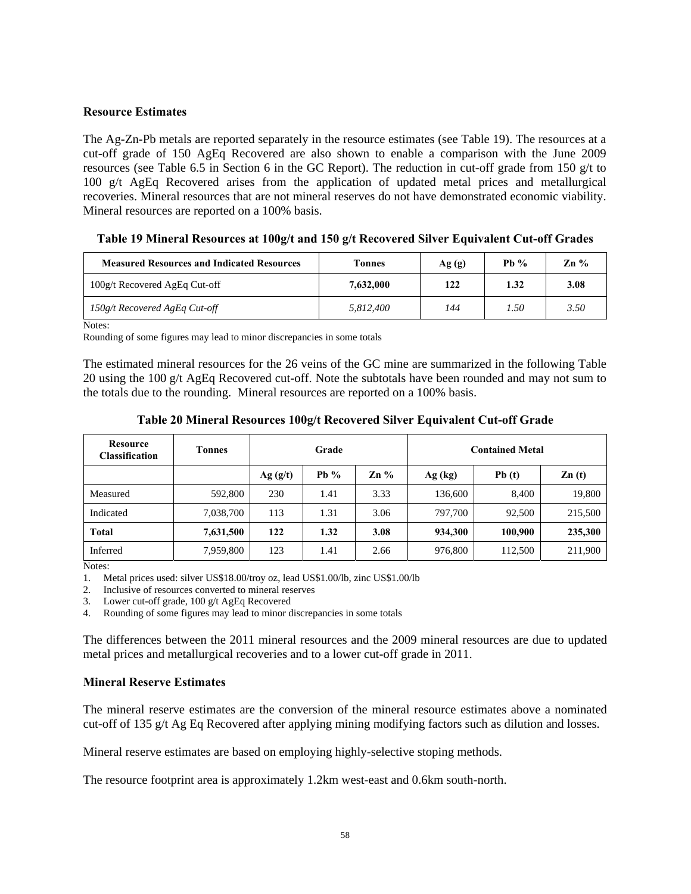### **Resource Estimates**

The Ag-Zn-Pb metals are reported separately in the resource estimates (see Table 19). The resources at a cut-off grade of 150 AgEq Recovered are also shown to enable a comparison with the June 2009 resources (see Table 6.5 in Section 6 in the GC Report). The reduction in cut-off grade from 150 g/t to 100 g/t AgEq Recovered arises from the application of updated metal prices and metallurgical recoveries. Mineral resources that are not mineral reserves do not have demonstrated economic viability. Mineral resources are reported on a 100% basis.

| <b>Measured Resources and Indicated Resources</b> | Tonnes    | Ag(g) | Ph $\%$ | $Zn\%$ |
|---------------------------------------------------|-----------|-------|---------|--------|
| 100g/t Recovered AgEq Cut-off                     | 7,632,000 | 122   | 1.32    | 3.08   |
| $150g/t$ Recovered AgEq Cut-off                   | 5,812,400 | 144   | 1.50    | 3.50   |

**Table 19 Mineral Resources at 100g/t and 150 g/t Recovered Silver Equivalent Cut-off Grades** 

Notes:

Rounding of some figures may lead to minor discrepancies in some totals

The estimated mineral resources for the 26 veins of the GC mine are summarized in the following Table 20 using the 100 g/t AgEq Recovered cut-off. Note the subtotals have been rounded and may not sum to the totals due to the rounding. Mineral resources are reported on a 100% basis.

### **Table 20 Mineral Resources 100g/t Recovered Silver Equivalent Cut-off Grade**

| Resource<br><b>Classification</b> | <b>Tonnes</b> | Grade   |        |                           |         | <b>Contained Metal</b> |                   |
|-----------------------------------|---------------|---------|--------|---------------------------|---------|------------------------|-------------------|
|                                   |               | Ag(g/t) | Pb $%$ | $\mathbb{Z} \mathbf{n}$ % | Ag (kg) | Pb(t)                  | $\mathbf{Zn}$ (t) |
| Measured                          | 592,800       | 230     | 1.41   | 3.33                      | 136.600 | 8.400                  | 19,800            |
| Indicated                         | 7,038,700     | 113     | 1.31   | 3.06                      | 797.700 | 92,500                 | 215,500           |
| Total                             | 7,631,500     | 122     | 1.32   | 3.08                      | 934.300 | 100,900                | 235,300           |
| Inferred                          | 7,959,800     | 123     | 1.41   | 2.66                      | 976,800 | 112,500                | 211,900           |

Notes:

1. Metal prices used: silver US\$18.00/troy oz, lead US\$1.00/lb, zinc US\$1.00/lb

2. Inclusive of resources converted to mineral reserves

3. Lower cut-off grade, 100 g/t AgEq Recovered

4. Rounding of some figures may lead to minor discrepancies in some totals

The differences between the 2011 mineral resources and the 2009 mineral resources are due to updated metal prices and metallurgical recoveries and to a lower cut-off grade in 2011.

### **Mineral Reserve Estimates**

The mineral reserve estimates are the conversion of the mineral resource estimates above a nominated cut-off of 135 g/t Ag Eq Recovered after applying mining modifying factors such as dilution and losses.

Mineral reserve estimates are based on employing highly-selective stoping methods.

The resource footprint area is approximately 1.2km west-east and 0.6km south-north.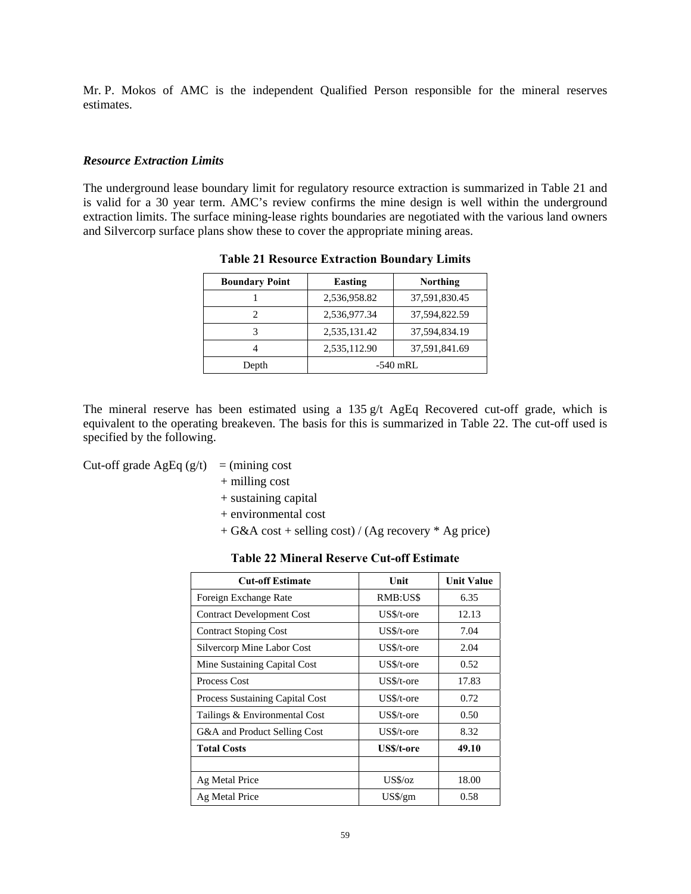Mr. P. Mokos of AMC is the independent Qualified Person responsible for the mineral reserves estimates.

#### *Resource Extraction Limits*

The underground lease boundary limit for regulatory resource extraction is summarized in Table 21 and is valid for a 30 year term. AMC's review confirms the mine design is well within the underground extraction limits. The surface mining-lease rights boundaries are negotiated with the various land owners and Silvercorp surface plans show these to cover the appropriate mining areas.

| <b>Boundary Point</b>       | Easting      | <b>Northing</b> |  |  |  |
|-----------------------------|--------------|-----------------|--|--|--|
|                             | 2,536,958.82 | 37,591,830.45   |  |  |  |
| $\mathcal{D}_{\mathcal{L}}$ | 2,536,977.34 | 37,594,822.59   |  |  |  |
|                             | 2,535,131.42 | 37,594,834.19   |  |  |  |
|                             | 2,535,112.90 | 37,591,841.69   |  |  |  |
| Depth                       | $-540$ mRL   |                 |  |  |  |

**Table 21 Resource Extraction Boundary Limits** 

The mineral reserve has been estimated using a 135 g/t AgEq Recovered cut-off grade, which is equivalent to the operating breakeven. The basis for this is summarized in Table 22. The cut-off used is specified by the following.

Cut-off grade AgEq  $(g/t)$  = (mining cost

- 
- + milling cost
- + sustaining capital
- + environmental cost
- + G&A cost + selling cost) / (Ag recovery \* Ag price)

**Table 22 Mineral Reserve Cut-off Estimate** 

| <b>Cut-off Estimate</b>          | Unit             | <b>Unit Value</b> |
|----------------------------------|------------------|-------------------|
| Foreign Exchange Rate            | RMB:US\$         | 6.35              |
| <b>Contract Development Cost</b> | $USS/t$ -ore     | 12.13             |
| <b>Contract Stoping Cost</b>     | $US\$ /t-ore     | 7.04              |
| Silvercorp Mine Labor Cost       | $US\$ /t-ore     | 2.04              |
| Mine Sustaining Capital Cost     | $US\$ /t-ore     | 0.52              |
| Process Cost                     | $US\$ /t-ore     | 17.83             |
| Process Sustaining Capital Cost  | $US\$ /t-ore     | 0.72              |
| Tailings & Environmental Cost    | $US\$ /t-ore     | 0.50              |
| G&A and Product Selling Cost     | $US\$ /t-ore     | 8.32              |
| <b>Total Costs</b>               | US\$/t-ore       | 49.10             |
|                                  |                  |                   |
| Ag Metal Price                   | $US\%$ /oz       | 18.00             |
| Ag Metal Price                   | $US\frac{g}{gm}$ | 0.58              |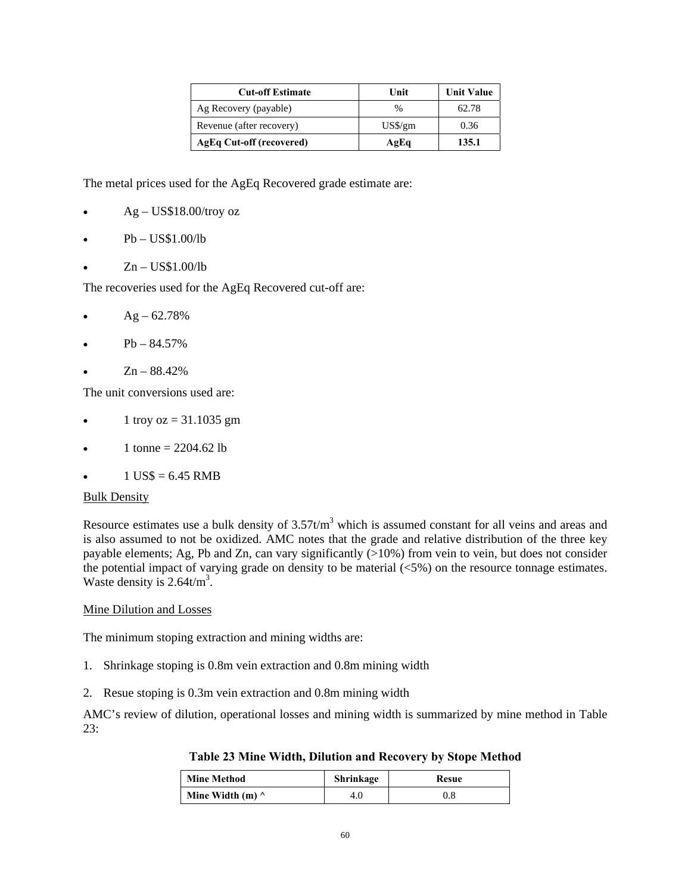| <b>Cut-off Estimate</b>         | Unit             | <b>Unit Value</b> |
|---------------------------------|------------------|-------------------|
| Ag Recovery (payable)           | $\frac{0}{0}$    | 62.78             |
| Revenue (after recovery)        | $US\frac{g}{gm}$ | 0.36              |
| <b>AgEq Cut-off (recovered)</b> | AgEq             | 135.1             |

The metal prices used for the AgEq Recovered grade estimate are:

- Ag US\$18.00/troy oz
- Pb US\$1.00/lb
- Zn US\$1.00/lb

The recoveries used for the AgEq Recovered cut-off are:

- $Ag 62.78%$
- $Pb 84.57%$
- Zn 88.42%

The unit conversions used are:

- 1 troy oz =  $31.1035$  gm
- 1 tonne =  $2204.62$  lb
- $1$  US\$ = 6.45 RMB

### **Bulk Density**

Resource estimates use a bulk density of  $3.57t/m<sup>3</sup>$  which is assumed constant for all veins and areas and is also assumed to not be oxidized. AMC notes that the grade and relative distribution of the three key payable elements; Ag, Pb and Zn, can vary significantly (>10%) from vein to vein, but does not consider the potential impact of varying grade on density to be material  $\langle 5\% \rangle$  on the resource tonnage estimates. Waste density is  $2.64t/m^3$ .

### Mine Dilution and Losses

The minimum stoping extraction and mining widths are:

- 1. Shrinkage stoping is 0.8m vein extraction and 0.8m mining width
- 2. Resue stoping is 0.3m vein extraction and 0.8m mining width

AMC's review of dilution, operational losses and mining width is summarized by mine method in Table  $23:$ 

| Table 23 Mine Width, Dilution and Recovery by Stope Method |  |  |  |  |  |  |
|------------------------------------------------------------|--|--|--|--|--|--|
|------------------------------------------------------------|--|--|--|--|--|--|

| <b>Mine Method</b>      | Shrinkage | Resue |  |  |
|-------------------------|-----------|-------|--|--|
| Mine Width (m) $\wedge$ |           | 0.8   |  |  |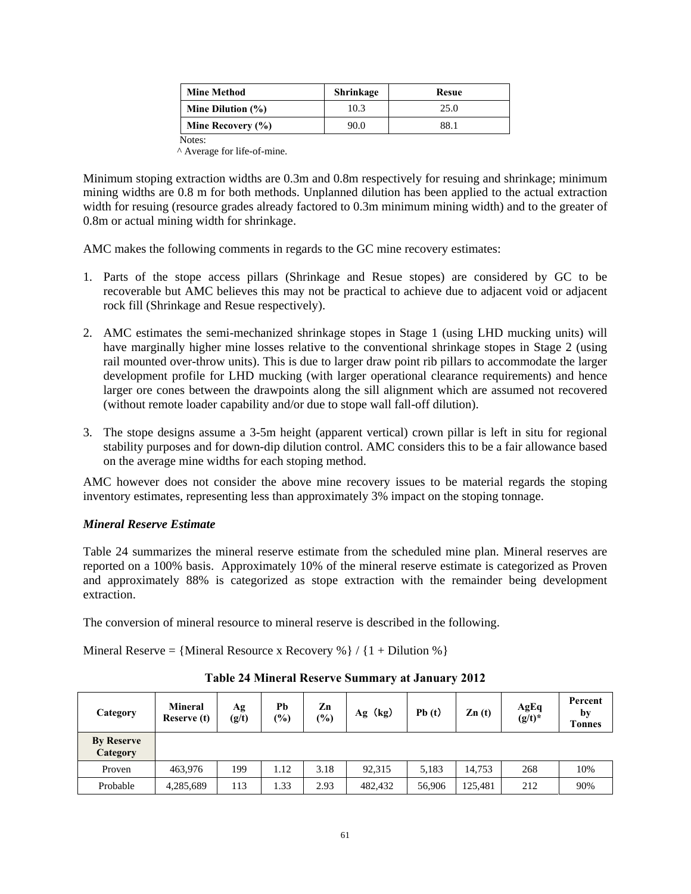| <b>Mine Method</b>       | Shrinkage | Resue |
|--------------------------|-----------|-------|
| Mine Dilution $(\% )$    | 10.3      | 25.0  |
| <b>Mine Recovery (%)</b> | 90.0      | 88.1  |

Notes:

^ Average for life-of-mine.

Minimum stoping extraction widths are 0.3m and 0.8m respectively for resuing and shrinkage; minimum mining widths are 0.8 m for both methods. Unplanned dilution has been applied to the actual extraction width for resuing (resource grades already factored to 0.3m minimum mining width) and to the greater of 0.8m or actual mining width for shrinkage.

AMC makes the following comments in regards to the GC mine recovery estimates:

- 1. Parts of the stope access pillars (Shrinkage and Resue stopes) are considered by GC to be recoverable but AMC believes this may not be practical to achieve due to adjacent void or adjacent rock fill (Shrinkage and Resue respectively).
- 2. AMC estimates the semi-mechanized shrinkage stopes in Stage 1 (using LHD mucking units) will have marginally higher mine losses relative to the conventional shrinkage stopes in Stage 2 (using rail mounted over-throw units). This is due to larger draw point rib pillars to accommodate the larger development profile for LHD mucking (with larger operational clearance requirements) and hence larger ore cones between the drawpoints along the sill alignment which are assumed not recovered (without remote loader capability and/or due to stope wall fall-off dilution).
- 3. The stope designs assume a 3-5m height (apparent vertical) crown pillar is left in situ for regional stability purposes and for down-dip dilution control. AMC considers this to be a fair allowance based on the average mine widths for each stoping method.

AMC however does not consider the above mine recovery issues to be material regards the stoping inventory estimates, representing less than approximately 3% impact on the stoping tonnage.

### *Mineral Reserve Estimate*

Table 24 summarizes the mineral reserve estimate from the scheduled mine plan. Mineral reserves are reported on a 100% basis. Approximately 10% of the mineral reserve estimate is categorized as Proven and approximately 88% is categorized as stope extraction with the remainder being development extraction.

The conversion of mineral resource to mineral reserve is described in the following.

Mineral Reserve = {Mineral Resource x Recovery %} /  $\{1 + 1$  Dilution %}

| Category                      | <b>Mineral</b><br><b>Reserve</b> (t) | Ag<br>(g/t) | Pb<br>$\frac{9}{0}$ | Zn<br>$(\%)$ | Ag (kg) | Pb(t)  | $\mathbf{Zn}$ (t) | AgEq<br>$(g/t)^*$ | Percent<br>by<br><b>Tonnes</b> |
|-------------------------------|--------------------------------------|-------------|---------------------|--------------|---------|--------|-------------------|-------------------|--------------------------------|
| <b>By Reserve</b><br>Category |                                      |             |                     |              |         |        |                   |                   |                                |
| Proven                        | 463,976                              | 199         | 1.12                | 3.18         | 92,315  | 5,183  | 14,753            | 268               | 10%                            |
| Probable                      | 4,285,689                            | 113         | 1.33                | 2.93         | 482,432 | 56,906 | 125,481           | 212               | 90%                            |

## **Table 24 Mineral Reserve Summary at January 2012**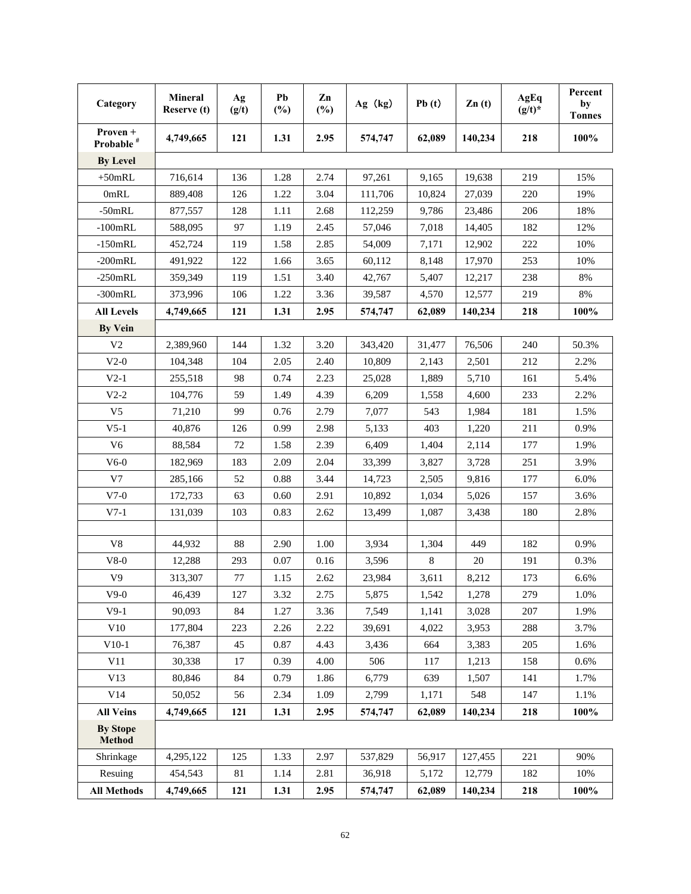| Category                          | <b>Mineral</b><br>Reserve (t) | Ag<br>(g/t) | Pb<br>$(\%)$ | Zn<br>$(\%)$ | Ag (kg) | Pb(t)   | $\mathbf{Zn}$ (t) | AgEq<br>$(g/t)^*$ | Percent<br>by<br><b>Tonnes</b> |
|-----------------------------------|-------------------------------|-------------|--------------|--------------|---------|---------|-------------------|-------------------|--------------------------------|
| Proven +<br>Probable <sup>#</sup> | 4,749,665                     | 121         | 1.31         | 2.95         | 574,747 | 62,089  | 140,234           | 218               | 100%                           |
| <b>By Level</b>                   |                               |             |              |              |         |         |                   |                   |                                |
| $+50$ mRL                         | 716,614                       | 136         | 1.28         | 2.74         | 97,261  | 9,165   | 19,638            | 219               | 15%                            |
| 0mRL                              | 889,408                       | 126         | 1.22         | 3.04         | 111,706 | 10,824  | 27,039            | 220               | 19%                            |
| $-50$ mRL                         | 877,557                       | 128         | 1.11         | 2.68         | 112,259 | 9.786   | 23,486            | 206               | 18%                            |
| $-100$ mRL                        | 588,095                       | 97          | 1.19         | 2.45         | 57,046  | 7,018   | 14,405            | 182               | 12%                            |
| $-150$ mRL                        | 452,724                       | 119         | 1.58         | 2.85         | 54,009  | 7,171   | 12,902            | 222               | 10%                            |
| $-200$ mRL                        | 491,922                       | 122         | 1.66         | 3.65         | 60,112  | 8,148   | 17,970            | 253               | 10%                            |
| $-250$ mRL                        | 359,349                       | 119         | 1.51         | 3.40         | 42,767  | 5,407   | 12,217            | 238               | 8%                             |
| $-300$ m $RL$                     | 373,996                       | 106         | 1.22         | 3.36         | 39,587  | 4,570   | 12,577            | 219               | 8%                             |
| <b>All Levels</b>                 | 4,749,665                     | 121         | 1.31         | 2.95         | 574,747 | 62,089  | 140,234           | 218               | 100%                           |
| <b>By Vein</b>                    |                               |             |              |              |         |         |                   |                   |                                |
| V <sub>2</sub>                    | 2,389,960                     | 144         | 1.32         | 3.20         | 343,420 | 31,477  | 76,506            | 240               | 50.3%                          |
| $V2-0$                            | 104,348                       | 104         | 2.05         | 2.40         | 10,809  | 2,143   | 2,501             | 212               | 2.2%                           |
| $V2-1$                            | 255,518                       | 98          | 0.74         | 2.23         | 25,028  | 1,889   | 5,710             | 161               | 5.4%                           |
| $V2-2$                            | 104,776                       | 59          | 1.49         | 4.39         | 6,209   | 1,558   | 4,600             | 233               | 2.2%                           |
| V <sub>5</sub>                    | 71,210                        | 99          | 0.76         | 2.79         | 7,077   | 543     | 1,984             | 181               | 1.5%                           |
| $V5-1$                            | 40,876                        | 126         | 0.99         | 2.98         | 5,133   | 403     | 1,220             | 211               | 0.9%                           |
| V <sub>6</sub>                    | 88,584                        | 72          | 1.58         | 2.39         | 6,409   | 1,404   | 2,114             | 177               | 1.9%                           |
| $V6-0$                            | 182,969                       | 183         | 2.09         | 2.04         | 33,399  | 3,827   | 3,728             | 251               | 3.9%                           |
| V7                                | 285,166                       | 52          | 0.88         | 3.44         | 14,723  | 2,505   | 9,816             | 177               | 6.0%                           |
| $V7-0$                            | 172,733                       | 63          | 0.60         | 2.91         | 10,892  | 1,034   | 5,026             | 157               | 3.6%                           |
| $V7-1$                            | 131,039                       | 103         | 0.83         | 2.62         | 13,499  | 1,087   | 3,438             | 180               | 2.8%                           |
|                                   |                               |             |              |              |         |         |                   |                   |                                |
| ${\rm V}8$                        | 44,932                        | 88          | 2.90         | 1.00         | 3,934   | 1,304   | 449               | 182               | 0.9%                           |
| $V8-0$                            | 12,288                        | 293         | 0.07         | 0.16         | 3,596   | $\,8\,$ | 20                | 191               | 0.3%                           |
| V <sub>9</sub>                    | 313,307                       | 77          | 1.15         | 2.62         | 23,984  | 3,611   | 8,212             | 173               | 6.6%                           |
| $V9-0$                            | 46,439                        | 127         | 3.32         | 2.75         | 5,875   | 1,542   | 1,278             | 279               | 1.0%                           |
| $V9-1$                            | 90,093                        | 84          | 1.27         | 3.36         | 7,549   | 1,141   | 3,028             | 207               | 1.9%                           |
| V10                               | 177,804                       | 223         | 2.26         | 2.22         | 39,691  | 4,022   | 3,953             | 288               | 3.7%                           |
| $V10-1$                           | 76,387                        | 45          | 0.87         | 4.43         | 3,436   | 664     | 3,383             | 205               | 1.6%                           |
| V11                               | 30,338                        | 17          | 0.39         | 4.00         | 506     | 117     | 1,213             | 158               | 0.6%                           |
| V13                               | 80,846                        | 84          | 0.79         | 1.86         | 6,779   | 639     | 1,507             | 141               | 1.7%                           |
| V14                               | 50,052                        | 56          | 2.34         | 1.09         | 2,799   | 1,171   | 548               | 147               | 1.1%                           |
| <b>All Veins</b>                  | 4,749,665                     | 121         | 1.31         | 2.95         | 574,747 | 62,089  | 140,234           | 218               | 100%                           |
| <b>By Stope</b><br><b>Method</b>  |                               |             |              |              |         |         |                   |                   |                                |
| Shrinkage                         | 4,295,122                     | 125         | 1.33         | 2.97         | 537,829 | 56,917  | 127,455           | 221               | 90%                            |
| Resuing                           | 454,543                       | 81          | 1.14         | 2.81         | 36,918  | 5,172   | 12,779            | 182               | 10%                            |
| <b>All Methods</b>                | 4,749,665                     | 121         | 1.31         | 2.95         | 574,747 | 62,089  | 140,234           | 218               | 100%                           |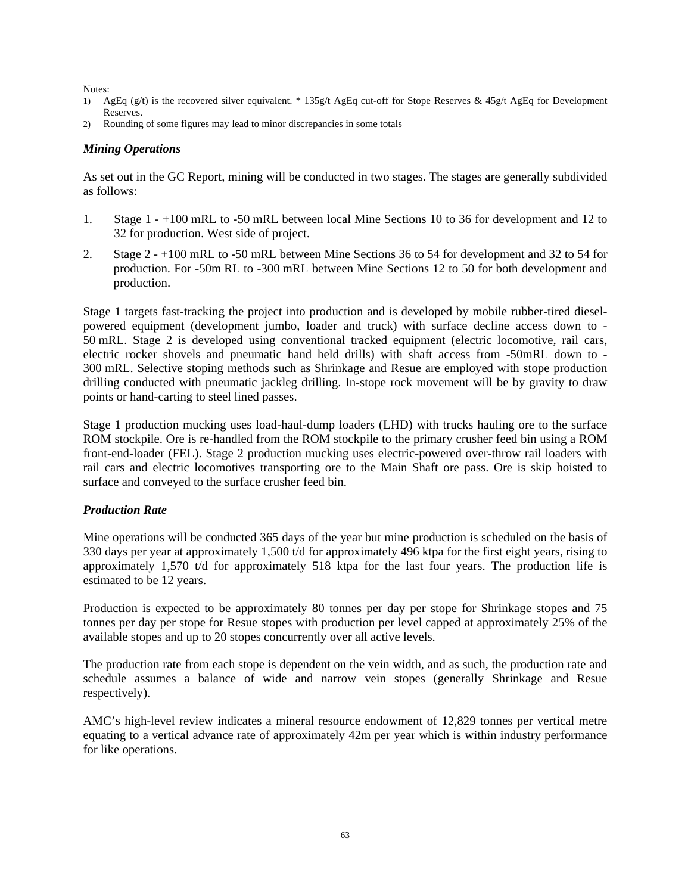Notes:

- 1) AgEq (g/t) is the recovered silver equivalent. \* 135g/t AgEq cut-off for Stope Reserves & 45g/t AgEq for Development Reserves.
- 2) Rounding of some figures may lead to minor discrepancies in some totals

### *Mining Operations*

As set out in the GC Report, mining will be conducted in two stages. The stages are generally subdivided as follows:

- 1. Stage 1 +100 mRL to -50 mRL between local Mine Sections 10 to 36 for development and 12 to 32 for production. West side of project.
- 2. Stage 2 +100 mRL to -50 mRL between Mine Sections 36 to 54 for development and 32 to 54 for production. For -50m RL to -300 mRL between Mine Sections 12 to 50 for both development and production.

Stage 1 targets fast-tracking the project into production and is developed by mobile rubber-tired dieselpowered equipment (development jumbo, loader and truck) with surface decline access down to - 50 mRL. Stage 2 is developed using conventional tracked equipment (electric locomotive, rail cars, electric rocker shovels and pneumatic hand held drills) with shaft access from -50mRL down to - 300 mRL. Selective stoping methods such as Shrinkage and Resue are employed with stope production drilling conducted with pneumatic jackleg drilling. In-stope rock movement will be by gravity to draw points or hand-carting to steel lined passes.

Stage 1 production mucking uses load-haul-dump loaders (LHD) with trucks hauling ore to the surface ROM stockpile. Ore is re-handled from the ROM stockpile to the primary crusher feed bin using a ROM front-end-loader (FEL). Stage 2 production mucking uses electric-powered over-throw rail loaders with rail cars and electric locomotives transporting ore to the Main Shaft ore pass. Ore is skip hoisted to surface and conveyed to the surface crusher feed bin.

### *Production Rate*

Mine operations will be conducted 365 days of the year but mine production is scheduled on the basis of 330 days per year at approximately 1,500 t/d for approximately 496 ktpa for the first eight years, rising to approximately 1,570 t/d for approximately 518 ktpa for the last four years. The production life is estimated to be 12 years.

Production is expected to be approximately 80 tonnes per day per stope for Shrinkage stopes and 75 tonnes per day per stope for Resue stopes with production per level capped at approximately 25% of the available stopes and up to 20 stopes concurrently over all active levels.

The production rate from each stope is dependent on the vein width, and as such, the production rate and schedule assumes a balance of wide and narrow vein stopes (generally Shrinkage and Resue respectively).

AMC's high-level review indicates a mineral resource endowment of 12,829 tonnes per vertical metre equating to a vertical advance rate of approximately 42m per year which is within industry performance for like operations.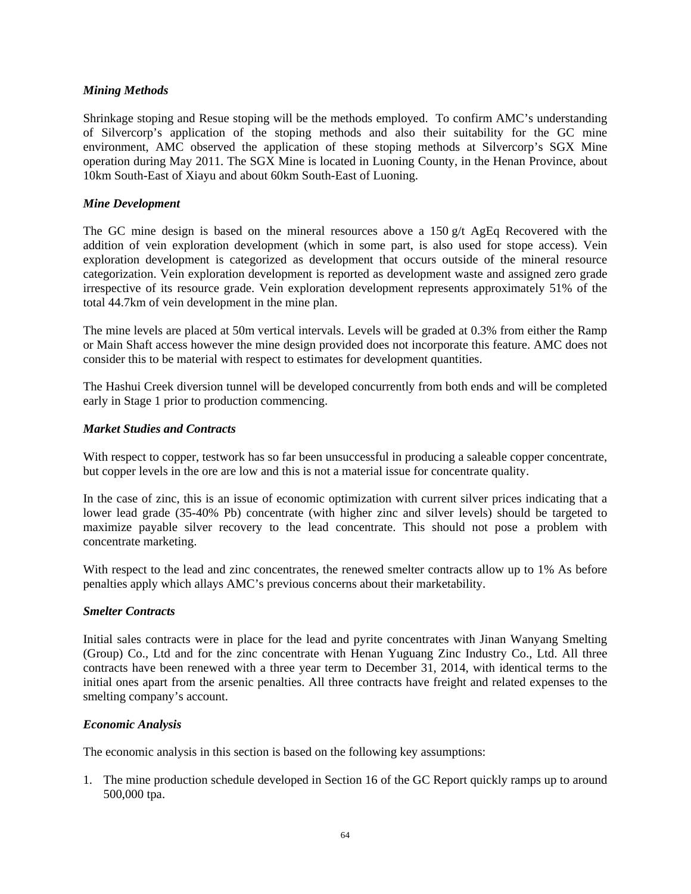### *Mining Methods*

Shrinkage stoping and Resue stoping will be the methods employed. To confirm AMC's understanding of Silvercorp's application of the stoping methods and also their suitability for the GC mine environment, AMC observed the application of these stoping methods at Silvercorp's SGX Mine operation during May 2011. The SGX Mine is located in Luoning County, in the Henan Province, about 10km South-East of Xiayu and about 60km South-East of Luoning.

#### *Mine Development*

The GC mine design is based on the mineral resources above a 150 g/t AgEq Recovered with the addition of vein exploration development (which in some part, is also used for stope access). Vein exploration development is categorized as development that occurs outside of the mineral resource categorization. Vein exploration development is reported as development waste and assigned zero grade irrespective of its resource grade. Vein exploration development represents approximately 51% of the total 44.7km of vein development in the mine plan.

The mine levels are placed at 50m vertical intervals. Levels will be graded at 0.3% from either the Ramp or Main Shaft access however the mine design provided does not incorporate this feature. AMC does not consider this to be material with respect to estimates for development quantities.

The Hashui Creek diversion tunnel will be developed concurrently from both ends and will be completed early in Stage 1 prior to production commencing.

### *Market Studies and Contracts*

With respect to copper, testwork has so far been unsuccessful in producing a saleable copper concentrate, but copper levels in the ore are low and this is not a material issue for concentrate quality.

In the case of zinc, this is an issue of economic optimization with current silver prices indicating that a lower lead grade (35-40% Pb) concentrate (with higher zinc and silver levels) should be targeted to maximize payable silver recovery to the lead concentrate. This should not pose a problem with concentrate marketing.

With respect to the lead and zinc concentrates, the renewed smelter contracts allow up to 1% As before penalties apply which allays AMC's previous concerns about their marketability.

#### *Smelter Contracts*

Initial sales contracts were in place for the lead and pyrite concentrates with Jinan Wanyang Smelting (Group) Co., Ltd and for the zinc concentrate with Henan Yuguang Zinc Industry Co., Ltd. All three contracts have been renewed with a three year term to December 31, 2014, with identical terms to the initial ones apart from the arsenic penalties. All three contracts have freight and related expenses to the smelting company's account.

### *Economic Analysis*

The economic analysis in this section is based on the following key assumptions:

1. The mine production schedule developed in Section 16 of the GC Report quickly ramps up to around 500,000 tpa.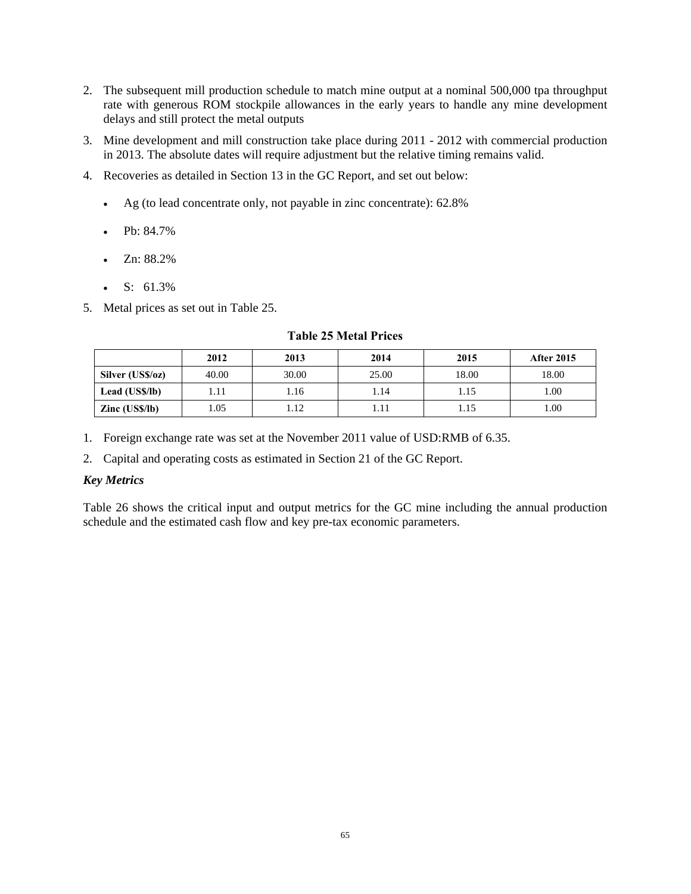- 2. The subsequent mill production schedule to match mine output at a nominal 500,000 tpa throughput rate with generous ROM stockpile allowances in the early years to handle any mine development delays and still protect the metal outputs
- 3. Mine development and mill construction take place during 2011 2012 with commercial production in 2013. The absolute dates will require adjustment but the relative timing remains valid.
- 4. Recoveries as detailed in Section 13 in the GC Report, and set out below:
	- Ag (to lead concentrate only, not payable in zinc concentrate): 62.8%
	- $\bullet$  Pb: 84.7%
	- $\bullet$  Zn: 88.2%
	- $\bullet$  S: 61.3%
- 5. Metal prices as set out in Table 25.

|                         | 2012  | 2013  | 2014  | 2015  | <b>After 2015</b> |
|-------------------------|-------|-------|-------|-------|-------------------|
| Silver (US\$/oz)        | 40.00 | 30.00 | 25.00 | 18.00 | 18.00             |
| Lead (US\$/lb)          | 1.11  | 16    | 1.14  | 1.15  | 1.00              |
| $\text{Zinc}$ (US\$/lb) | l.05  | .12   | 1.11  | 1.15  | 1.00              |

### **Table 25 Metal Prices**

- 1. Foreign exchange rate was set at the November 2011 value of USD:RMB of 6.35.
- 2. Capital and operating costs as estimated in Section 21 of the GC Report.

### *Key Metrics*

Table 26 shows the critical input and output metrics for the GC mine including the annual production schedule and the estimated cash flow and key pre-tax economic parameters.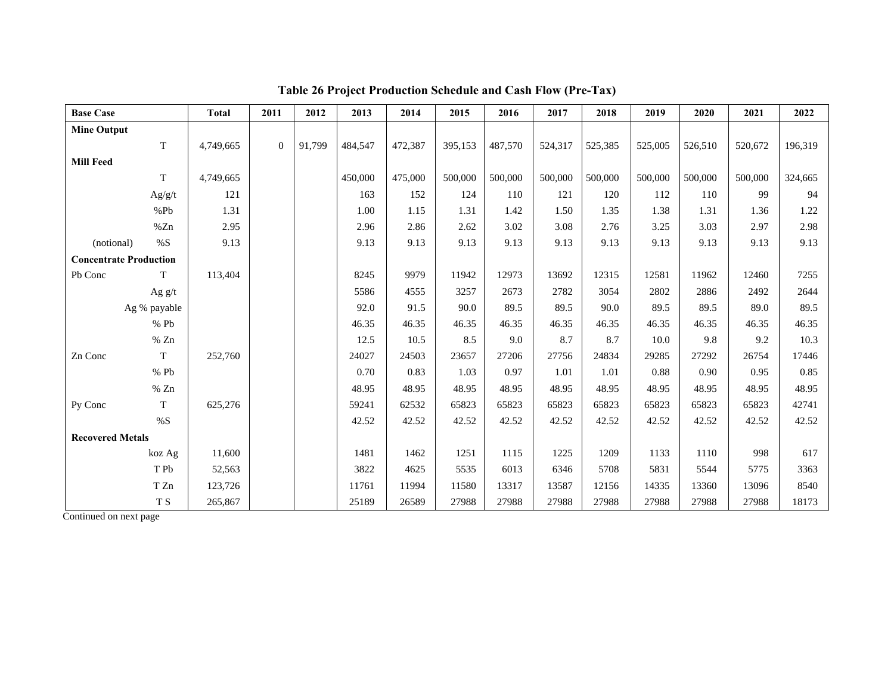| <b>Base Case</b>              |              | <b>Total</b> | 2011           | 2012   | 2013    | 2014    | 2015    | 2016    | 2017    | 2018    | 2019    | 2020    | 2021    | 2022    |
|-------------------------------|--------------|--------------|----------------|--------|---------|---------|---------|---------|---------|---------|---------|---------|---------|---------|
| <b>Mine Output</b>            |              |              |                |        |         |         |         |         |         |         |         |         |         |         |
|                               | T            | 4,749,665    | $\overline{0}$ | 91,799 | 484,547 | 472,387 | 395,153 | 487,570 | 524,317 | 525,385 | 525,005 | 526,510 | 520,672 | 196,319 |
| <b>Mill Feed</b>              |              |              |                |        |         |         |         |         |         |         |         |         |         |         |
|                               | T            | 4,749,665    |                |        | 450,000 | 475,000 | 500,000 | 500,000 | 500,000 | 500,000 | 500,000 | 500,000 | 500,000 | 324,665 |
|                               | Ag/g/t       | 121          |                |        | 163     | 152     | 124     | 110     | 121     | 120     | 112     | 110     | 99      | 94      |
|                               | %Pb          | 1.31         |                |        | 1.00    | 1.15    | 1.31    | 1.42    | 1.50    | 1.35    | 1.38    | 1.31    | 1.36    | 1.22    |
|                               | %Zn          | 2.95         |                |        | 2.96    | 2.86    | 2.62    | 3.02    | 3.08    | 2.76    | 3.25    | 3.03    | 2.97    | 2.98    |
| (notional)                    | $\%S$        | 9.13         |                |        | 9.13    | 9.13    | 9.13    | 9.13    | 9.13    | 9.13    | 9.13    | 9.13    | 9.13    | 9.13    |
| <b>Concentrate Production</b> |              |              |                |        |         |         |         |         |         |         |         |         |         |         |
| Pb Conc                       | T            | 113,404      |                |        | 8245    | 9979    | 11942   | 12973   | 13692   | 12315   | 12581   | 11962   | 12460   | 7255    |
|                               | Ag $g/t$     |              |                |        | 5586    | 4555    | 3257    | 2673    | 2782    | 3054    | 2802    | 2886    | 2492    | 2644    |
|                               | Ag % payable |              |                |        | 92.0    | 91.5    | 90.0    | 89.5    | 89.5    | 90.0    | 89.5    | 89.5    | 89.0    | 89.5    |
|                               | $\%$ Pb      |              |                |        | 46.35   | 46.35   | 46.35   | 46.35   | 46.35   | 46.35   | 46.35   | 46.35   | 46.35   | 46.35   |
|                               | % Zn         |              |                |        | 12.5    | 10.5    | 8.5     | 9.0     | 8.7     | 8.7     | 10.0    | 9.8     | 9.2     | 10.3    |
| Zn Conc                       | T            | 252,760      |                |        | 24027   | 24503   | 23657   | 27206   | 27756   | 24834   | 29285   | 27292   | 26754   | 17446   |
|                               | % Pb         |              |                |        | 0.70    | 0.83    | 1.03    | 0.97    | 1.01    | 1.01    | 0.88    | 0.90    | 0.95    | 0.85    |
|                               | % Zn         |              |                |        | 48.95   | 48.95   | 48.95   | 48.95   | 48.95   | 48.95   | 48.95   | 48.95   | 48.95   | 48.95   |
| Py Conc                       | T            | 625,276      |                |        | 59241   | 62532   | 65823   | 65823   | 65823   | 65823   | 65823   | 65823   | 65823   | 42741   |
|                               | %S           |              |                |        | 42.52   | 42.52   | 42.52   | 42.52   | 42.52   | 42.52   | 42.52   | 42.52   | 42.52   | 42.52   |
| <b>Recovered Metals</b>       |              |              |                |        |         |         |         |         |         |         |         |         |         |         |
|                               | koz Ag       | 11,600       |                |        | 1481    | 1462    | 1251    | 1115    | 1225    | 1209    | 1133    | 1110    | 998     | 617     |
|                               | T Pb         | 52,563       |                |        | 3822    | 4625    | 5535    | 6013    | 6346    | 5708    | 5831    | 5544    | 5775    | 3363    |
|                               | T Zn         | 123,726      |                |        | 11761   | 11994   | 11580   | 13317   | 13587   | 12156   | 14335   | 13360   | 13096   | 8540    |
|                               | T S          | 265,867      |                |        | 25189   | 26589   | 27988   | 27988   | 27988   | 27988   | 27988   | 27988   | 27988   | 18173   |

**Table 26 Project Production Schedule and Cash Flow (Pre-Tax)** 

Continued on next page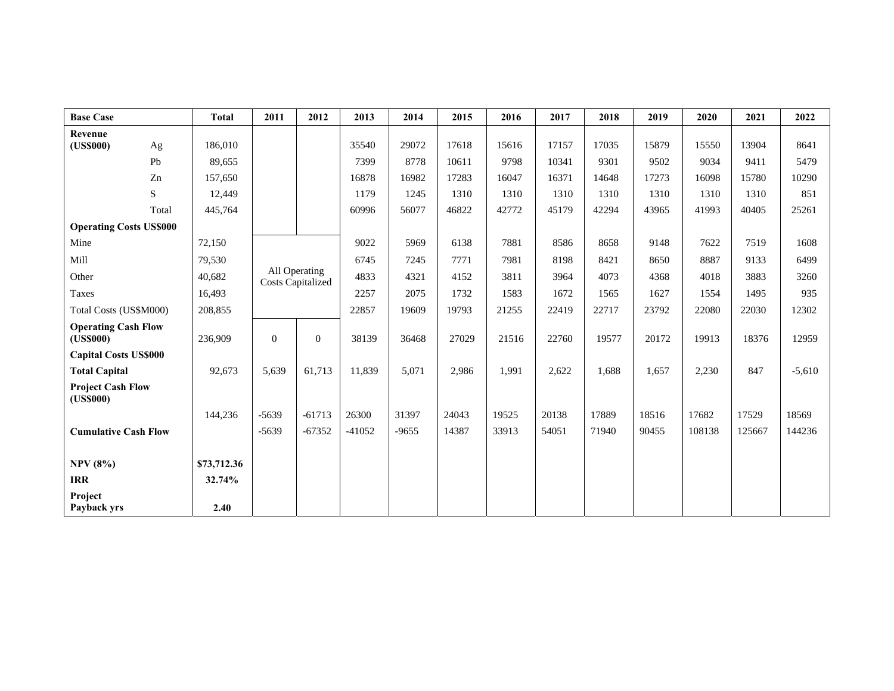| <b>Base Case</b>                        |       | <b>Total</b> | 2011           | 2012                                      | 2013     | 2014    | 2015  | 2016  | 2017  | 2018  | 2019  | 2020   | 2021   | 2022     |
|-----------------------------------------|-------|--------------|----------------|-------------------------------------------|----------|---------|-------|-------|-------|-------|-------|--------|--------|----------|
| Revenue<br>(US\$000)                    | Ag    | 186,010      |                |                                           | 35540    | 29072   | 17618 | 15616 | 17157 | 17035 | 15879 | 15550  | 13904  | 8641     |
|                                         | Pb    | 89,655       |                |                                           | 7399     | 8778    | 10611 | 9798  | 10341 | 9301  | 9502  | 9034   | 9411   | 5479     |
|                                         | Zn    | 157,650      |                |                                           | 16878    | 16982   | 17283 | 16047 | 16371 | 14648 | 17273 | 16098  | 15780  | 10290    |
|                                         | S     | 12,449       |                |                                           | 1179     | 1245    | 1310  | 1310  | 1310  | 1310  | 1310  | 1310   | 1310   | 851      |
|                                         | Total | 445,764      |                |                                           | 60996    | 56077   | 46822 | 42772 | 45179 | 42294 | 43965 | 41993  | 40405  | 25261    |
| <b>Operating Costs US\$000</b>          |       |              |                |                                           |          |         |       |       |       |       |       |        |        |          |
| Mine                                    |       | 72,150       |                |                                           | 9022     | 5969    | 6138  | 7881  | 8586  | 8658  | 9148  | 7622   | 7519   | 1608     |
| Mill                                    |       | 79,530       |                |                                           | 6745     | 7245    | 7771  | 7981  | 8198  | 8421  | 8650  | 8887   | 9133   | 6499     |
| Other                                   |       | 40,682       |                | All Operating<br><b>Costs Capitalized</b> |          | 4321    | 4152  | 3811  | 3964  | 4073  | 4368  | 4018   | 3883   | 3260     |
| Taxes                                   |       | 16,493       |                |                                           | 2257     | 2075    | 1732  | 1583  | 1672  | 1565  | 1627  | 1554   | 1495   | 935      |
| Total Costs (US\$M000)                  |       | 208,855      |                |                                           | 22857    | 19609   | 19793 | 21255 | 22419 | 22717 | 23792 | 22080  | 22030  | 12302    |
| <b>Operating Cash Flow</b><br>(US\$000) |       | 236,909      | $\overline{0}$ | $\overline{0}$                            | 38139    | 36468   | 27029 | 21516 | 22760 | 19577 | 20172 | 19913  | 18376  | 12959    |
| <b>Capital Costs US\$000</b>            |       |              |                |                                           |          |         |       |       |       |       |       |        |        |          |
| <b>Total Capital</b>                    |       | 92,673       | 5,639          | 61,713                                    | 11,839   | 5,071   | 2,986 | 1,991 | 2,622 | 1,688 | 1,657 | 2,230  | 847    | $-5,610$ |
| <b>Project Cash Flow</b><br>(US\$000)   |       |              |                |                                           |          |         |       |       |       |       |       |        |        |          |
|                                         |       | 144,236      | $-5639$        | $-61713$                                  | 26300    | 31397   | 24043 | 19525 | 20138 | 17889 | 18516 | 17682  | 17529  | 18569    |
| <b>Cumulative Cash Flow</b>             |       |              | $-5639$        | $-67352$                                  | $-41052$ | $-9655$ | 14387 | 33913 | 54051 | 71940 | 90455 | 108138 | 125667 | 144236   |
| <b>NPV</b> (8%)                         |       | \$73,712.36  |                |                                           |          |         |       |       |       |       |       |        |        |          |
| <b>IRR</b>                              |       | 32.74%       |                |                                           |          |         |       |       |       |       |       |        |        |          |
| Project<br>Payback yrs                  |       | 2.40         |                |                                           |          |         |       |       |       |       |       |        |        |          |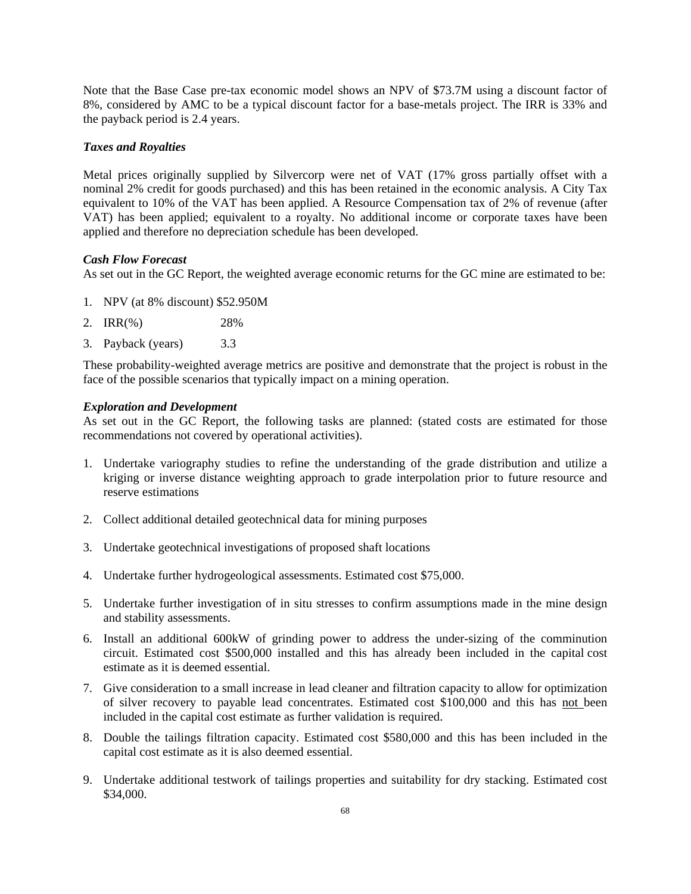Note that the Base Case pre-tax economic model shows an NPV of \$73.7M using a discount factor of 8%, considered by AMC to be a typical discount factor for a base-metals project. The IRR is 33% and the payback period is 2.4 years.

#### *Taxes and Royalties*

Metal prices originally supplied by Silvercorp were net of VAT (17% gross partially offset with a nominal 2% credit for goods purchased) and this has been retained in the economic analysis. A City Tax equivalent to 10% of the VAT has been applied. A Resource Compensation tax of 2% of revenue (after VAT) has been applied; equivalent to a royalty. No additional income or corporate taxes have been applied and therefore no depreciation schedule has been developed.

#### *Cash Flow Forecast*

As set out in the GC Report, the weighted average economic returns for the GC mine are estimated to be:

- 1. NPV (at 8% discount) \$52.950M
- 2. IRR(%) 28%
- 3. Payback (years) 3.3

These probability-weighted average metrics are positive and demonstrate that the project is robust in the face of the possible scenarios that typically impact on a mining operation.

#### *Exploration and Development*

As set out in the GC Report, the following tasks are planned: (stated costs are estimated for those recommendations not covered by operational activities).

- 1. Undertake variography studies to refine the understanding of the grade distribution and utilize a kriging or inverse distance weighting approach to grade interpolation prior to future resource and reserve estimations
- 2. Collect additional detailed geotechnical data for mining purposes
- 3. Undertake geotechnical investigations of proposed shaft locations
- 4. Undertake further hydrogeological assessments. Estimated cost \$75,000.
- 5. Undertake further investigation of in situ stresses to confirm assumptions made in the mine design and stability assessments.
- 6. Install an additional 600kW of grinding power to address the under-sizing of the comminution circuit. Estimated cost \$500,000 installed and this has already been included in the capital cost estimate as it is deemed essential.
- 7. Give consideration to a small increase in lead cleaner and filtration capacity to allow for optimization of silver recovery to payable lead concentrates. Estimated cost \$100,000 and this has not been included in the capital cost estimate as further validation is required.
- 8. Double the tailings filtration capacity. Estimated cost \$580,000 and this has been included in the capital cost estimate as it is also deemed essential.
- 9. Undertake additional testwork of tailings properties and suitability for dry stacking. Estimated cost \$34,000.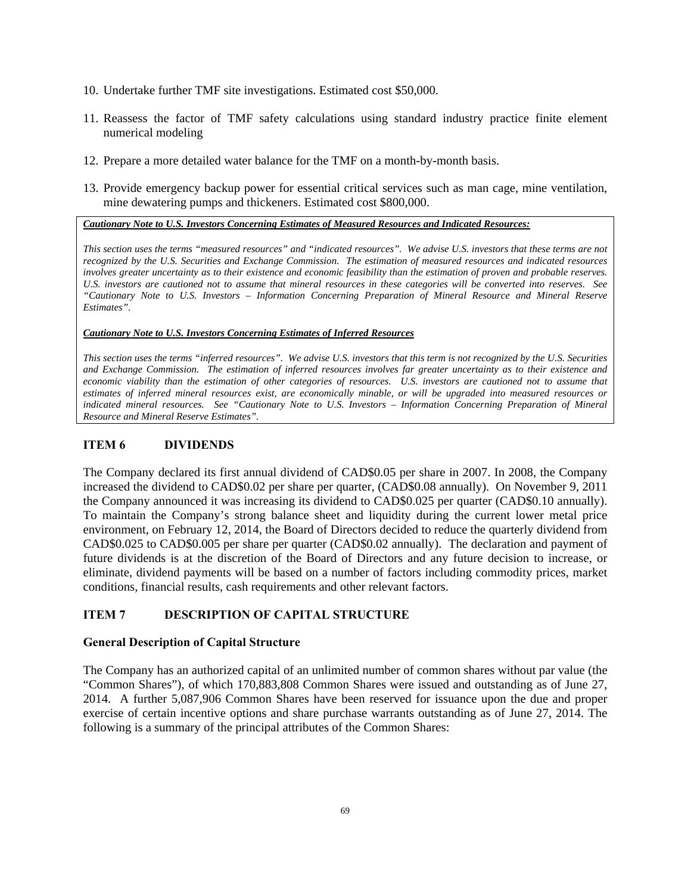- 10. Undertake further TMF site investigations. Estimated cost \$50,000.
- 11. Reassess the factor of TMF safety calculations using standard industry practice finite element numerical modeling
- 12. Prepare a more detailed water balance for the TMF on a month-by-month basis.
- 13. Provide emergency backup power for essential critical services such as man cage, mine ventilation, mine dewatering pumps and thickeners. Estimated cost \$800,000.

#### *Cautionary Note to U.S. Investors Concerning Estimates of Measured Resources and Indicated Resources:*

*This section uses the terms "measured resources" and "indicated resources". We advise U.S. investors that these terms are not recognized by the U.S. Securities and Exchange Commission. The estimation of measured resources and indicated resources involves greater uncertainty as to their existence and economic feasibility than the estimation of proven and probable reserves. U.S. investors are cautioned not to assume that mineral resources in these categories will be converted into reserves. See "Cautionary Note to U.S. Investors – Information Concerning Preparation of Mineral Resource and Mineral Reserve Estimates".* 

#### *Cautionary Note to U.S. Investors Concerning Estimates of Inferred Resources*

*This section uses the terms "inferred resources". We advise U.S. investors that this term is not recognized by the U.S. Securities and Exchange Commission. The estimation of inferred resources involves far greater uncertainty as to their existence and economic viability than the estimation of other categories of resources. U.S. investors are cautioned not to assume that estimates of inferred mineral resources exist, are economically minable, or will be upgraded into measured resources or indicated mineral resources. See "Cautionary Note to U.S. Investors – Information Concerning Preparation of Mineral Resource and Mineral Reserve Estimates".* 

### **ITEM 6 DIVIDENDS**

The Company declared its first annual dividend of CAD\$0.05 per share in 2007. In 2008, the Company increased the dividend to CAD\$0.02 per share per quarter, (CAD\$0.08 annually). On November 9, 2011 the Company announced it was increasing its dividend to CAD\$0.025 per quarter (CAD\$0.10 annually). To maintain the Company's strong balance sheet and liquidity during the current lower metal price environment, on February 12, 2014, the Board of Directors decided to reduce the quarterly dividend from CAD\$0.025 to CAD\$0.005 per share per quarter (CAD\$0.02 annually). The declaration and payment of future dividends is at the discretion of the Board of Directors and any future decision to increase, or eliminate, dividend payments will be based on a number of factors including commodity prices, market conditions, financial results, cash requirements and other relevant factors.

### **ITEM 7 DESCRIPTION OF CAPITAL STRUCTURE**

#### **General Description of Capital Structure**

The Company has an authorized capital of an unlimited number of common shares without par value (the "Common Shares"), of which 170,883,808 Common Shares were issued and outstanding as of June 27, 2014. A further 5,087,906 Common Shares have been reserved for issuance upon the due and proper exercise of certain incentive options and share purchase warrants outstanding as of June 27, 2014. The following is a summary of the principal attributes of the Common Shares: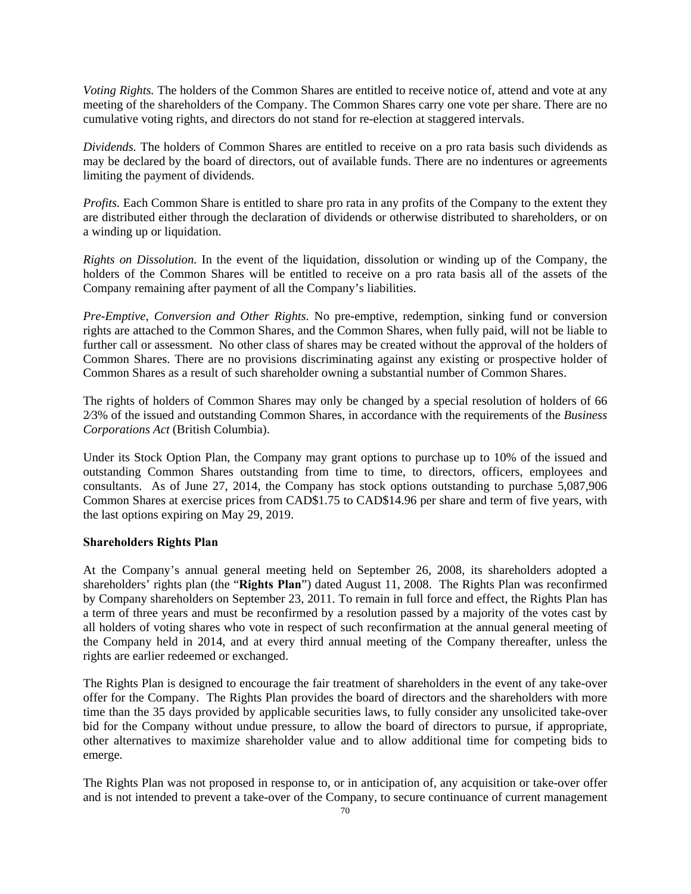*Voting Rights.* The holders of the Common Shares are entitled to receive notice of, attend and vote at any meeting of the shareholders of the Company. The Common Shares carry one vote per share. There are no cumulative voting rights, and directors do not stand for re-election at staggered intervals.

*Dividends.* The holders of Common Shares are entitled to receive on a pro rata basis such dividends as may be declared by the board of directors, out of available funds. There are no indentures or agreements limiting the payment of dividends.

*Profits.* Each Common Share is entitled to share pro rata in any profits of the Company to the extent they are distributed either through the declaration of dividends or otherwise distributed to shareholders, or on a winding up or liquidation.

*Rights on Dissolution.* In the event of the liquidation, dissolution or winding up of the Company, the holders of the Common Shares will be entitled to receive on a pro rata basis all of the assets of the Company remaining after payment of all the Company's liabilities.

*Pre-Emptive, Conversion and Other Rights.* No pre-emptive, redemption, sinking fund or conversion rights are attached to the Common Shares, and the Common Shares, when fully paid, will not be liable to further call or assessment. No other class of shares may be created without the approval of the holders of Common Shares. There are no provisions discriminating against any existing or prospective holder of Common Shares as a result of such shareholder owning a substantial number of Common Shares.

The rights of holders of Common Shares may only be changed by a special resolution of holders of 66 2⁄3% of the issued and outstanding Common Shares, in accordance with the requirements of the *Business Corporations Act* (British Columbia).

Under its Stock Option Plan, the Company may grant options to purchase up to 10% of the issued and outstanding Common Shares outstanding from time to time, to directors, officers, employees and consultants. As of June 27, 2014, the Company has stock options outstanding to purchase 5,087,906 Common Shares at exercise prices from CAD\$1.75 to CAD\$14.96 per share and term of five years, with the last options expiring on May 29, 2019.

#### **Shareholders Rights Plan**

At the Company's annual general meeting held on September 26, 2008, its shareholders adopted a shareholders' rights plan (the "**Rights Plan**") dated August 11, 2008. The Rights Plan was reconfirmed by Company shareholders on September 23, 2011. To remain in full force and effect, the Rights Plan has a term of three years and must be reconfirmed by a resolution passed by a majority of the votes cast by all holders of voting shares who vote in respect of such reconfirmation at the annual general meeting of the Company held in 2014, and at every third annual meeting of the Company thereafter, unless the rights are earlier redeemed or exchanged.

The Rights Plan is designed to encourage the fair treatment of shareholders in the event of any take-over offer for the Company. The Rights Plan provides the board of directors and the shareholders with more time than the 35 days provided by applicable securities laws, to fully consider any unsolicited take-over bid for the Company without undue pressure, to allow the board of directors to pursue, if appropriate, other alternatives to maximize shareholder value and to allow additional time for competing bids to emerge.

The Rights Plan was not proposed in response to, or in anticipation of, any acquisition or take-over offer and is not intended to prevent a take-over of the Company, to secure continuance of current management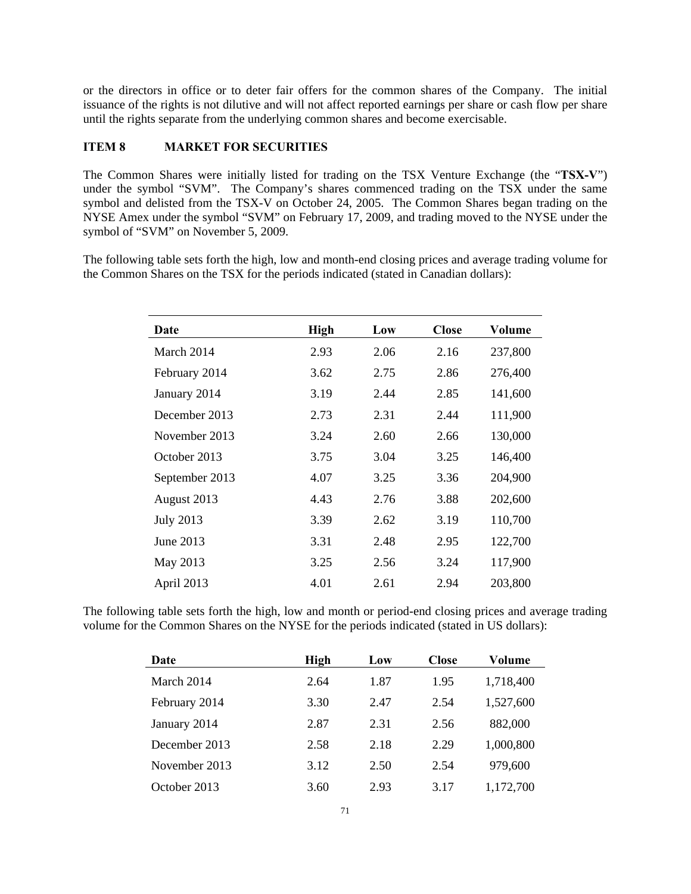or the directors in office or to deter fair offers for the common shares of the Company. The initial issuance of the rights is not dilutive and will not affect reported earnings per share or cash flow per share until the rights separate from the underlying common shares and become exercisable.

### **ITEM 8 MARKET FOR SECURITIES**

The Common Shares were initially listed for trading on the TSX Venture Exchange (the "**TSX-V**") under the symbol "SVM". The Company's shares commenced trading on the TSX under the same symbol and delisted from the TSX-V on October 24, 2005. The Common Shares began trading on the NYSE Amex under the symbol "SVM" on February 17, 2009, and trading moved to the NYSE under the symbol of "SVM" on November 5, 2009.

The following table sets forth the high, low and month-end closing prices and average trading volume for the Common Shares on the TSX for the periods indicated (stated in Canadian dollars):

| Date             | <b>High</b> | Low  | <b>Close</b> | Volume  |
|------------------|-------------|------|--------------|---------|
| March 2014       | 2.93        | 2.06 | 2.16         | 237,800 |
| February 2014    | 3.62        | 2.75 | 2.86         | 276,400 |
| January 2014     | 3.19        | 2.44 | 2.85         | 141,600 |
| December 2013    | 2.73        | 2.31 | 2.44         | 111,900 |
| November 2013    | 3.24        | 2.60 | 2.66         | 130,000 |
| October 2013     | 3.75        | 3.04 | 3.25         | 146,400 |
| September 2013   | 4.07        | 3.25 | 3.36         | 204,900 |
| August 2013      | 4.43        | 2.76 | 3.88         | 202,600 |
| <b>July 2013</b> | 3.39        | 2.62 | 3.19         | 110,700 |
| June 2013        | 3.31        | 2.48 | 2.95         | 122,700 |
| May 2013         | 3.25        | 2.56 | 3.24         | 117,900 |
| April 2013       | 4.01        | 2.61 | 2.94         | 203,800 |

The following table sets forth the high, low and month or period-end closing prices and average trading volume for the Common Shares on the NYSE for the periods indicated (stated in US dollars):

| Date          | <b>High</b> | Low  | <b>Close</b> | Volume    |
|---------------|-------------|------|--------------|-----------|
| March 2014    | 2.64        | 1.87 | 1.95         | 1,718,400 |
| February 2014 | 3.30        | 2.47 | 2.54         | 1,527,600 |
| January 2014  | 2.87        | 2.31 | 2.56         | 882,000   |
| December 2013 | 2.58        | 2.18 | 2.29         | 1,000,800 |
| November 2013 | 3.12        | 2.50 | 2.54         | 979,600   |
| October 2013  | 3.60        | 2.93 | 3.17         | 1,172,700 |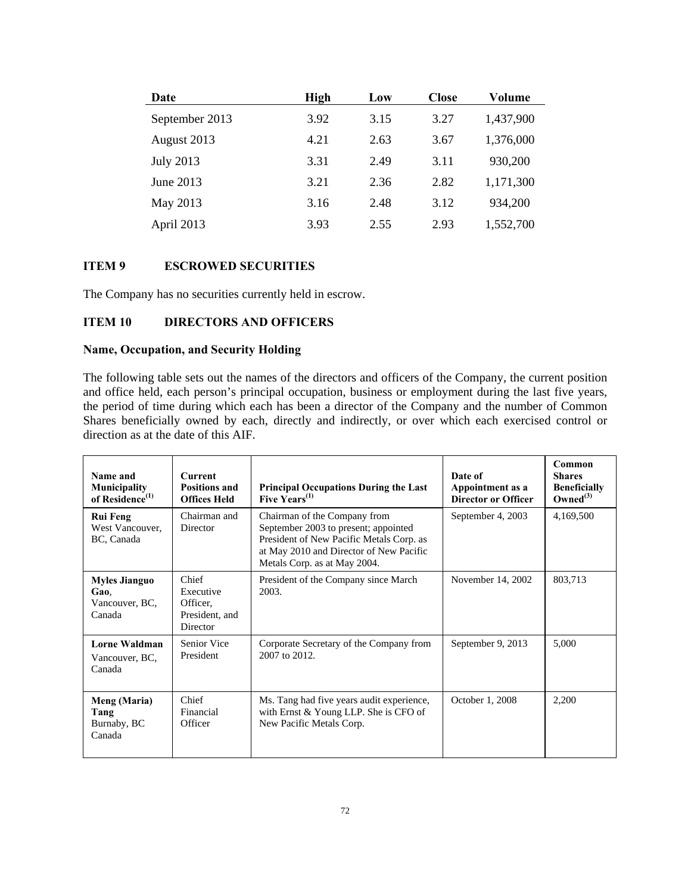| Date             | <b>High</b> | Low  | <b>Close</b> | Volume    |
|------------------|-------------|------|--------------|-----------|
| September 2013   | 3.92        | 3.15 | 3.27         | 1,437,900 |
| August 2013      | 4.21        | 2.63 | 3.67         | 1,376,000 |
| <b>July 2013</b> | 3.31        | 2.49 | 3.11         | 930,200   |
| June 2013        | 3.21        | 2.36 | 2.82         | 1,171,300 |
| May 2013         | 3.16        | 2.48 | 3.12         | 934,200   |
| April 2013       | 3.93        | 2.55 | 2.93         | 1,552,700 |

#### **ITEM 9 ESCROWED SECURITIES**

The Company has no securities currently held in escrow.

### **ITEM 10 DIRECTORS AND OFFICERS**

#### **Name, Occupation, and Security Holding**

The following table sets out the names of the directors and officers of the Company, the current position and office held, each person's principal occupation, business or employment during the last five years, the period of time during which each has been a director of the Company and the number of Common Shares beneficially owned by each, directly and indirectly, or over which each exercised control or direction as at the date of this AIF.

| Name and<br>Municipality<br>of Residence <sup>(1)</sup>  | <b>Current</b><br><b>Positions and</b><br><b>Offices Held</b> | <b>Principal Occupations During the Last</b><br>Five Years <sup><math>(1)</math></sup>                                                                                                      | Date of<br>Appointment as a<br><b>Director or Officer</b> | Common<br><b>Shares</b><br><b>Beneficially</b><br>Owned $^{(3)}$ |
|----------------------------------------------------------|---------------------------------------------------------------|---------------------------------------------------------------------------------------------------------------------------------------------------------------------------------------------|-----------------------------------------------------------|------------------------------------------------------------------|
| Rui Feng<br>West Vancouver,<br>BC, Canada                | Chairman and<br>Director                                      | Chairman of the Company from<br>September 2003 to present; appointed<br>President of New Pacific Metals Corp. as<br>at May 2010 and Director of New Pacific<br>Metals Corp. as at May 2004. | September 4, 2003                                         | 4,169,500                                                        |
| <b>Myles Jianguo</b><br>Gao.<br>Vancouver, BC,<br>Canada | Chief<br>Executive<br>Officer.<br>President, and<br>Director  | President of the Company since March<br>2003.                                                                                                                                               | November 14, 2002                                         | 803,713                                                          |
| Lorne Waldman<br>Vancouver, BC,<br>Canada                | <b>Senior Vice</b><br>President                               | Corporate Secretary of the Company from<br>$2007$ to $2012$ .                                                                                                                               | September 9, 2013                                         | 5,000                                                            |
| Meng (Maria)<br>Tang<br>Burnaby, BC<br>Canada            | Chief<br>Financial<br>Officer                                 | Ms. Tang had five years audit experience,<br>with Ernst & Young LLP. She is CFO of<br>New Pacific Metals Corp.                                                                              | October 1, 2008                                           | 2,200                                                            |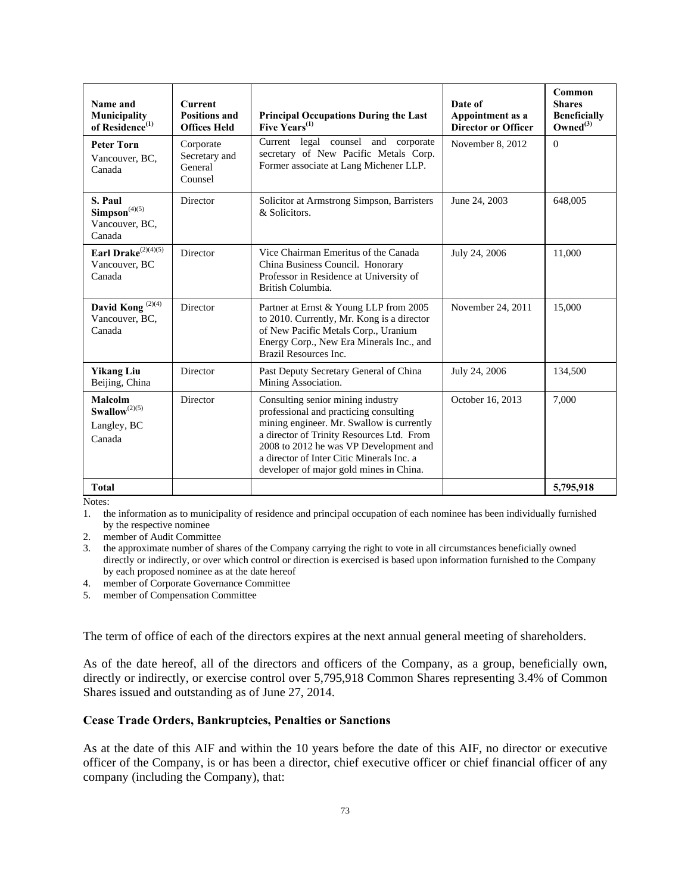| Name and<br>Municipality<br>of Residence $^{(1)}$               | <b>Current</b><br><b>Positions and</b><br><b>Offices Held</b> | <b>Principal Occupations During the Last</b><br>Five $Years^{(1)}$                                                                                                                                                                                                                                      | Date of<br>Appointment as a<br><b>Director or Officer</b> | Common<br><b>Shares</b><br><b>Beneficially</b><br>Owned $^{(3)}$ |
|-----------------------------------------------------------------|---------------------------------------------------------------|---------------------------------------------------------------------------------------------------------------------------------------------------------------------------------------------------------------------------------------------------------------------------------------------------------|-----------------------------------------------------------|------------------------------------------------------------------|
| <b>Peter Torn</b><br>Vancouver, BC,<br>Canada                   | Corporate<br>Secretary and<br>General<br>Counsel              | Current legal counsel and corporate<br>secretary of New Pacific Metals Corp.<br>Former associate at Lang Michener LLP.                                                                                                                                                                                  | November 8, 2012                                          | $\Omega$                                                         |
| S. Paul<br>$Simpson^{(4)(5)}$<br>Vancouver, BC,<br>Canada       | Director                                                      | Solicitor at Armstrong Simpson, Barristers<br>& Solicitors.                                                                                                                                                                                                                                             | June 24, 2003                                             | 648,005                                                          |
| Earl Drake $^{(2)(4)(5)}$<br>Vancouver, BC<br>Canada            | Director                                                      | Vice Chairman Emeritus of the Canada<br>China Business Council. Honorary<br>Professor in Residence at University of<br>British Columbia.                                                                                                                                                                | July 24, 2006                                             | 11,000                                                           |
| David Kong $^{(2)(4)}$<br>Vancouver, BC,<br>Canada              | Director                                                      | Partner at Ernst & Young LLP from 2005<br>to 2010. Currently, Mr. Kong is a director<br>of New Pacific Metals Corp., Uranium<br>Energy Corp., New Era Minerals Inc., and<br>Brazil Resources Inc.                                                                                                       | November 24, 2011                                         | 15,000                                                           |
| <b>Yikang Liu</b><br>Beijing, China                             | Director                                                      | Past Deputy Secretary General of China<br>Mining Association.                                                                                                                                                                                                                                           | July 24, 2006                                             | 134,500                                                          |
| Malcolm<br>$\textbf{Swallow}^{(2)(5)}$<br>Langley, BC<br>Canada | Director                                                      | Consulting senior mining industry<br>professional and practicing consulting<br>mining engineer. Mr. Swallow is currently<br>a director of Trinity Resources Ltd. From<br>2008 to 2012 he was VP Development and<br>a director of Inter Citic Minerals Inc. a<br>developer of major gold mines in China. | October 16, 2013                                          | 7,000                                                            |
| <b>Total</b>                                                    |                                                               |                                                                                                                                                                                                                                                                                                         |                                                           | 5,795,918                                                        |

Notes:

1. the information as to municipality of residence and principal occupation of each nominee has been individually furnished by the respective nominee

2. member of Audit Committee

3. the approximate number of shares of the Company carrying the right to vote in all circumstances beneficially owned directly or indirectly, or over which control or direction is exercised is based upon information furnished to the Company by each proposed nominee as at the date hereof

- 4. member of Corporate Governance Committee
- 5. member of Compensation Committee

The term of office of each of the directors expires at the next annual general meeting of shareholders.

As of the date hereof, all of the directors and officers of the Company, as a group, beneficially own, directly or indirectly, or exercise control over 5,795,918 Common Shares representing 3.4% of Common Shares issued and outstanding as of June 27, 2014.

## **Cease Trade Orders, Bankruptcies, Penalties or Sanctions**

As at the date of this AIF and within the 10 years before the date of this AIF, no director or executive officer of the Company, is or has been a director, chief executive officer or chief financial officer of any company (including the Company), that: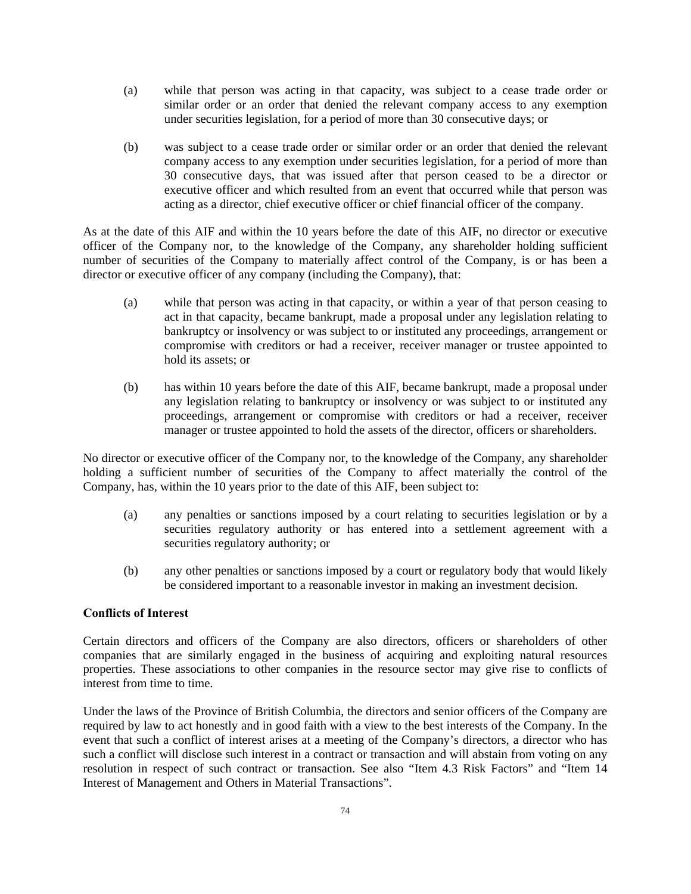- (a) while that person was acting in that capacity, was subject to a cease trade order or similar order or an order that denied the relevant company access to any exemption under securities legislation, for a period of more than 30 consecutive days; or
- (b) was subject to a cease trade order or similar order or an order that denied the relevant company access to any exemption under securities legislation, for a period of more than 30 consecutive days, that was issued after that person ceased to be a director or executive officer and which resulted from an event that occurred while that person was acting as a director, chief executive officer or chief financial officer of the company.

As at the date of this AIF and within the 10 years before the date of this AIF, no director or executive officer of the Company nor, to the knowledge of the Company, any shareholder holding sufficient number of securities of the Company to materially affect control of the Company, is or has been a director or executive officer of any company (including the Company), that:

- (a) while that person was acting in that capacity, or within a year of that person ceasing to act in that capacity, became bankrupt, made a proposal under any legislation relating to bankruptcy or insolvency or was subject to or instituted any proceedings, arrangement or compromise with creditors or had a receiver, receiver manager or trustee appointed to hold its assets; or
- (b) has within 10 years before the date of this AIF, became bankrupt, made a proposal under any legislation relating to bankruptcy or insolvency or was subject to or instituted any proceedings, arrangement or compromise with creditors or had a receiver, receiver manager or trustee appointed to hold the assets of the director, officers or shareholders.

No director or executive officer of the Company nor, to the knowledge of the Company, any shareholder holding a sufficient number of securities of the Company to affect materially the control of the Company, has, within the 10 years prior to the date of this AIF, been subject to:

- (a) any penalties or sanctions imposed by a court relating to securities legislation or by a securities regulatory authority or has entered into a settlement agreement with a securities regulatory authority; or
- (b) any other penalties or sanctions imposed by a court or regulatory body that would likely be considered important to a reasonable investor in making an investment decision.

## **Conflicts of Interest**

Certain directors and officers of the Company are also directors, officers or shareholders of other companies that are similarly engaged in the business of acquiring and exploiting natural resources properties. These associations to other companies in the resource sector may give rise to conflicts of interest from time to time.

Under the laws of the Province of British Columbia, the directors and senior officers of the Company are required by law to act honestly and in good faith with a view to the best interests of the Company. In the event that such a conflict of interest arises at a meeting of the Company's directors, a director who has such a conflict will disclose such interest in a contract or transaction and will abstain from voting on any resolution in respect of such contract or transaction. See also "Item 4.3 Risk Factors" and "Item 14 Interest of Management and Others in Material Transactions".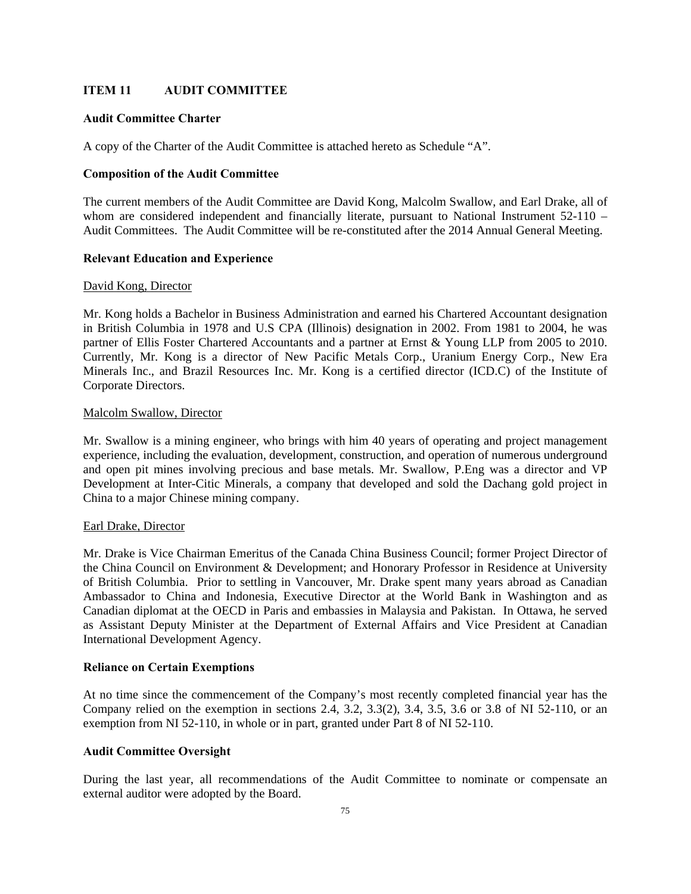# **ITEM 11 AUDIT COMMITTEE**

### **Audit Committee Charter**

A copy of the Charter of the Audit Committee is attached hereto as Schedule "A".

## **Composition of the Audit Committee**

The current members of the Audit Committee are David Kong, Malcolm Swallow, and Earl Drake, all of whom are considered independent and financially literate, pursuant to National Instrument 52-110 – Audit Committees. The Audit Committee will be re-constituted after the 2014 Annual General Meeting.

### **Relevant Education and Experience**

#### David Kong, Director

Mr. Kong holds a Bachelor in Business Administration and earned his Chartered Accountant designation in British Columbia in 1978 and U.S CPA (Illinois) designation in 2002. From 1981 to 2004, he was partner of Ellis Foster Chartered Accountants and a partner at Ernst & Young LLP from 2005 to 2010. Currently, Mr. Kong is a director of New Pacific Metals Corp., Uranium Energy Corp., New Era Minerals Inc., and Brazil Resources Inc. Mr. Kong is a certified director (ICD.C) of the Institute of Corporate Directors.

#### Malcolm Swallow, Director

Mr. Swallow is a mining engineer, who brings with him 40 years of operating and project management experience, including the evaluation, development, construction, and operation of numerous underground and open pit mines involving precious and base metals. Mr. Swallow, P.Eng was a director and VP Development at Inter-Citic Minerals, a company that developed and sold the Dachang gold project in China to a major Chinese mining company.

#### Earl Drake, Director

Mr. Drake is Vice Chairman Emeritus of the Canada China Business Council; former Project Director of the China Council on Environment & Development; and Honorary Professor in Residence at University of British Columbia. Prior to settling in Vancouver, Mr. Drake spent many years abroad as Canadian Ambassador to China and Indonesia, Executive Director at the World Bank in Washington and as Canadian diplomat at the OECD in Paris and embassies in Malaysia and Pakistan. In Ottawa, he served as Assistant Deputy Minister at the Department of External Affairs and Vice President at Canadian International Development Agency.

## **Reliance on Certain Exemptions**

At no time since the commencement of the Company's most recently completed financial year has the Company relied on the exemption in sections 2.4, 3.2, 3.3(2), 3.4, 3.5, 3.6 or 3.8 of NI 52-110, or an exemption from NI 52-110, in whole or in part, granted under Part 8 of NI 52-110.

## **Audit Committee Oversight**

During the last year, all recommendations of the Audit Committee to nominate or compensate an external auditor were adopted by the Board.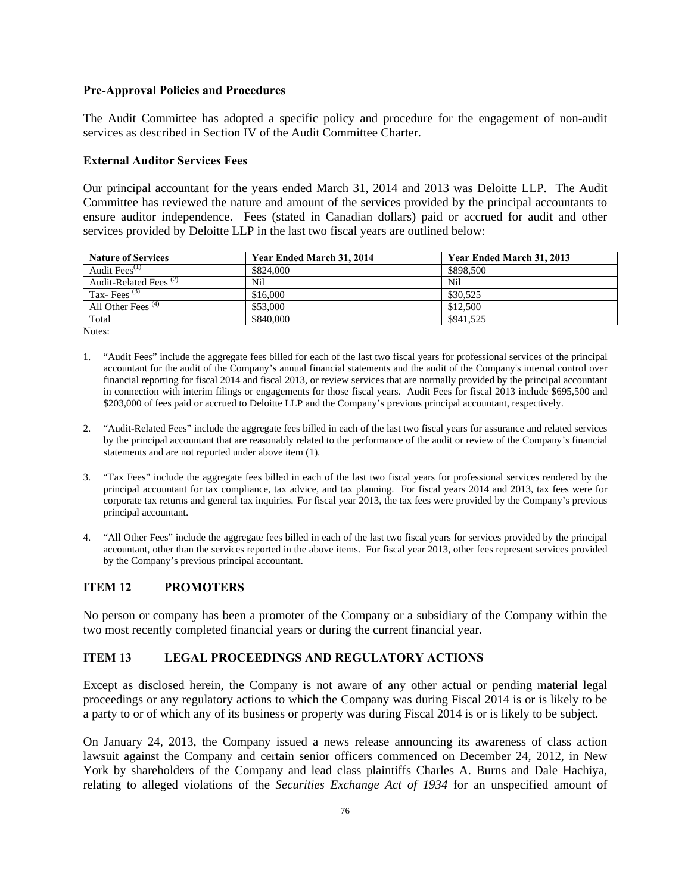### **Pre-Approval Policies and Procedures**

The Audit Committee has adopted a specific policy and procedure for the engagement of non-audit services as described in Section IV of the Audit Committee Charter.

### **External Auditor Services Fees**

Our principal accountant for the years ended March 31, 2014 and 2013 was Deloitte LLP. The Audit Committee has reviewed the nature and amount of the services provided by the principal accountants to ensure auditor independence. Fees (stated in Canadian dollars) paid or accrued for audit and other services provided by Deloitte LLP in the last two fiscal years are outlined below:

| <b>Nature of Services</b>                  | Year Ended March 31, 2014 | Year Ended March 31, 2013 |
|--------------------------------------------|---------------------------|---------------------------|
| Audit Fees $(1)$                           | \$824,000                 | \$898,500                 |
| Audit-Related Fees <sup>(2)</sup>          | Nil                       | Nil                       |
| Tax-Fees $(3)$                             | \$16,000                  | \$30,525                  |
| All Other Fees <sup><math>(4)</math></sup> | \$53,000                  | \$12,500                  |
| Total                                      | \$840,000                 | \$941,525                 |

Notes:

- 1. "Audit Fees" include the aggregate fees billed for each of the last two fiscal years for professional services of the principal accountant for the audit of the Company's annual financial statements and the audit of the Company's internal control over financial reporting for fiscal 2014 and fiscal 2013, or review services that are normally provided by the principal accountant in connection with interim filings or engagements for those fiscal years. Audit Fees for fiscal 2013 include \$695,500 and \$203,000 of fees paid or accrued to Deloitte LLP and the Company's previous principal accountant, respectively.
- 2. "Audit-Related Fees" include the aggregate fees billed in each of the last two fiscal years for assurance and related services by the principal accountant that are reasonably related to the performance of the audit or review of the Company's financial statements and are not reported under above item (1).
- 3. "Tax Fees" include the aggregate fees billed in each of the last two fiscal years for professional services rendered by the principal accountant for tax compliance, tax advice, and tax planning. For fiscal years 2014 and 2013, tax fees were for corporate tax returns and general tax inquiries. For fiscal year 2013, the tax fees were provided by the Company's previous principal accountant.
- 4. "All Other Fees" include the aggregate fees billed in each of the last two fiscal years for services provided by the principal accountant, other than the services reported in the above items. For fiscal year 2013, other fees represent services provided by the Company's previous principal accountant.

# **ITEM 12 PROMOTERS**

No person or company has been a promoter of the Company or a subsidiary of the Company within the two most recently completed financial years or during the current financial year.

## **ITEM 13 LEGAL PROCEEDINGS AND REGULATORY ACTIONS**

Except as disclosed herein, the Company is not aware of any other actual or pending material legal proceedings or any regulatory actions to which the Company was during Fiscal 2014 is or is likely to be a party to or of which any of its business or property was during Fiscal 2014 is or is likely to be subject.

On January 24, 2013, the Company issued a news release announcing its awareness of class action lawsuit against the Company and certain senior officers commenced on December 24, 2012, in New York by shareholders of the Company and lead class plaintiffs Charles A. Burns and Dale Hachiya, relating to alleged violations of the *Securities Exchange Act of 1934* for an unspecified amount of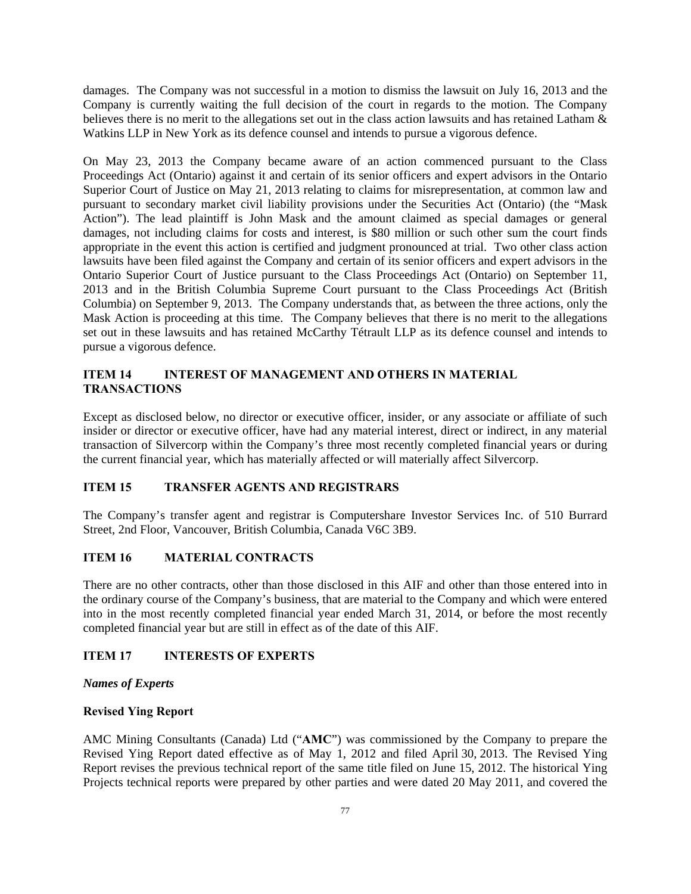damages. The Company was not successful in a motion to dismiss the lawsuit on July 16, 2013 and the Company is currently waiting the full decision of the court in regards to the motion. The Company believes there is no merit to the allegations set out in the class action lawsuits and has retained Latham  $\&$ Watkins LLP in New York as its defence counsel and intends to pursue a vigorous defence.

On May 23, 2013 the Company became aware of an action commenced pursuant to the Class Proceedings Act (Ontario) against it and certain of its senior officers and expert advisors in the Ontario Superior Court of Justice on May 21, 2013 relating to claims for misrepresentation, at common law and pursuant to secondary market civil liability provisions under the Securities Act (Ontario) (the "Mask Action"). The lead plaintiff is John Mask and the amount claimed as special damages or general damages, not including claims for costs and interest, is \$80 million or such other sum the court finds appropriate in the event this action is certified and judgment pronounced at trial. Two other class action lawsuits have been filed against the Company and certain of its senior officers and expert advisors in the Ontario Superior Court of Justice pursuant to the Class Proceedings Act (Ontario) on September 11, 2013 and in the British Columbia Supreme Court pursuant to the Class Proceedings Act (British Columbia) on September 9, 2013. The Company understands that, as between the three actions, only the Mask Action is proceeding at this time. The Company believes that there is no merit to the allegations set out in these lawsuits and has retained McCarthy Tétrault LLP as its defence counsel and intends to pursue a vigorous defence.

# **ITEM 14 INTEREST OF MANAGEMENT AND OTHERS IN MATERIAL TRANSACTIONS**

Except as disclosed below, no director or executive officer, insider, or any associate or affiliate of such insider or director or executive officer, have had any material interest, direct or indirect, in any material transaction of Silvercorp within the Company's three most recently completed financial years or during the current financial year, which has materially affected or will materially affect Silvercorp.

## **ITEM 15 TRANSFER AGENTS AND REGISTRARS**

The Company's transfer agent and registrar is Computershare Investor Services Inc. of 510 Burrard Street, 2nd Floor, Vancouver, British Columbia, Canada V6C 3B9.

## **ITEM 16 MATERIAL CONTRACTS**

There are no other contracts, other than those disclosed in this AIF and other than those entered into in the ordinary course of the Company's business, that are material to the Company and which were entered into in the most recently completed financial year ended March 31, 2014, or before the most recently completed financial year but are still in effect as of the date of this AIF.

#### **ITEM 17 INTERESTS OF EXPERTS**

### *Names of Experts*

#### **Revised Ying Report**

AMC Mining Consultants (Canada) Ltd ("**AMC**") was commissioned by the Company to prepare the Revised Ying Report dated effective as of May 1, 2012 and filed April 30, 2013. The Revised Ying Report revises the previous technical report of the same title filed on June 15, 2012. The historical Ying Projects technical reports were prepared by other parties and were dated 20 May 2011, and covered the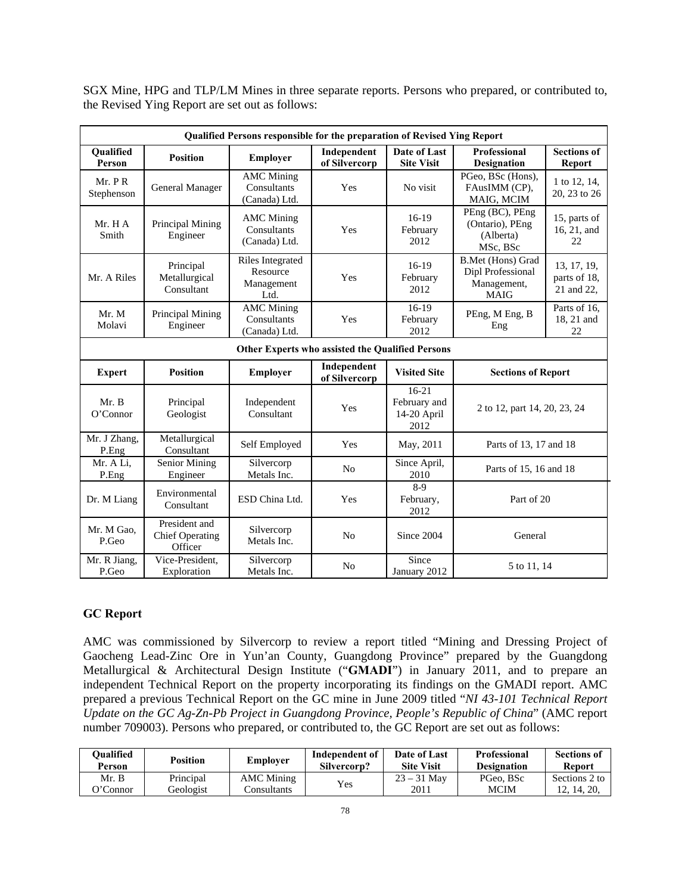| Qualified Persons responsible for the preparation of Revised Ying Report |                                                    |                                                           |                                     |                                                |                                                                      |                                           |
|--------------------------------------------------------------------------|----------------------------------------------------|-----------------------------------------------------------|-------------------------------------|------------------------------------------------|----------------------------------------------------------------------|-------------------------------------------|
| <b>Qualified</b><br>Person                                               | <b>Position</b>                                    | Employer                                                  | Independent<br>of Silvercorp        | Date of Last<br><b>Site Visit</b>              | <b>Professional</b><br><b>Designation</b>                            | <b>Sections of</b><br><b>Report</b>       |
| Mr. PR<br>Stephenson                                                     | <b>General Manager</b>                             | <b>AMC</b> Mining<br>Consultants<br>(Canada) Ltd.         | Yes                                 | No visit                                       | PGeo, BSc (Hons),<br>FAusIMM (CP),<br>MAIG, MCIM                     | 1 to 12, 14,<br>20, 23 to 26              |
| Mr. H A<br>Smith                                                         | Principal Mining<br>Engineer                       | <b>AMC</b> Mining<br>Consultants<br>(Canada) Ltd.         | Yes                                 | $16-19$<br>February<br>2012                    | PEng (BC), PEng<br>(Ontario), PEng<br>(Alberta)<br>MSc, BSc          | 15, parts of<br>16, 21, and<br>22         |
| Mr. A Riles                                                              | Principal<br>Metallurgical<br>Consultant           | <b>Riles Integrated</b><br>Resource<br>Management<br>Ltd. | Yes                                 | $16-19$<br>February<br>2012                    | B.Met (Hons) Grad<br>Dipl Professional<br>Management,<br><b>MAIG</b> | 13, 17, 19,<br>parts of 18,<br>21 and 22, |
| Mr. M<br>Molavi                                                          | Principal Mining<br>Engineer                       | <b>AMC</b> Mining<br>Consultants<br>(Canada) Ltd.         | Yes                                 | $16-19$<br>February<br>2012                    | PEng, M Eng, B<br>Eng                                                | Parts of 16,<br>18, 21 and<br>22          |
|                                                                          |                                                    | Other Experts who assisted the Qualified Persons          |                                     |                                                |                                                                      |                                           |
| <b>Expert</b>                                                            | <b>Position</b>                                    | Employer                                                  | <b>Independent</b><br>of Silvercorp | <b>Visited Site</b>                            | <b>Sections of Report</b>                                            |                                           |
| Mr. B<br>O'Connect                                                       | Principal<br>Geologist                             | Independent<br>Consultant                                 | Yes                                 | $16-21$<br>February and<br>14-20 April<br>2012 | 2 to 12, part 14, 20, 23, 24                                         |                                           |
| Mr. J Zhang,<br>P.Eng                                                    | Metallurgical<br>Consultant                        | Self Employed                                             | Yes                                 | May, 2011                                      | Parts of 13, 17 and 18                                               |                                           |
| Mr. A Li,<br>P.Eng                                                       | <b>Senior Mining</b><br>Engineer                   | Silvercorp<br>Metals Inc.                                 | N <sub>0</sub>                      | Since April,<br>2010                           | Parts of 15, 16 and 18                                               |                                           |
| Dr. M Liang                                                              | Environmental<br>Consultant                        | ESD China Ltd.                                            | Yes                                 | $8-9$<br>February,<br>2012                     | Part of 20                                                           |                                           |
| Mr. M Gao,<br>P.Geo                                                      | President and<br><b>Chief Operating</b><br>Officer | Silvercorp<br>Metals Inc.                                 | N <sub>o</sub>                      | Since 2004                                     | General                                                              |                                           |
| Mr. R Jiang,<br>P.Geo                                                    | Vice-President,<br>Exploration                     | Silvercorp<br>Metals Inc.                                 | N <sub>o</sub>                      | Since<br>January 2012                          | 5 to 11, 14                                                          |                                           |

SGX Mine, HPG and TLP/LM Mines in three separate reports. Persons who prepared, or contributed to, the Revised Ying Report are set out as follows:

# **GC Report**

AMC was commissioned by Silvercorp to review a report titled "Mining and Dressing Project of Gaocheng Lead-Zinc Ore in Yun'an County, Guangdong Province" prepared by the Guangdong Metallurgical & Architectural Design Institute ("**GMADI**") in January 2011, and to prepare an independent Technical Report on the property incorporating its findings on the GMADI report. AMC prepared a previous Technical Report on the GC mine in June 2009 titled "*NI 43-101 Technical Report Update on the GC Ag-Zn-Pb Project in Guangdong Province, People's Republic of China*" (AMC report number 709003). Persons who prepared, or contributed to, the GC Report are set out as follows:

| <b>Oualified</b><br>Person | <b>Position</b> | Employer    | Independent of<br>Silvercorp? | Date of Last<br><b>Site Visit</b> | <b>Professional</b><br><b>Designation</b> | <b>Sections of</b><br>Report |
|----------------------------|-----------------|-------------|-------------------------------|-----------------------------------|-------------------------------------------|------------------------------|
| Mr. B                      | Principal       | AMC Mining  | Yes                           | $23 - 31$ May                     | PGeo. BSc                                 | Sections 2 to                |
| O'Connor                   | Geologist       | Consultants |                               | 201.                              | MCIM                                      | 14.20.                       |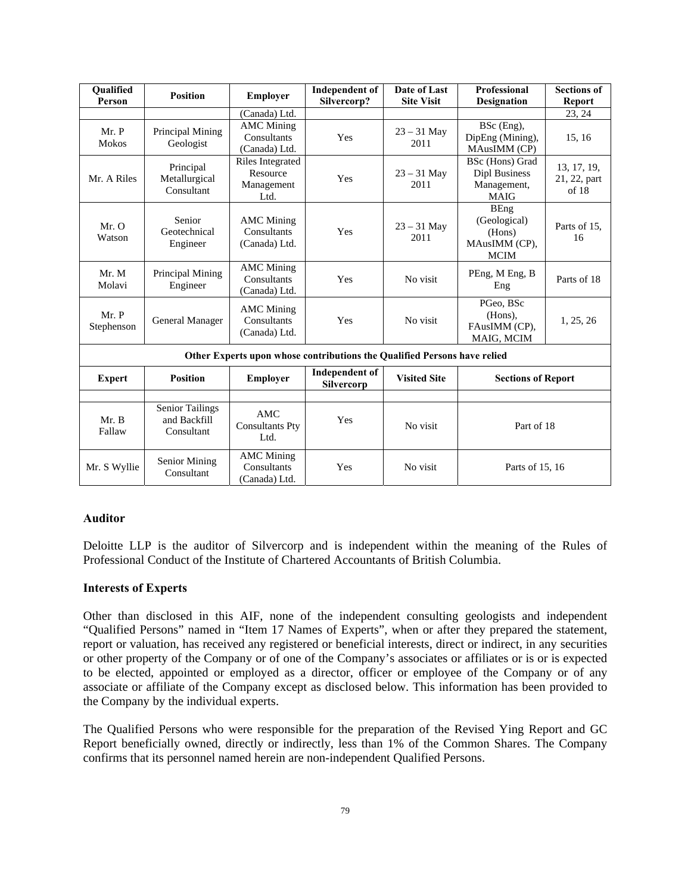| <b>Qualified</b><br>Person                                               | <b>Position</b>                                      | Employer                                                  | <b>Independent of</b><br>Silvercorp? | Date of Last<br><b>Site Visit</b> | <b>Professional</b><br><b>Designation</b>                             | <b>Sections of</b><br><b>Report</b>  |  |
|--------------------------------------------------------------------------|------------------------------------------------------|-----------------------------------------------------------|--------------------------------------|-----------------------------------|-----------------------------------------------------------------------|--------------------------------------|--|
|                                                                          |                                                      | (Canada) Ltd.                                             |                                      |                                   |                                                                       | 23, 24                               |  |
| Mr. P<br><b>Mokos</b>                                                    | Principal Mining<br>Geologist                        | <b>AMC</b> Mining<br>Consultants<br>(Canada) Ltd.         | Yes                                  | $23 - 31$ May<br>2011             | $\overline{\text{BSc}}$ (Eng),<br>DipEng (Mining),<br>MAusIMM (CP)    | 15, 16                               |  |
| Mr. A Riles                                                              | Principal<br>Metallurgical<br>Consultant             | <b>Riles Integrated</b><br>Resource<br>Management<br>Ltd. | Yes                                  | $23 - 31$ May<br>2011             | BSc (Hons) Grad<br>Dipl Business<br>Management,<br><b>MAIG</b>        | 13, 17, 19,<br>21, 22, part<br>of 18 |  |
| Mr. O<br>Watson                                                          | Senior<br>Geotechnical<br>Engineer                   | <b>AMC</b> Mining<br>Consultants<br>(Canada) Ltd.         | Yes                                  | $23 - 31$ May<br>2011             | <b>BEng</b><br>(Geological)<br>(Hons)<br>MAusIMM (CP),<br><b>MCIM</b> | Parts of 15,<br>16                   |  |
| Mr. M<br>Molavi                                                          | Principal Mining<br>Engineer                         | <b>AMC</b> Mining<br>Consultants<br>(Canada) Ltd.         | Yes                                  | No visit                          | PEng, M Eng, B<br>Eng                                                 | Parts of 18                          |  |
| Mr. P<br>Stephenson                                                      | General Manager                                      | <b>AMC</b> Mining<br>Consultants<br>(Canada) Ltd.         | Yes                                  | No visit                          | PGeo, BSc<br>(Hons),<br>FAusIMM (CP),<br>MAIG, MCIM                   | 1, 25, 26                            |  |
| Other Experts upon whose contributions the Qualified Persons have relied |                                                      |                                                           |                                      |                                   |                                                                       |                                      |  |
| <b>Expert</b>                                                            | <b>Position</b>                                      | <b>Employer</b>                                           | Independent of<br>Silvercorp         | <b>Visited Site</b>               | <b>Sections of Report</b>                                             |                                      |  |
|                                                                          |                                                      |                                                           |                                      |                                   |                                                                       |                                      |  |
| Mr. B<br>Fallaw                                                          | <b>Senior Tailings</b><br>and Backfill<br>Consultant | <b>AMC</b><br><b>Consultants Pty</b><br>Ltd.              | Yes                                  | No visit                          | Part of 18                                                            |                                      |  |
| Mr. S Wyllie                                                             | Senior Mining<br>Consultant                          | <b>AMC</b> Mining<br>Consultants<br>(Canada) Ltd.         | Yes                                  | No visit                          | Parts of 15, 16                                                       |                                      |  |

# **Auditor**

Deloitte LLP is the auditor of Silvercorp and is independent within the meaning of the Rules of Professional Conduct of the Institute of Chartered Accountants of British Columbia.

## **Interests of Experts**

Other than disclosed in this AIF, none of the independent consulting geologists and independent "Qualified Persons" named in "Item 17 Names of Experts", when or after they prepared the statement, report or valuation, has received any registered or beneficial interests, direct or indirect, in any securities or other property of the Company or of one of the Company's associates or affiliates or is or is expected to be elected, appointed or employed as a director, officer or employee of the Company or of any associate or affiliate of the Company except as disclosed below. This information has been provided to the Company by the individual experts.

The Qualified Persons who were responsible for the preparation of the Revised Ying Report and GC Report beneficially owned, directly or indirectly, less than 1% of the Common Shares. The Company confirms that its personnel named herein are non-independent Qualified Persons.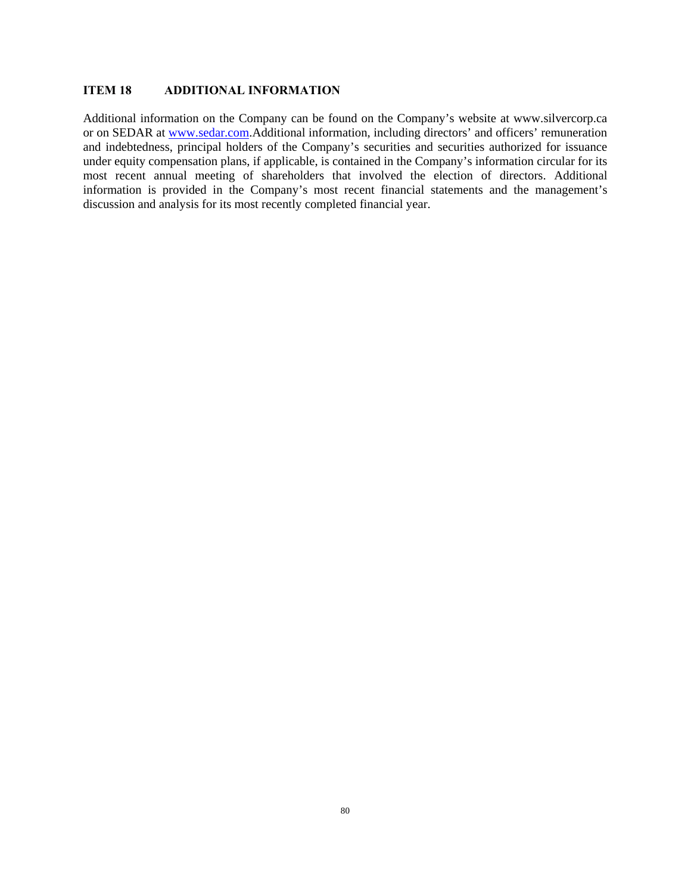## **ITEM 18 ADDITIONAL INFORMATION**

Additional information on the Company can be found on the Company's website at www.silvercorp.ca or on SEDAR at www.sedar.com.Additional information, including directors' and officers' remuneration and indebtedness, principal holders of the Company's securities and securities authorized for issuance under equity compensation plans, if applicable, is contained in the Company's information circular for its most recent annual meeting of shareholders that involved the election of directors. Additional information is provided in the Company's most recent financial statements and the management's discussion and analysis for its most recently completed financial year.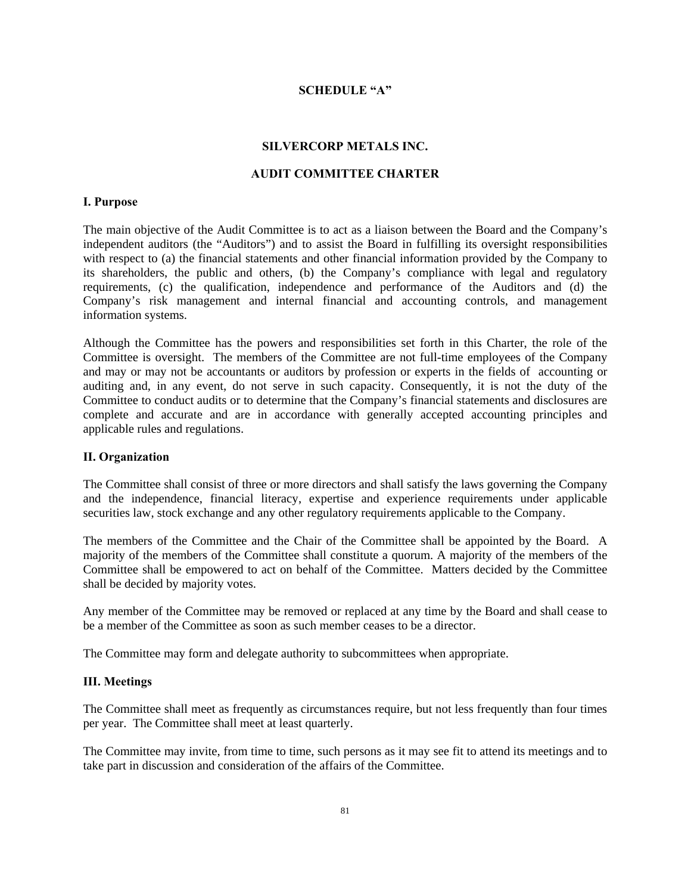## **SCHEDULE "A"**

### **SILVERCORP METALS INC.**

# **AUDIT COMMITTEE CHARTER**

#### **I. Purpose**

The main objective of the Audit Committee is to act as a liaison between the Board and the Company's independent auditors (the "Auditors") and to assist the Board in fulfilling its oversight responsibilities with respect to (a) the financial statements and other financial information provided by the Company to its shareholders, the public and others, (b) the Company's compliance with legal and regulatory requirements, (c) the qualification, independence and performance of the Auditors and (d) the Company's risk management and internal financial and accounting controls, and management information systems.

Although the Committee has the powers and responsibilities set forth in this Charter, the role of the Committee is oversight. The members of the Committee are not full-time employees of the Company and may or may not be accountants or auditors by profession or experts in the fields of accounting or auditing and, in any event, do not serve in such capacity. Consequently, it is not the duty of the Committee to conduct audits or to determine that the Company's financial statements and disclosures are complete and accurate and are in accordance with generally accepted accounting principles and applicable rules and regulations.

## **II. Organization**

The Committee shall consist of three or more directors and shall satisfy the laws governing the Company and the independence, financial literacy, expertise and experience requirements under applicable securities law, stock exchange and any other regulatory requirements applicable to the Company.

The members of the Committee and the Chair of the Committee shall be appointed by the Board. A majority of the members of the Committee shall constitute a quorum. A majority of the members of the Committee shall be empowered to act on behalf of the Committee. Matters decided by the Committee shall be decided by majority votes.

Any member of the Committee may be removed or replaced at any time by the Board and shall cease to be a member of the Committee as soon as such member ceases to be a director.

The Committee may form and delegate authority to subcommittees when appropriate.

#### **III. Meetings**

The Committee shall meet as frequently as circumstances require, but not less frequently than four times per year. The Committee shall meet at least quarterly.

The Committee may invite, from time to time, such persons as it may see fit to attend its meetings and to take part in discussion and consideration of the affairs of the Committee.